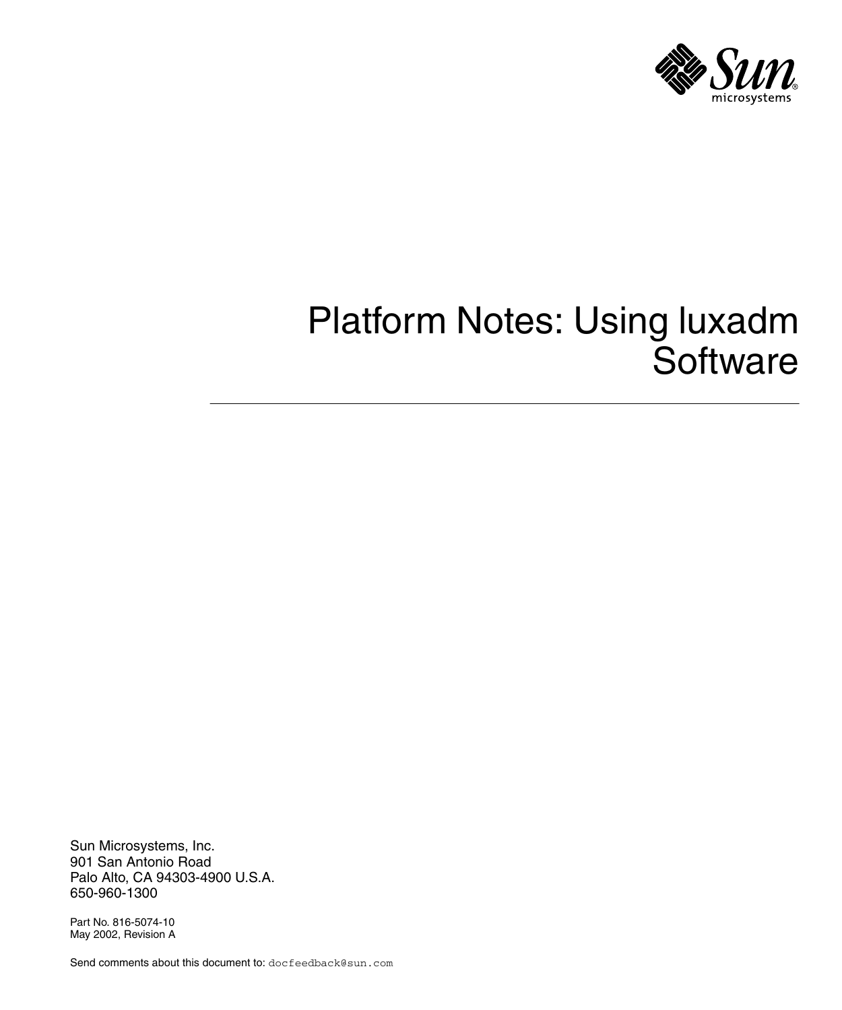

# Platform Notes: Using luxadm Software

Sun Microsystems, Inc. 901 San Antonio Road Palo Alto, CA 94303-4900 U.S.A. 650-960-1300

Part No. 816-5074-10 May 2002, Revision A

Send comments about this document to: docfeedback@sun.com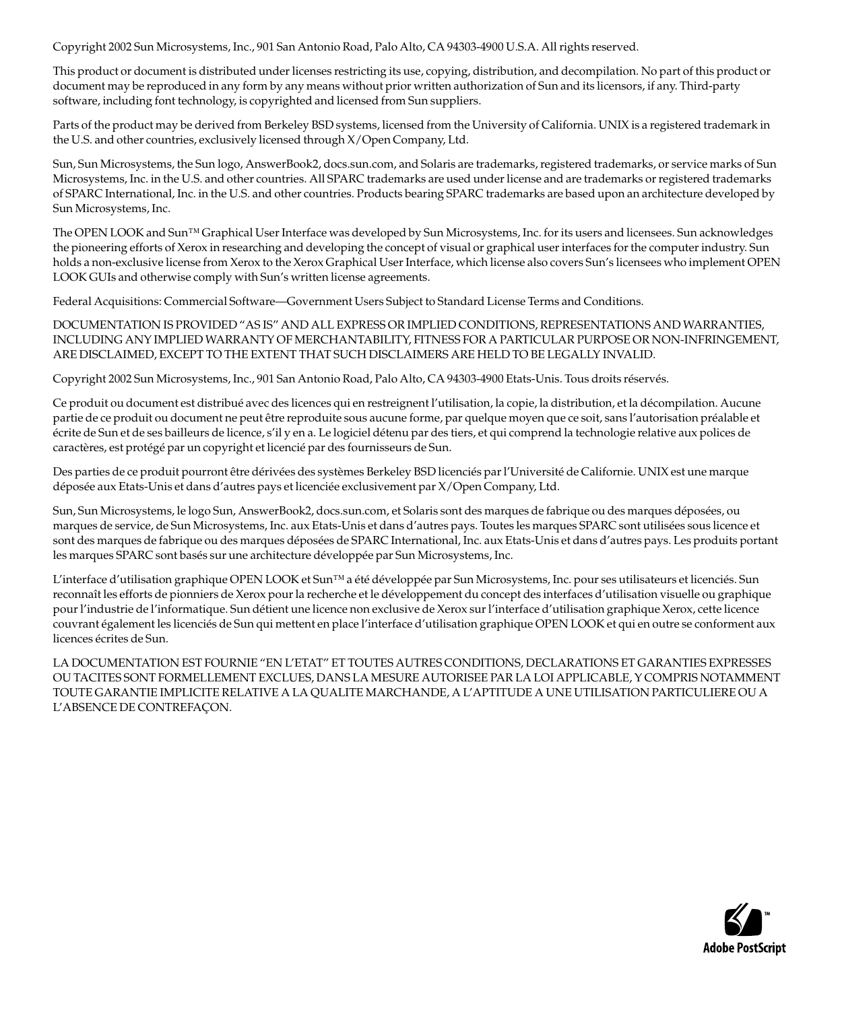Copyright 2002 Sun Microsystems, Inc., 901 San Antonio Road, Palo Alto, CA 94303-4900 U.S.A. All rights reserved.

This product or document is distributed under licenses restricting its use, copying, distribution, and decompilation. No part of this product or document may be reproduced in any form by any means without prior written authorization of Sun and its licensors, if any. Third-party software, including font technology, is copyrighted and licensed from Sun suppliers.

Parts of the product may be derived from Berkeley BSD systems, licensed from the University of California. UNIX is a registered trademark in the U.S. and other countries, exclusively licensed through X/Open Company, Ltd.

Sun, Sun Microsystems, the Sun logo, AnswerBook2, docs.sun.com, and Solaris are trademarks, registered trademarks, or service marks of Sun Microsystems, Inc. in the U.S. and other countries. All SPARC trademarks are used under license and are trademarks or registered trademarks of SPARC International, Inc. in the U.S. and other countries. Products bearing SPARC trademarks are based upon an architecture developed by Sun Microsystems, Inc.

The OPEN LOOK and Sun™ Graphical User Interface was developed by Sun Microsystems, Inc. for its users and licensees. Sun acknowledges the pioneering efforts of Xerox in researching and developing the concept of visual or graphical user interfaces for the computer industry. Sun holds a non-exclusive license from Xerox to the Xerox Graphical User Interface, which license also covers Sun's licensees who implement OPEN LOOK GUIs and otherwise comply with Sun's written license agreements.

Federal Acquisitions: Commercial Software—Government Users Subject to Standard License Terms and Conditions.

DOCUMENTATION IS PROVIDED "AS IS" AND ALL EXPRESS OR IMPLIED CONDITIONS, REPRESENTATIONS AND WARRANTIES, INCLUDING ANY IMPLIED WARRANTY OF MERCHANTABILITY, FITNESS FOR A PARTICULAR PURPOSE OR NON-INFRINGEMENT, ARE DISCLAIMED, EXCEPT TO THE EXTENT THAT SUCH DISCLAIMERS ARE HELD TO BE LEGALLY INVALID.

Copyright 2002 Sun Microsystems, Inc., 901 San Antonio Road, Palo Alto, CA 94303-4900 Etats-Unis. Tous droits réservés.

Ce produit ou document est distribué avec des licences qui en restreignent l'utilisation, la copie, la distribution, et la décompilation. Aucune partie de ce produit ou document ne peut être reproduite sous aucune forme, par quelque moyen que ce soit, sans l'autorisation préalable et écrite de Sun et de ses bailleurs de licence, s'il y en a. Le logiciel détenu par des tiers, et qui comprend la technologie relative aux polices de caractères, est protégé par un copyright et licencié par des fournisseurs de Sun.

Des parties de ce produit pourront être dérivées des systèmes Berkeley BSD licenciés par l'Université de Californie. UNIX est une marque déposée aux Etats-Unis et dans d'autres pays et licenciée exclusivement par X/Open Company, Ltd.

Sun, Sun Microsystems, le logo Sun, AnswerBook2, docs.sun.com, et Solaris sont des marques de fabrique ou des marques déposées, ou marques de service, de Sun Microsystems, Inc. aux Etats-Unis et dans d'autres pays. Toutes les marques SPARC sont utilisées sous licence et sont des marques de fabrique ou des marques déposées de SPARC International, Inc. aux Etats-Unis et dans d'autres pays. Les produits portant les marques SPARC sont basés sur une architecture développée par Sun Microsystems, Inc.

L'interface d'utilisation graphique OPEN LOOK et Sun™ a été développée par Sun Microsystems, Inc. pour ses utilisateurs et licenciés. Sun reconnaît les efforts de pionniers de Xerox pour la recherche et le développement du concept des interfaces d'utilisation visuelle ou graphique pour l'industrie de l'informatique. Sun détient une licence non exclusive de Xerox sur l'interface d'utilisation graphique Xerox, cette licence couvrant également les licenciés de Sun qui mettent en place l'interface d'utilisation graphique OPEN LOOK et qui en outre se conforment aux licences écrites de Sun.

LA DOCUMENTATION EST FOURNIE "EN L'ETAT" ET TOUTES AUTRES CONDITIONS, DECLARATIONS ET GARANTIES EXPRESSES OU TACITES SONT FORMELLEMENT EXCLUES, DANS LA MESURE AUTORISEE PAR LA LOI APPLICABLE, Y COMPRIS NOTAMMENT TOUTE GARANTIE IMPLICITE RELATIVE A LA QUALITE MARCHANDE, A L'APTITUDE A UNE UTILISATION PARTICULIERE OU A L'ABSENCE DE CONTREFAÇON.

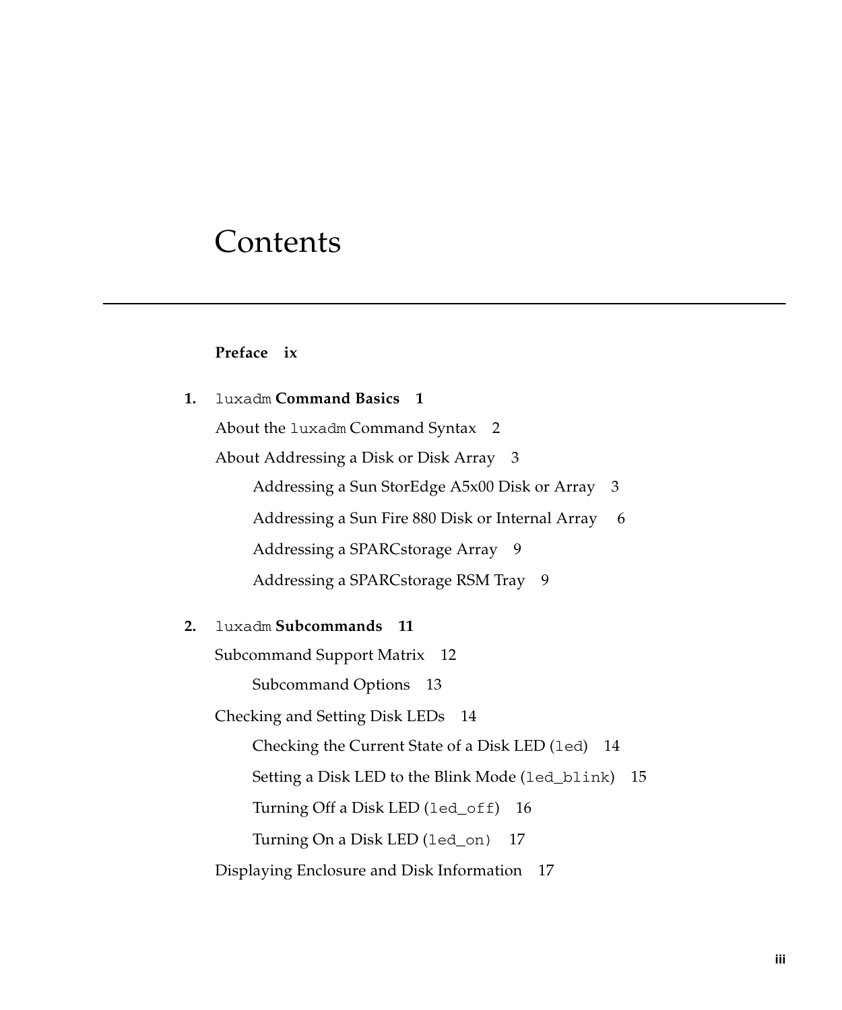## Contents

#### **[Preface](#page-8-0) ix**

**1.** [luxadm](#page-12-0) **Command Basics 1** [About the](#page-13-0) luxadm Command Syntax 2 [About Addressing a Disk or Disk Array 3](#page-14-0) [Addressing a Sun StorEdge A5x00 Disk or Array](#page-14-1) 3 [Addressing a Sun Fire 880 Disk or Internal Array 6](#page-17-0) [Addressing a SPARCstorage Array](#page-20-0) 9 [Addressing a SPARCstorage RSM Tray](#page-20-1) 9 **2.** [luxadm](#page-22-0) **Subcommands 11** [Subcommand Support Matrix 1](#page-23-0)2 [Subcommand Options](#page-24-0) 13 [Checking and Setting Disk LEDs 1](#page-25-0)4 [Checking the Current State of a Disk LED \(](#page-25-1)led) 14 [Setting a Disk LED to the Blink Mode \(](#page-26-0)led\_blink) 15 [Turning Off a Disk LED \(](#page-27-0)led\_off) 16 [Turning On a Disk LED \(](#page-28-0)led\_on) 17 [Displaying Enclosure and Disk Information](#page-28-1) 17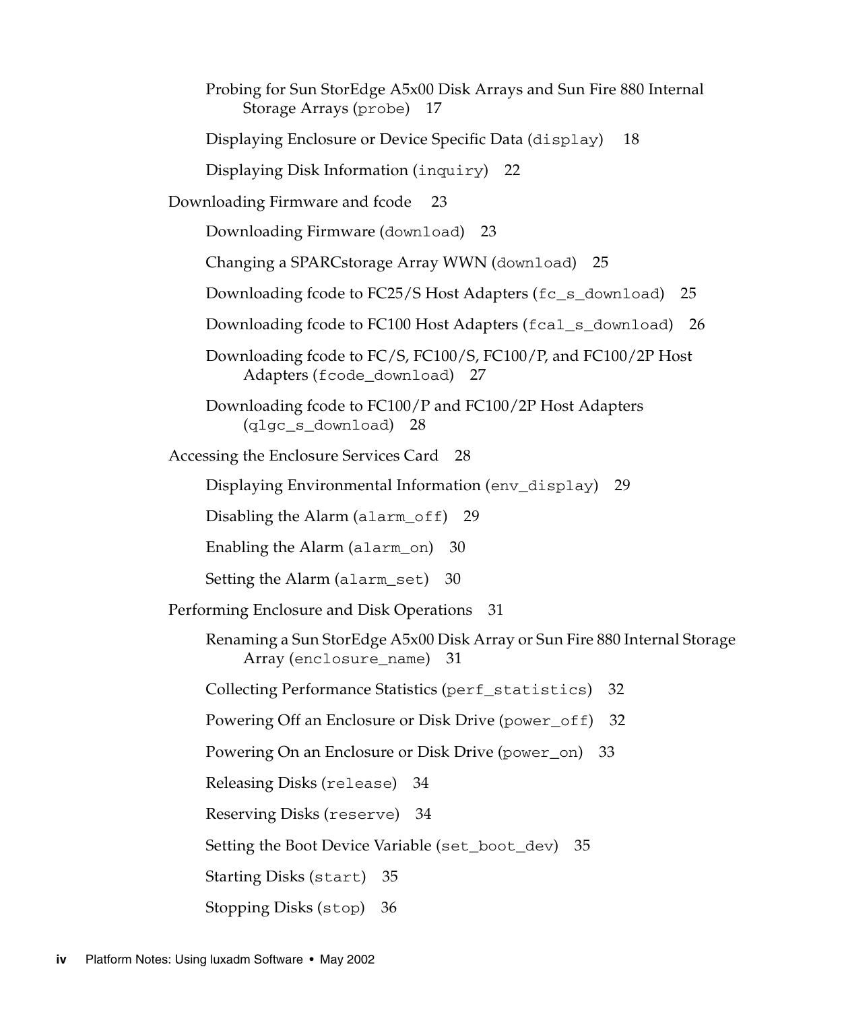| Probing for Sun StorEdge A5x00 Disk Arrays and Sun Fire 880 Internal<br>Storage Arrays (probe) 17      |
|--------------------------------------------------------------------------------------------------------|
| Displaying Enclosure or Device Specific Data (display)<br>18                                           |
| Displaying Disk Information (inquiry) 22                                                               |
| Downloading Firmware and fcode<br>23                                                                   |
| Downloading Firmware (download) 23                                                                     |
| Changing a SPARCstorage Array WWN (download)<br>25                                                     |
| Downloading fcode to FC25/S Host Adapters (fc_s_download)<br>25                                        |
| Downloading fcode to FC100 Host Adapters (fcal_s_download)<br>26                                       |
| Downloading fcode to FC/S, FC100/S, FC100/P, and FC100/2P Host<br>Adapters (fcode_download) 27         |
| Downloading fcode to FC100/P and FC100/2P Host Adapters<br>(qlgc_s_download) 28                        |
| Accessing the Enclosure Services Card 28                                                               |
| Displaying Environmental Information (env_display) 29                                                  |
| Disabling the Alarm (alarm_off) 29                                                                     |
| Enabling the Alarm (alarm_on) 30                                                                       |
| Setting the Alarm (alarm_set)<br>30                                                                    |
| Performing Enclosure and Disk Operations 31                                                            |
| Renaming a Sun StorEdge A5x00 Disk Array or Sun Fire 880 Internal Storage<br>Array (enclosure_name) 31 |
| Collecting Performance Statistics (perf_statistics)<br>32                                              |
| Powering Off an Enclosure or Disk Drive (power_off)<br>32                                              |
| Powering On an Enclosure or Disk Drive (power_on) 33                                                   |
| Releasing Disks (release)<br>34                                                                        |
| Reserving Disks (reserve)<br>34                                                                        |
| Setting the Boot Device Variable (set_boot_dev)<br>35                                                  |
| Starting Disks (start)<br>35                                                                           |
| Stopping Disks (stop)<br>36                                                                            |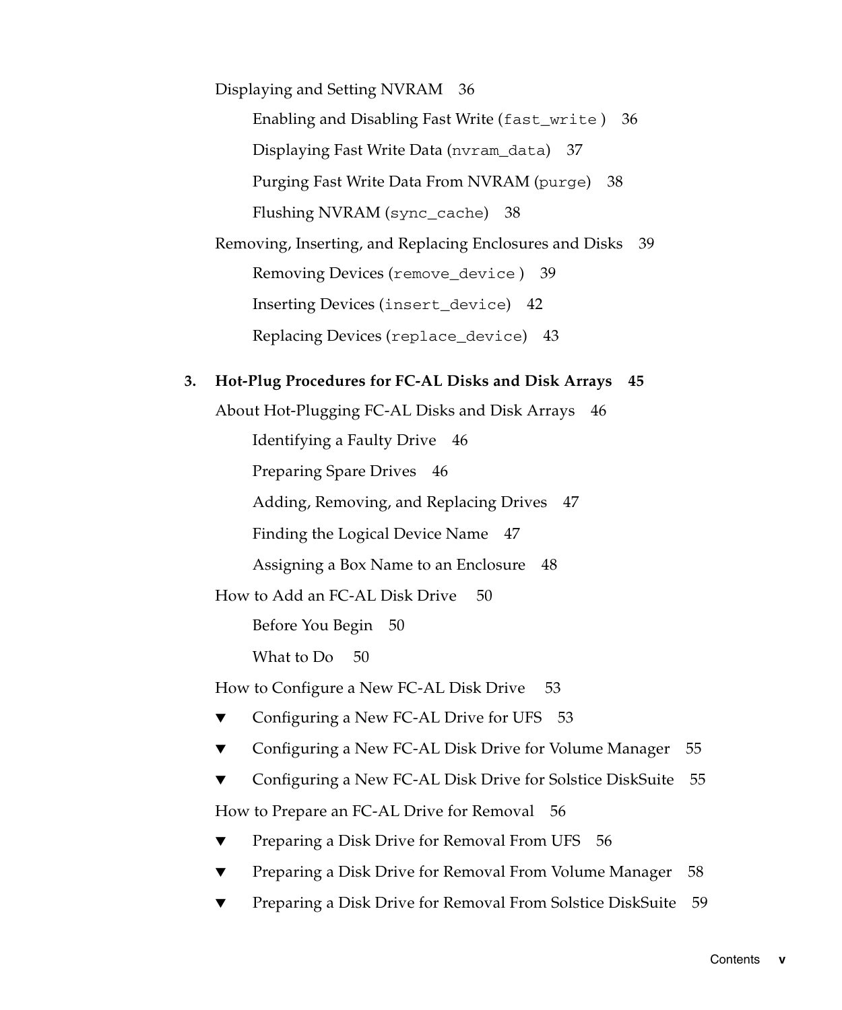[Displaying and Setting NVRAM](#page-47-1) 36 [Enabling and Disabling Fast Write \(](#page-47-2)fast\_write ) 36 [Displaying Fast Write Data \(](#page-48-0)nvram\_data) 37 [Purging Fast Write Data From NVRAM \(](#page-49-0)purge) 38 [Flushing NVRAM \(](#page-49-1)sync\_cache) 38 [Removing, Inserting, and Replacing Enclosures and Disks 3](#page-50-0)9 [Removing Devices \(](#page-50-1)remove\_device ) 39 [Inserting Devices \(](#page-53-0)insert\_device) 42 [Replacing Devices \(](#page-54-0)replace\_device) 43

#### **3. [Hot-Plug Procedures for FC-AL Disks and Disk Arrays 4](#page-56-0)5**

[About Hot-Plugging FC-AL Disks and Disk Arrays 4](#page-57-0)6 [Identifying a Faulty Drive 4](#page-57-1)6 [Preparing Spare Drives](#page-57-2) 46 [Adding, Removing, and Replacing Drives](#page-58-0) 47 [Finding the Logical Device Name](#page-58-1) 47 [Assigning a Box Name to an Enclosure](#page-59-0) 48 [How to Add an FC-AL Disk Drive 5](#page-61-0)0 [Before You Begin](#page-61-1) 50

[What to Do 5](#page-61-2)0

[How to Configure a New FC-AL Disk Drive 5](#page-64-0)3

- ▼ [Configuring a New FC-AL Drive for UFS 5](#page-64-1)3
- [Configuring a New FC-AL Disk Drive for Volume Manager 5](#page-66-0)5
- [Configuring a New FC-AL Disk Drive for Solstice DiskSuite 5](#page-66-1)5

[How to Prepare an FC-AL Drive for Removal 5](#page-67-0)6

- ▼ [Preparing a Disk Drive for Removal From UFS 5](#page-67-1)6
- [Preparing a Disk Drive for Removal From Volume Manager](#page-69-0) 58
- [Preparing a Disk Drive for Removal From Solstice DiskSuite 5](#page-70-0)9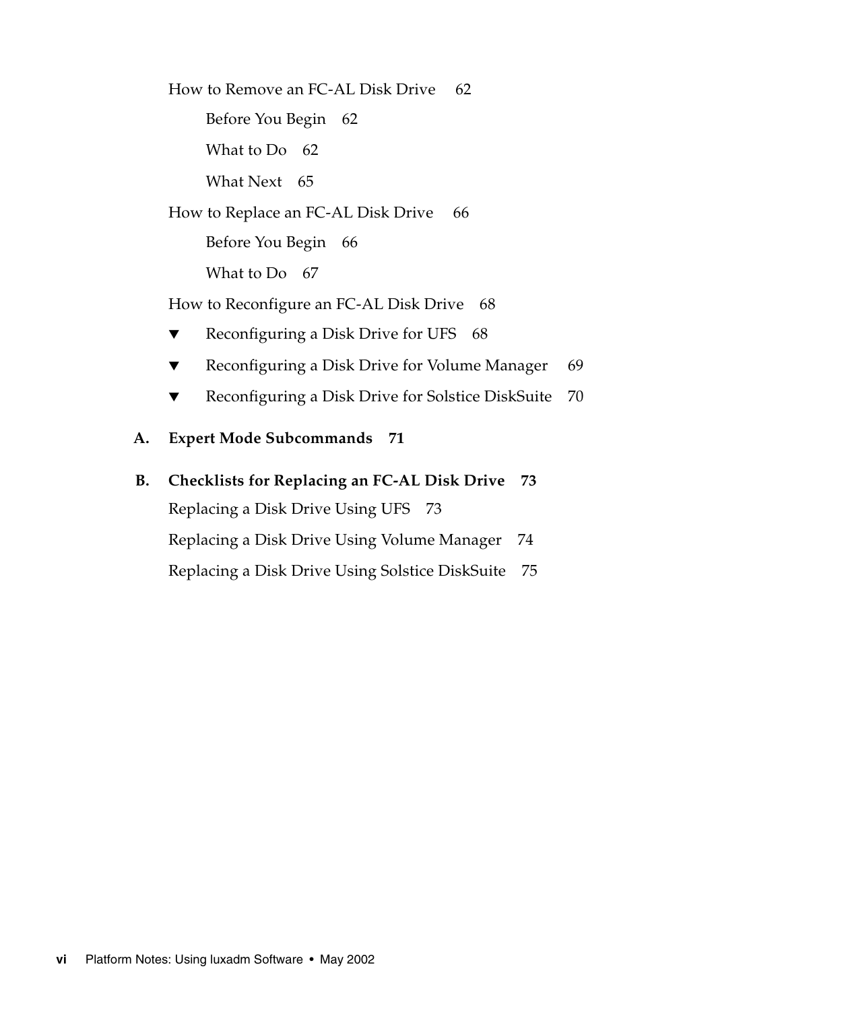[How to Remove an FC-AL Disk Drive](#page-73-0)[Before You Begin](#page-73-1) 62 [What to Do](#page-73-2)[What Next](#page-76-0)[How to Replace an FC-AL Disk Drive 6](#page-77-0)[Before You Begin](#page-77-1) 66 [What to Do](#page-78-0)[How to Reconfigure an FC-AL Disk Drive 6](#page-79-0)

- ▼ [Reconfiguring a Disk Drive for UFS 6](#page-79-1)8
- ▼ [Reconfiguring a Disk Drive for Volume Manager](#page-80-0) 69
- [Reconfiguring a Disk Drive for Solstice DiskSuite](#page-81-0) 70
- **A. [Expert Mode Subcommands](#page-82-0) 71**
- **B. [Checklists for Replacing an FC-AL Disk Drive](#page-84-0) 73** [Replacing a Disk Drive Using UFS](#page-84-1) 73 [Replacing a Disk Drive Using Volume Manager](#page-85-0) 74 [Replacing a Disk Drive Using Solstice DiskSuite 7](#page-86-0)5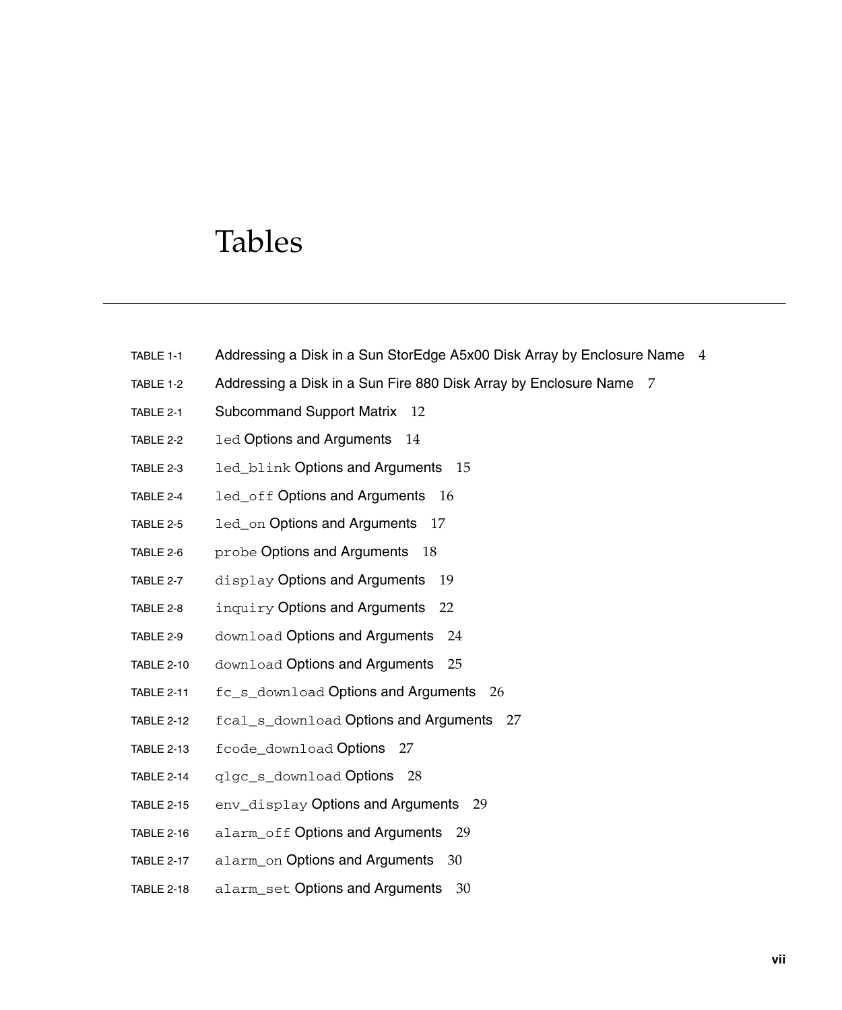## Tables

- TABLE 1-1 Addressing a Disk in a Sun StorEdge A5x00 Disk Array by Enclosure Name 4
- TABLE 1-2 Addressing a Disk in a Sun Fire 880 Disk Array by Enclosure Name 7
- TABLE 2-1 Subcommand Support Matrix 12
- TABLE 2-2 led Options and Arguments 14
- TABLE 2-3 led\_blink Options and Arguments 15
- TABLE 2-4 led\_off Options and Arguments 16
- TABLE 2-5 led\_on Options and Arguments 17
- TABLE 2-6 probe Options and Arguments  $18$
- TABLE 2-7 display Options and Arguments 19
- TABLE 2-8 inquiry Options and Arguments 22
- TABLE 2-9 download Options and Arguments 24
- TABLE 2-10 download Options and Arguments 25
- TABLE 2-11 fc\_s\_download Options and Arguments 26
- TABLE 2-12 fcal\_s\_download Options and Arguments 27
- TABLE 2-13 fcode\_download Options 27
- TABLE 2-14 qlgc\_s\_download Options 28
- TABLE 2-15 env\_display Options and Arguments 29
- TABLE 2-16 alarm\_off Options and Arguments 29
- TABLE 2-17 alarm\_on Options and Arguments 30
- TABLE 2-18 alarm\_set Options and Arguments 30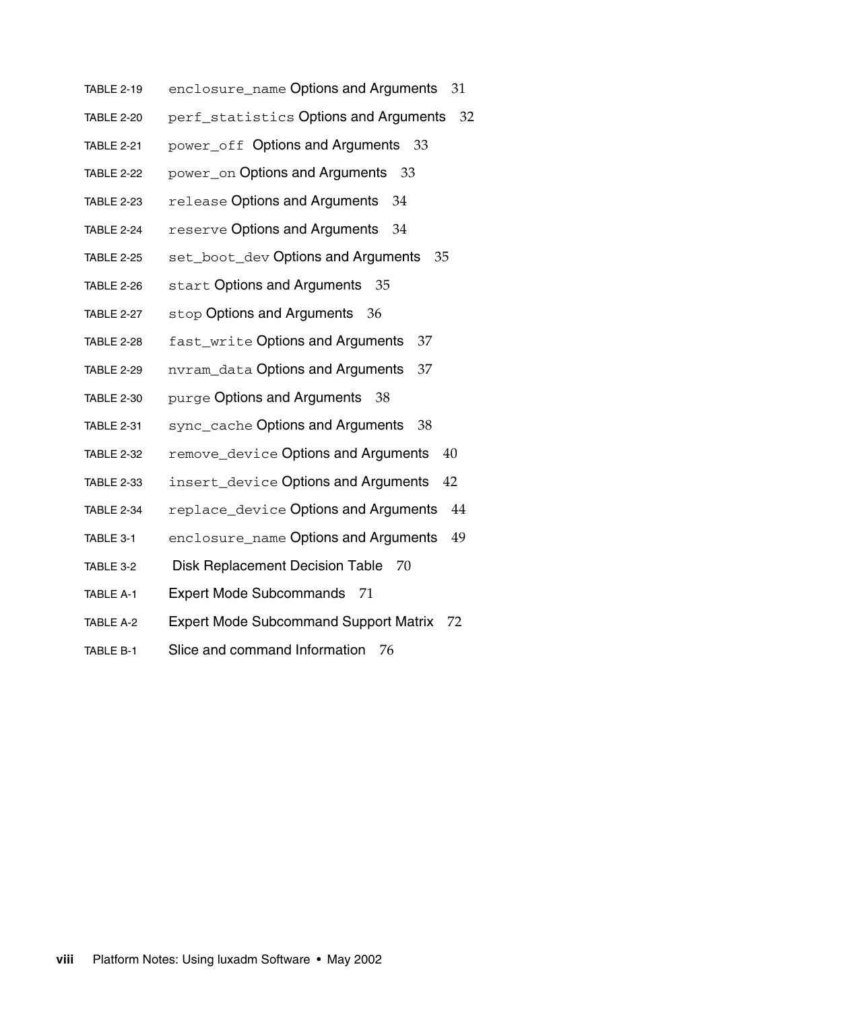- TABLE 2-19 enclosure\_name Options and Arguments 31
- TABLE 2-20 perf\_statistics Options and Arguments 32
- TABLE 2-21 power\_off Options and Arguments 33
- TABLE 2-22 power\_on Options and Arguments 33
- TABLE 2-23 release Options and Arguments 34
- TABLE 2-24 reserve Options and Arguments 34
- TABLE 2-25 set\_boot\_dev Options and Arguments 35
- TABLE 2-26 start Options and Arguments 35
- TABLE 2-27 stop Options and Arguments 36
- TABLE 2-28 fast\_write Options and Arguments 37
- TABLE 2-29 nvram\_data Options and Arguments 37
- TABLE 2-30 purge Options and Arguments 38
- TABLE 2-31 sync\_cache Options and Arguments 38
- TABLE 2-32 remove\_device Options and Arguments 40
- TABLE 2-33 insert\_device Options and Arguments 42
- TABLE 2-34 replace\_device Options and Arguments 44
- TABLE 3-1 enclosure\_name Options and Arguments 49
- TABLE 3-2 Disk Replacement Decision Table 70
- TABLE A-1 Expert Mode Subcommands 71
- TABLE A-2 Expert Mode Subcommand Support Matrix 72
- TABLE B-1 Slice and command Information 76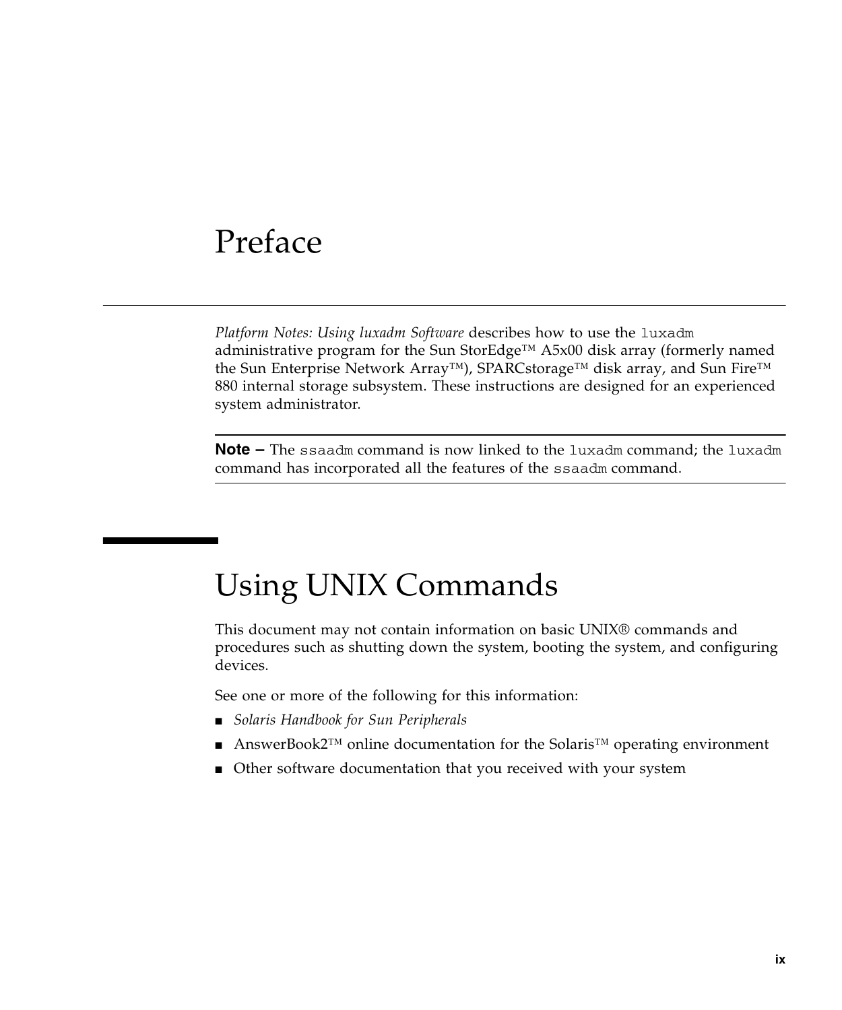## <span id="page-8-0"></span>Preface

*Platform Notes: Using luxadm Software* describes how to use the luxadm administrative program for the Sun StorEdge™ A5x00 disk array (formerly named the Sun Enterprise Network Array™), SPARCstorage™ disk array, and Sun Fire™ 880 internal storage subsystem. These instructions are designed for an experienced system administrator.

**Note –** The ssaadm command is now linked to the luxadm command; the luxadm command has incorporated all the features of the ssaadm command.

# Using UNIX Commands

This document may not contain information on basic UNIX® commands and procedures such as shutting down the system, booting the system, and configuring devices.

See one or more of the following for this information:

- *Solaris Handbook for Sun Peripherals*
- AnswerBook2<sup>™</sup> online documentation for the Solaris<sup>™</sup> operating environment
- Other software documentation that you received with your system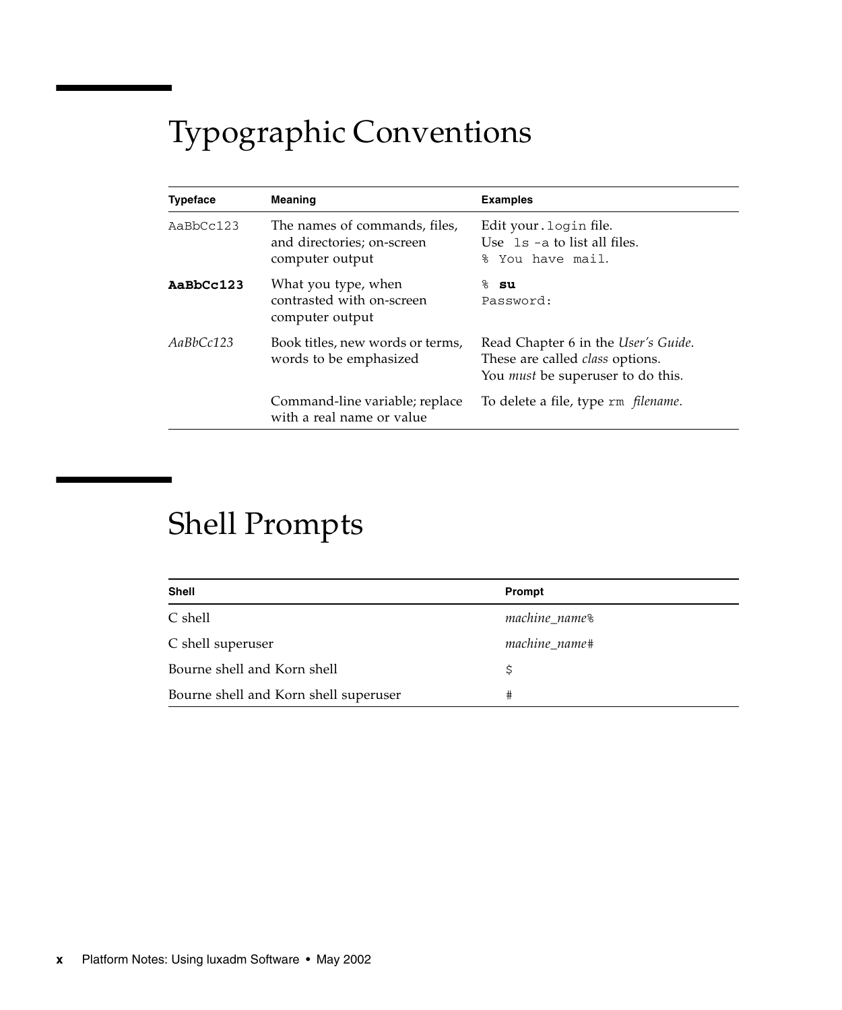# Typographic Conventions

| <b>Typeface</b> | Meaning                                                                        | <b>Examples</b>                                                                                                           |
|-----------------|--------------------------------------------------------------------------------|---------------------------------------------------------------------------------------------------------------------------|
| $A$ a $BbCc123$ | The names of commands, files,<br>and directories; on-screen<br>computer output | Edit your. login file.<br>Use $1s$ -a to list all files.<br>% You have mail.                                              |
| AaBbCc123       | What you type, when<br>contrasted with on-screen<br>computer output            | 8 su<br>Password:                                                                                                         |
| AaBbCc123       | Book titles, new words or terms,<br>words to be emphasized                     | Read Chapter 6 in the User's Guide.<br>These are called <i>class</i> options.<br>You <i>must</i> be superuser to do this. |
|                 | Command-line variable; replace<br>with a real name or value                    | To delete a file, type rm <i>filename</i> .                                                                               |

# Shell Prompts

| Shell                                 | Prompt                    |
|---------------------------------------|---------------------------|
| C shell                               | machine name <sup>§</sup> |
| C shell superuser                     | machine_name#             |
| Bourne shell and Korn shell           | Ŝ                         |
| Bourne shell and Korn shell superuser | #                         |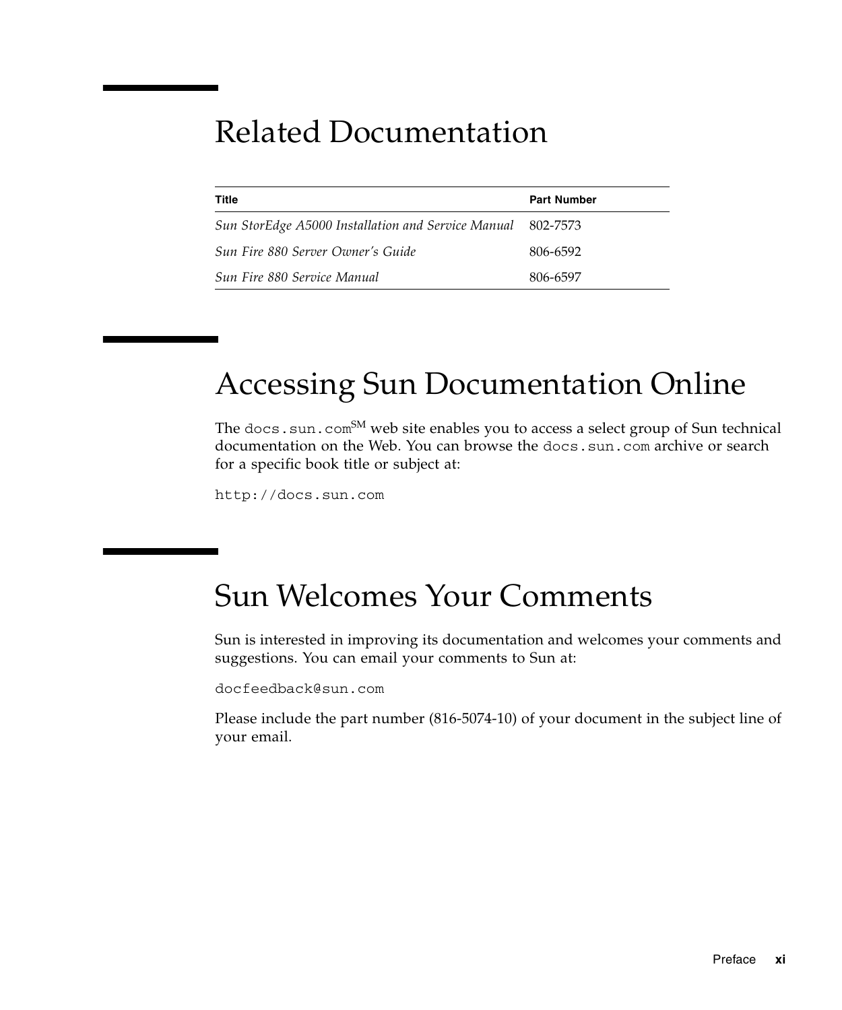## Related Documentation

| Title                                                       | <b>Part Number</b> |
|-------------------------------------------------------------|--------------------|
| Sun StorEdge A5000 Installation and Service Manual 802-7573 |                    |
| Sun Fire 880 Server Owner's Guide                           | 806-6592           |
| Sun Fire 880 Service Manual                                 | 806-6597           |

## Accessing Sun Documentation Online

The docs.sun.com<sup>SM</sup> web site enables you to access a select group of Sun technical documentation on the Web. You can browse the docs.sun.com archive or search for a specific book title or subject at:

http://docs.sun.com

## Sun Welcomes Your Comments

Sun is interested in improving its documentation and welcomes your comments and suggestions. You can email your comments to Sun at:

docfeedback@sun.com

Please include the part number (816-5074-10) of your document in the subject line of your email.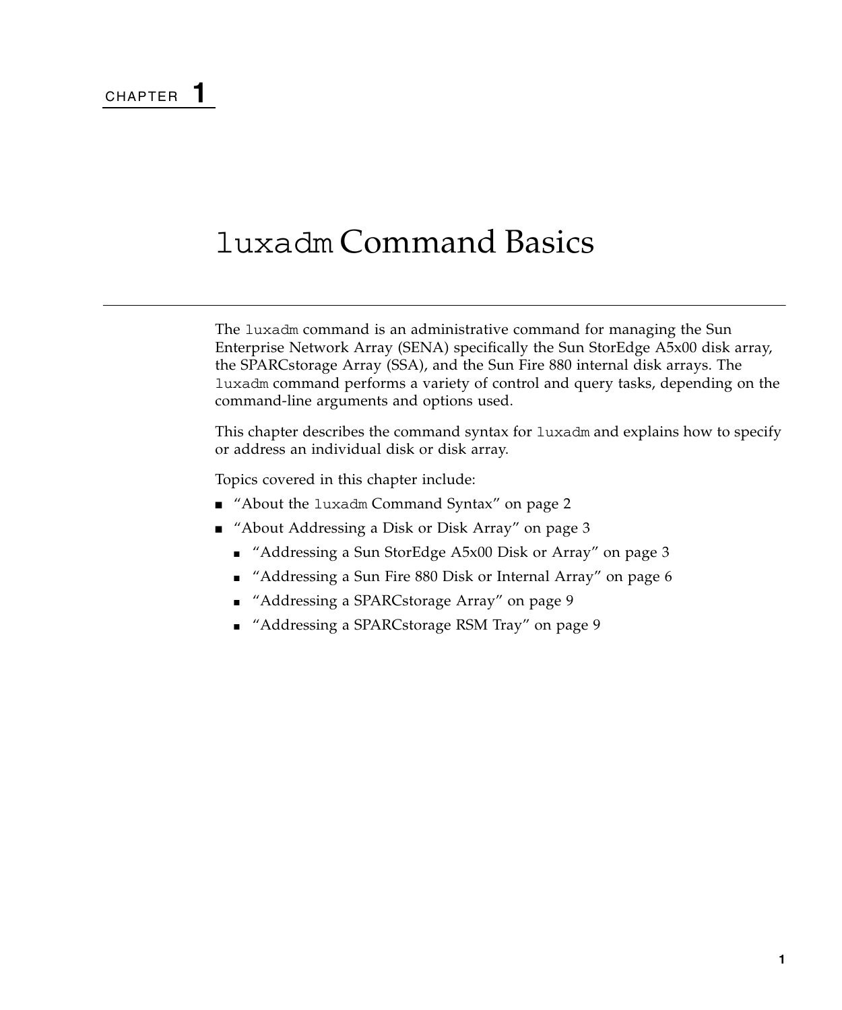## <span id="page-12-0"></span>luxadm Command Basics

The luxadm command is an administrative command for managing the Sun Enterprise Network Array (SENA) specifically the Sun StorEdge A5x00 disk array, the SPARCstorage Array (SSA), and the Sun Fire 880 internal disk arrays. The luxadm command performs a variety of control and query tasks, depending on the command-line arguments and options used.

This chapter describes the command syntax for luxadm and explains how to specify or address an individual disk or disk array.

Topics covered in this chapter include:

- "About the luxadm [Command Syntax" on page 2](#page-13-0)
- ["About Addressing a Disk or Disk Array" on page 3](#page-14-0)
	- ["Addressing a Sun StorEdge A5x00 Disk or Array" on page 3](#page-14-1)
	- ["Addressing a Sun Fire 880 Disk or Internal Array" on page 6](#page-17-0)
	- ["Addressing a SPARCstorage Array" on page 9](#page-20-0)
	- ["Addressing a SPARCstorage RSM Tray" on page 9](#page-20-1)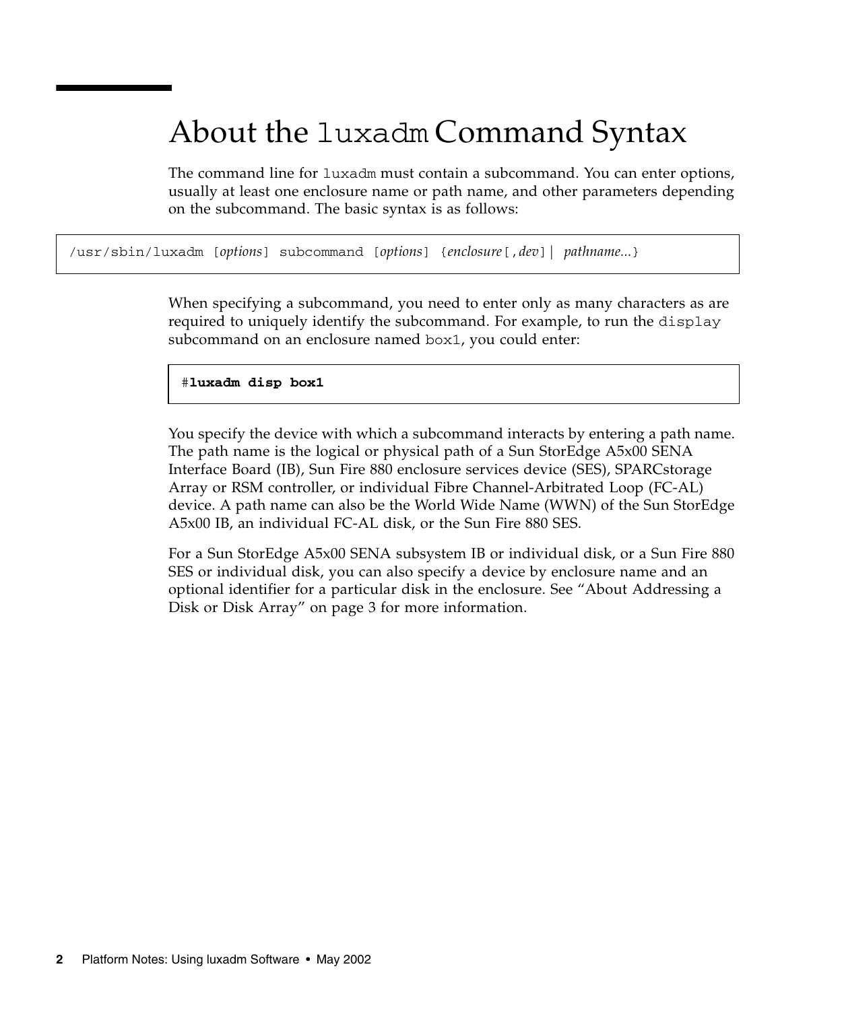# <span id="page-13-0"></span>About the luxadm Command Syntax

The command line for luxadm must contain a subcommand. You can enter options, usually at least one enclosure name or path name, and other parameters depending on the subcommand. The basic syntax is as follows:

/usr/sbin/luxadm [*options*] subcommand [*options*] {*enclosure*[,*dev*]| *pathname...*}

When specifying a subcommand, you need to enter only as many characters as are required to uniquely identify the subcommand. For example, to run the display subcommand on an enclosure named box1, you could enter:

#**luxadm disp box1**

You specify the device with which a subcommand interacts by entering a path name. The path name is the logical or physical path of a Sun StorEdge A5x00 SENA Interface Board (IB), Sun Fire 880 enclosure services device (SES), SPARCstorage Array or RSM controller, or individual Fibre Channel-Arbitrated Loop (FC-AL) device. A path name can also be the World Wide Name (WWN) of the Sun StorEdge A5x00 IB, an individual FC-AL disk, or the Sun Fire 880 SES.

For a Sun StorEdge A5x00 SENA subsystem IB or individual disk, or a Sun Fire 880 SES or individual disk, you can also specify a device by enclosure name and an optional identifier for a particular disk in the enclosure. See ["About Addressing a](#page-14-0) [Disk or Disk Array" on page 3](#page-14-0) for more information.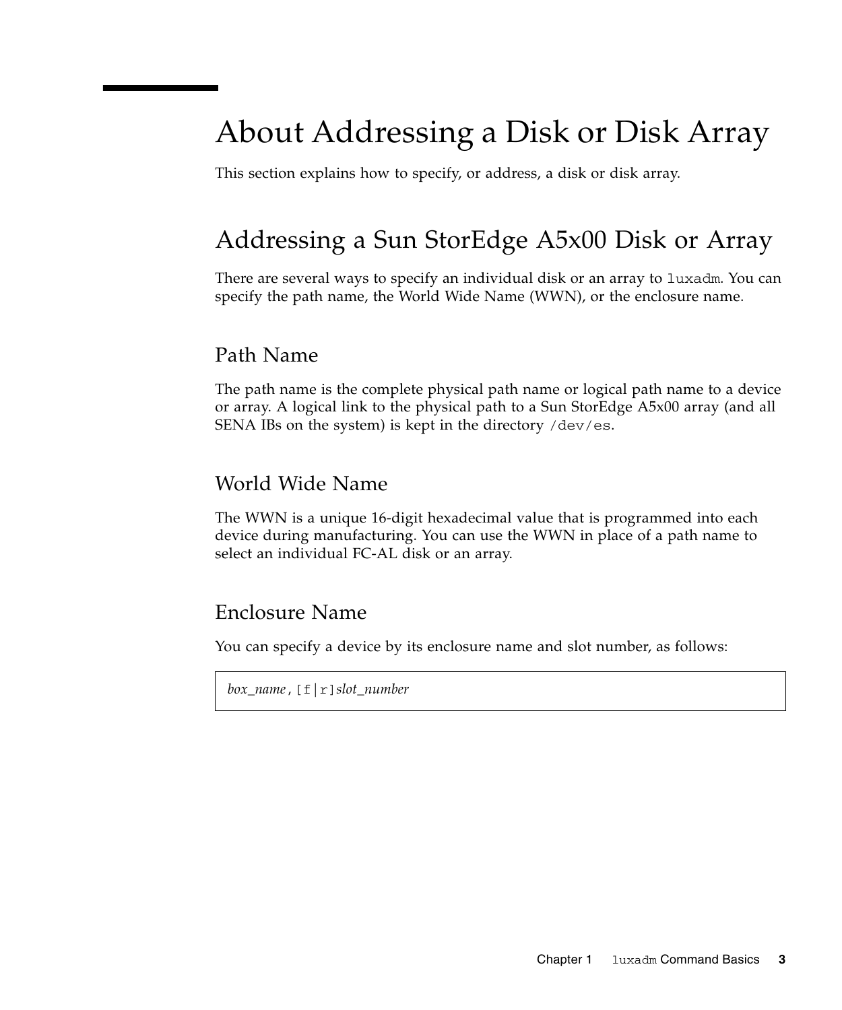## <span id="page-14-2"></span><span id="page-14-0"></span>About Addressing a Disk or Disk Array

This section explains how to specify, or address, a disk or disk array.

### <span id="page-14-1"></span>Addressing a Sun StorEdge A5x00 Disk or Array

There are several ways to specify an individual disk or an array to luxadm. You can specify the path name, the World Wide Name (WWN), or the enclosure name.

### Path Name

The path name is the complete physical path name or logical path name to a device or array. A logical link to the physical path to a Sun StorEdge A5x00 array (and all SENA IBs on the system) is kept in the directory /dev/es.

### World Wide Name

The WWN is a unique 16-digit hexadecimal value that is programmed into each device during manufacturing. You can use the WWN in place of a path name to select an individual FC-AL disk or an array.

#### Enclosure Name

You can specify a device by its enclosure name and slot number, as follows:

```
box_name,[f|r]slot_number
```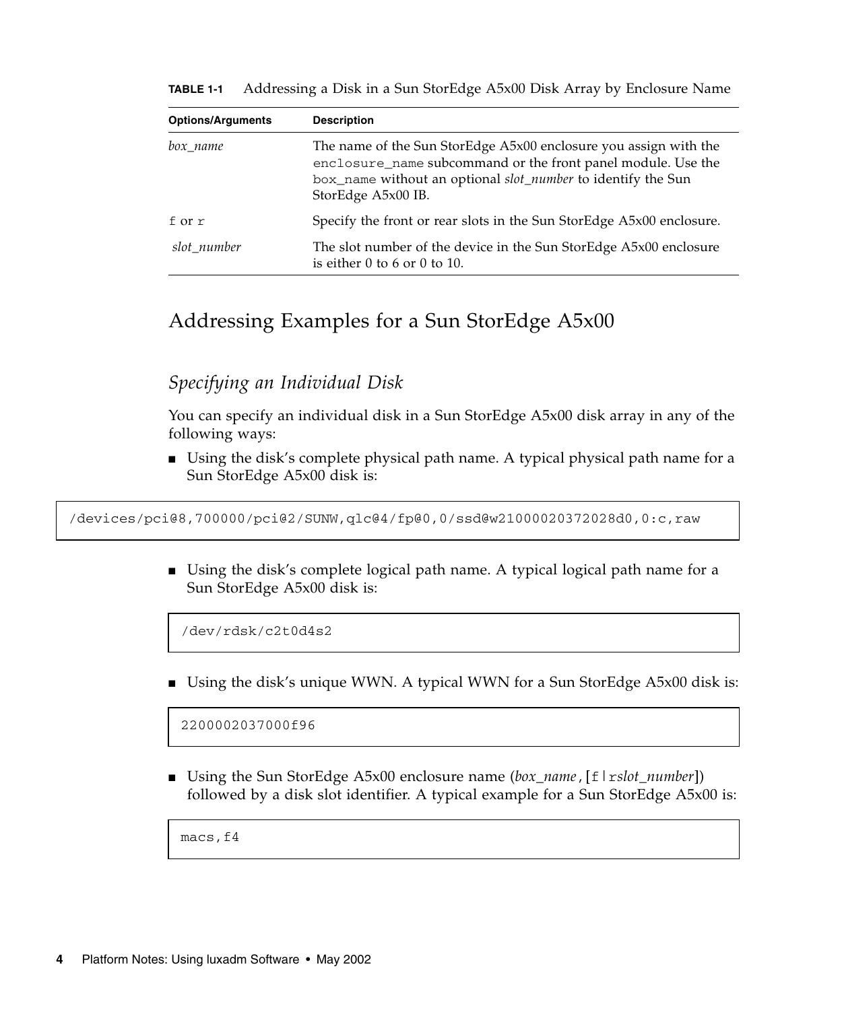| <b>Options/Arguments</b> | <b>Description</b>                                                                                                                                                                                                     |
|--------------------------|------------------------------------------------------------------------------------------------------------------------------------------------------------------------------------------------------------------------|
| box_name                 | The name of the Sun StorEdge A5x00 enclosure you assign with the<br>enclosure name subcommand or the front panel module. Use the<br>box_name without an optional slot_number to identify the Sun<br>StorEdge A5x00 IB. |
| f or r                   | Specify the front or rear slots in the Sun StorEdge A5x00 enclosure.                                                                                                                                                   |
| slot number              | The slot number of the device in the Sun StorEdge A5x00 enclosure<br>is either $0$ to $6$ or $0$ to $10$ .                                                                                                             |

**TABLE 1-1** Addressing a Disk in a Sun StorEdge A5x00 Disk Array by Enclosure Name

### Addressing Examples for a Sun StorEdge A5x00

### *Specifying an Individual Disk*

You can specify an individual disk in a Sun StorEdge A5x00 disk array in any of the following ways:

■ Using the disk's complete physical path name. A typical physical path name for a Sun StorEdge A5x00 disk is:

/devices/pci@8,700000/pci@2/SUNW,qlc@4/fp@0,0/ssd@w21000020372028d0,0:c,raw

■ Using the disk's complete logical path name. A typical logical path name for a Sun StorEdge A5x00 disk is:

/dev/rdsk/c2t0d4s2

■ Using the disk's unique WWN. A typical WWN for a Sun StorEdge A5x00 disk is:

2200002037000f96

■ Using the Sun StorEdge A5x00 enclosure name (*box\_name*, [f | *rslot\_number*]) followed by a disk slot identifier. A typical example for a Sun StorEdge A5x00 is:

macs, f4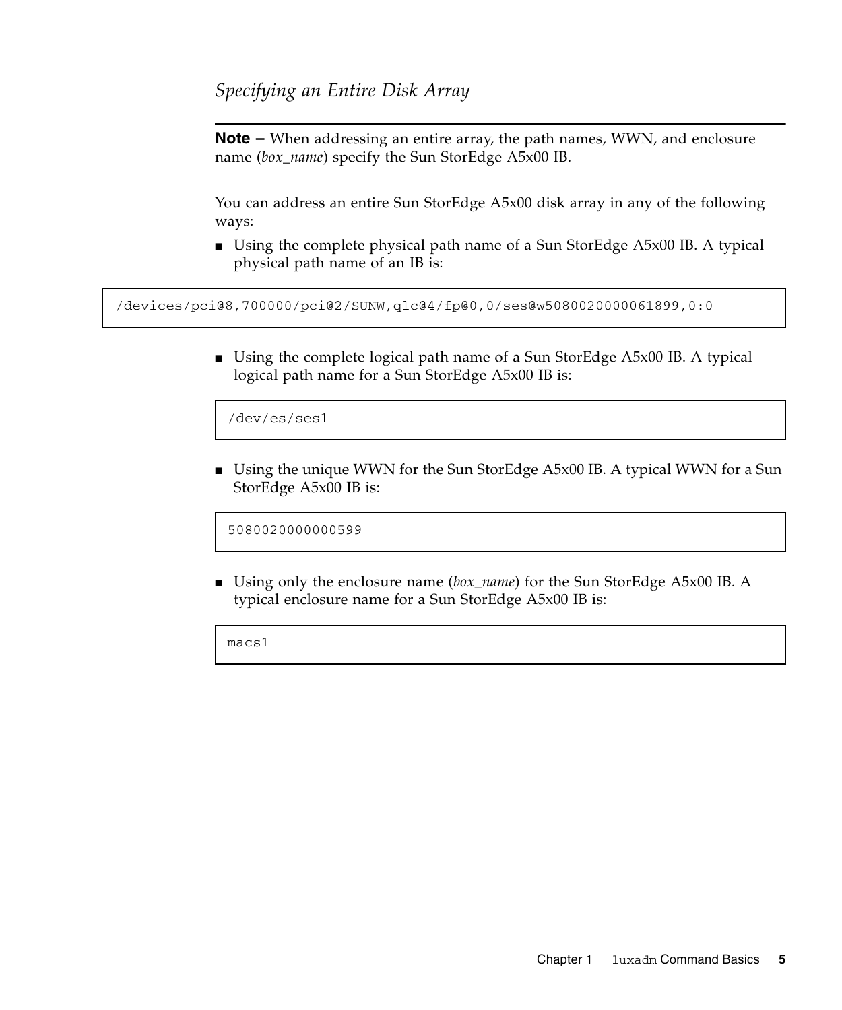*Specifying an Entire Disk Array*

**Note –** When addressing an entire array, the path names, WWN, and enclosure name (*box\_name*) specify the Sun StorEdge A5x00 IB.

You can address an entire Sun StorEdge A5x00 disk array in any of the following ways:

■ Using the complete physical path name of a Sun StorEdge A5x00 IB. A typical physical path name of an IB is:

/devices/pci@8,700000/pci@2/SUNW,qlc@4/fp@0,0/ses@w5080020000061899,0:0

■ Using the complete logical path name of a Sun StorEdge A5x00 IB. A typical logical path name for a Sun StorEdge A5x00 IB is:

/dev/es/ses1

■ Using the unique WWN for the Sun StorEdge A5x00 IB. A typical WWN for a Sun StorEdge A5x00 IB is:

5080020000000599

■ Using only the enclosure name (*box\_name*) for the Sun StorEdge A5x00 IB. A typical enclosure name for a Sun StorEdge A5x00 IB is:

macs1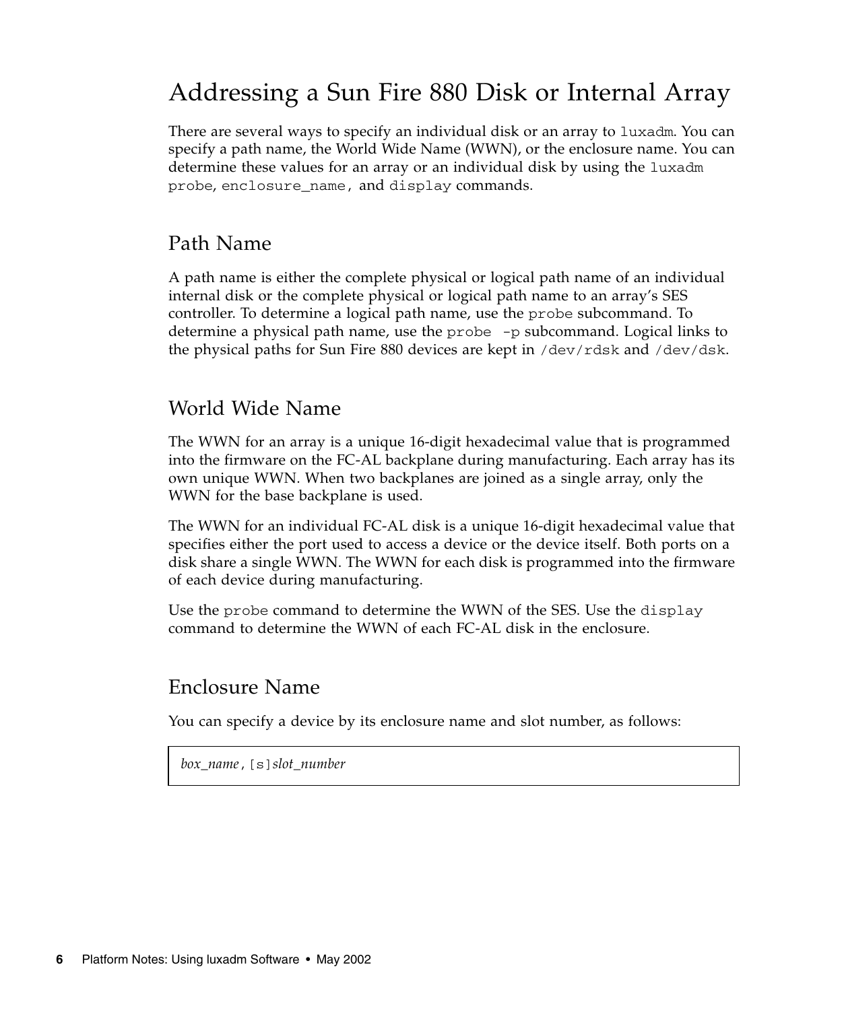## <span id="page-17-0"></span>Addressing a Sun Fire 880 Disk or Internal Array

There are several ways to specify an individual disk or an array to luxadm. You can specify a path name, the World Wide Name (WWN), or the enclosure name. You can determine these values for an array or an individual disk by using the luxadm probe, enclosure\_name, and display commands.

### Path Name

A path name is either the complete physical or logical path name of an individual internal disk or the complete physical or logical path name to an array's SES controller. To determine a logical path name, use the probe subcommand. To determine a physical path name, use the probe -p subcommand. Logical links to the physical paths for Sun Fire 880 devices are kept in /dev/rdsk and /dev/dsk.

#### World Wide Name

The WWN for an array is a unique 16-digit hexadecimal value that is programmed into the firmware on the FC-AL backplane during manufacturing. Each array has its own unique WWN. When two backplanes are joined as a single array, only the WWN for the base backplane is used.

The WWN for an individual FC-AL disk is a unique 16-digit hexadecimal value that specifies either the port used to access a device or the device itself. Both ports on a disk share a single WWN. The WWN for each disk is programmed into the firmware of each device during manufacturing.

Use the probe command to determine the WWN of the SES. Use the display command to determine the WWN of each FC-AL disk in the enclosure.

#### Enclosure Name

You can specify a device by its enclosure name and slot number, as follows:

*box\_name*,[s]*slot\_number*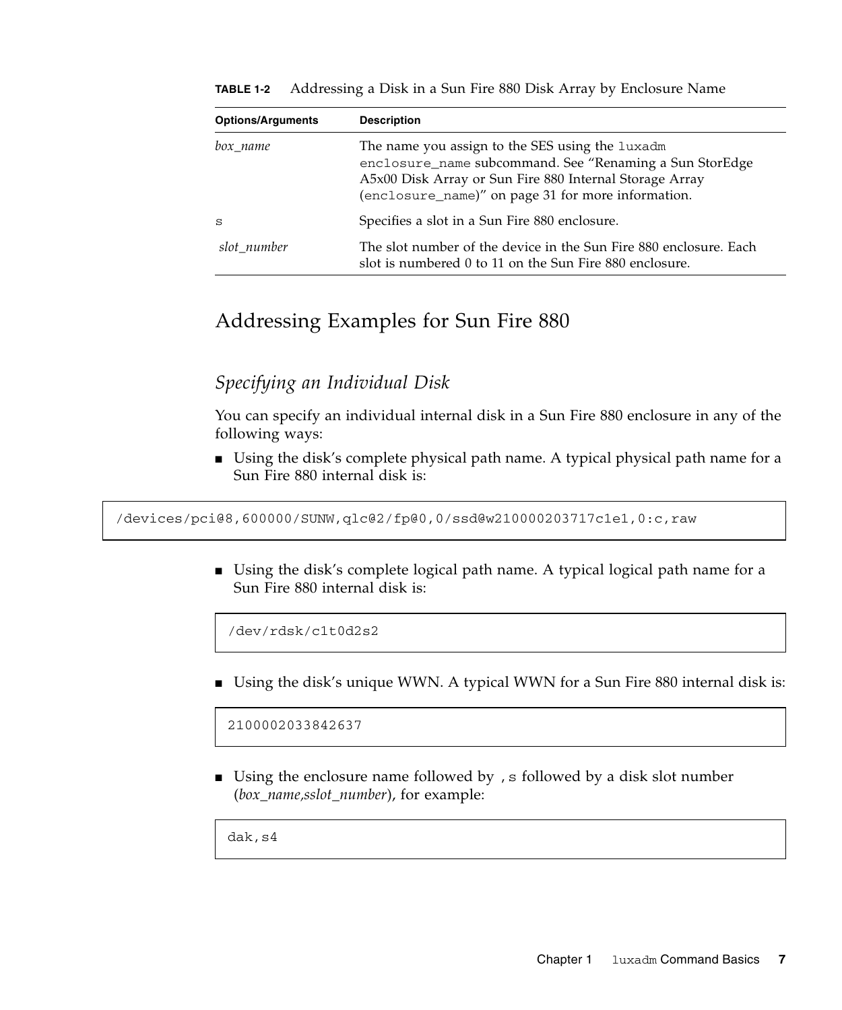| <b>Options/Arguments</b> | <b>Description</b>                                                                                                                                                                                                          |
|--------------------------|-----------------------------------------------------------------------------------------------------------------------------------------------------------------------------------------------------------------------------|
| box name                 | The name you assign to the SES using the luxadm<br>enclosure_name subcommand. See "Renaming a Sun StorEdge<br>A5x00 Disk Array or Sun Fire 880 Internal Storage Array<br>(enclosure_name)" on page 31 for more information. |
| S                        | Specifies a slot in a Sun Fire 880 enclosure.                                                                                                                                                                               |
| slot number              | The slot number of the device in the Sun Fire 880 enclosure. Each<br>slot is numbered 0 to 11 on the Sun Fire 880 enclosure.                                                                                                |

**TABLE 1-2** Addressing a Disk in a Sun Fire 880 Disk Array by Enclosure Name

### Addressing Examples for Sun Fire 880

### *Specifying an Individual Disk*

You can specify an individual internal disk in a Sun Fire 880 enclosure in any of the following ways:

■ Using the disk's complete physical path name. A typical physical path name for a Sun Fire 880 internal disk is:

/devices/pci@8,600000/SUNW,qlc@2/fp@0,0/ssd@w210000203717c1e1,0:c,raw

■ Using the disk's complete logical path name. A typical logical path name for a Sun Fire 880 internal disk is:

/dev/rdsk/c1t0d2s2

■ Using the disk's unique WWN. A typical WWN for a Sun Fire 880 internal disk is:

2100002033842637

■ Using the enclosure name followed by, s followed by a disk slot number (*box\_name,sslot\_number*), for example:

dak,s4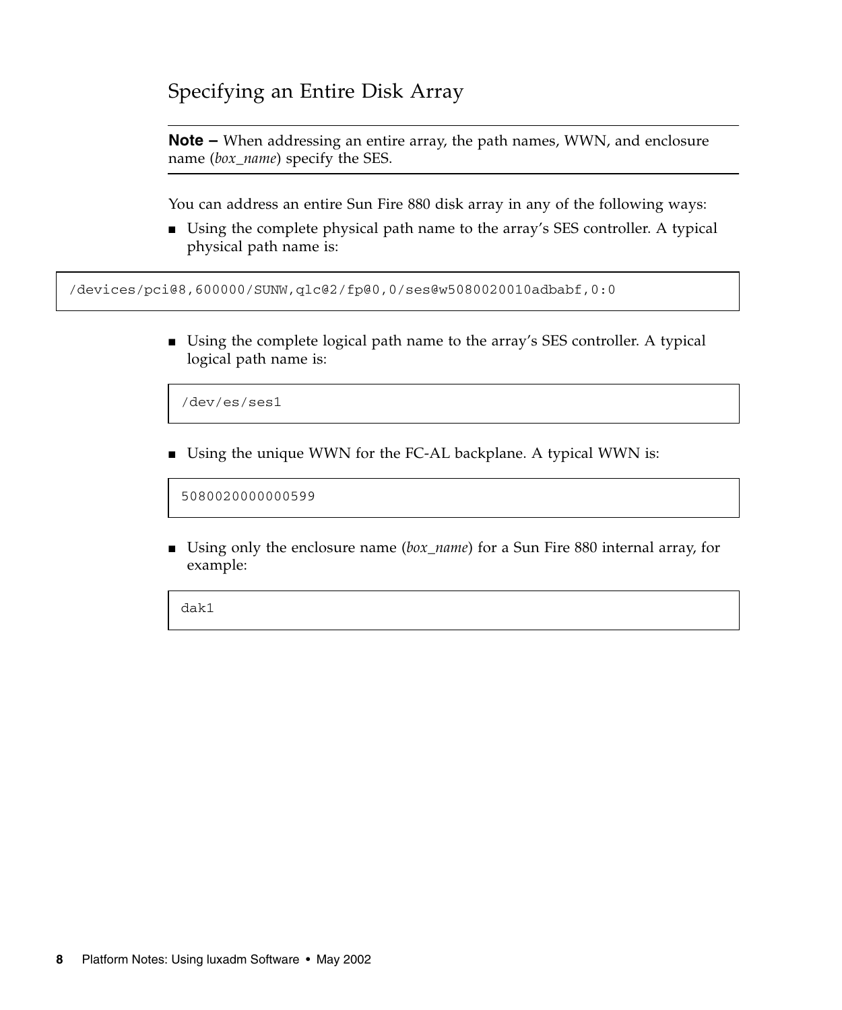### Specifying an Entire Disk Array

**Note –** When addressing an entire array, the path names, WWN, and enclosure name (*box\_name*) specify the SES.

You can address an entire Sun Fire 880 disk array in any of the following ways:

■ Using the complete physical path name to the array's SES controller. A typical physical path name is:

/devices/pci@8,600000/SUNW,qlc@2/fp@0,0/ses@w5080020010adbabf,0:0

■ Using the complete logical path name to the array's SES controller. A typical logical path name is:

/dev/es/ses1

■ Using the unique WWN for the FC-AL backplane. A typical WWN is:

5080020000000599

■ Using only the enclosure name (*box\_name*) for a Sun Fire 880 internal array, for example:

dak1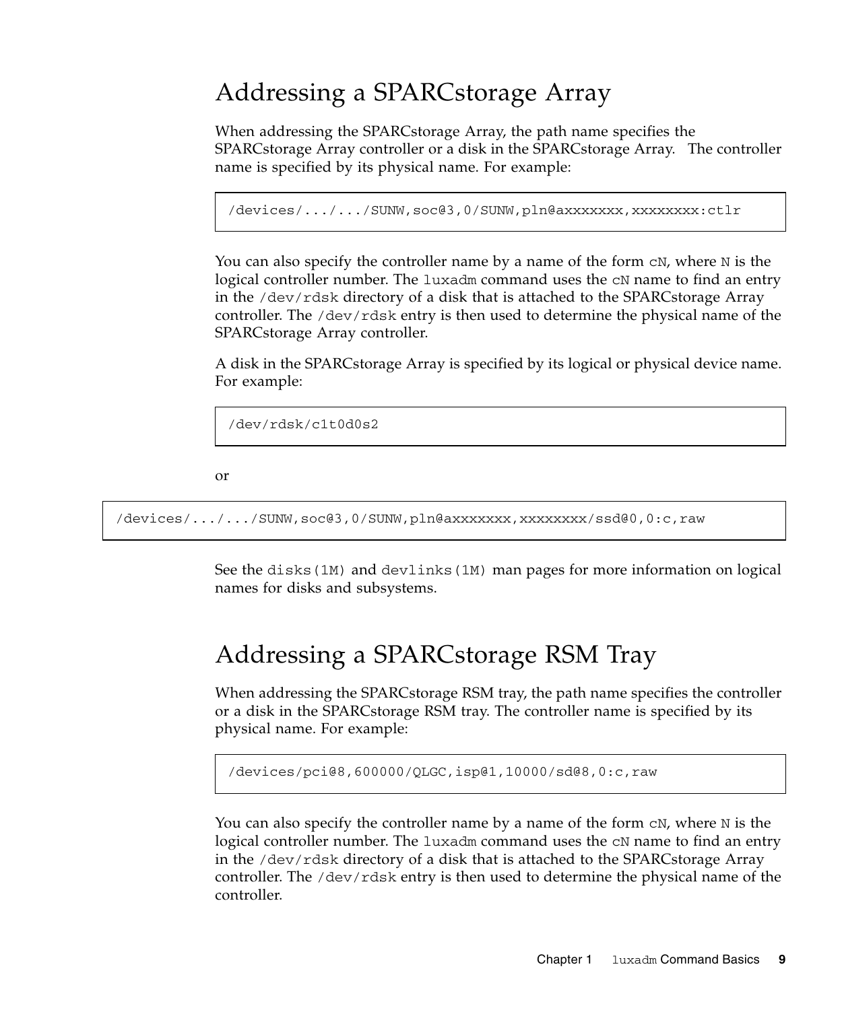## <span id="page-20-0"></span>Addressing a SPARCstorage Array

When addressing the SPARCstorage Array, the path name specifies the SPARCstorage Array controller or a disk in the SPARCstorage Array. The controller name is specified by its physical name. For example:

```
/devices/.../.../SUNW,soc@3,0/SUNW,pln@axxxxxxxx,xxxxxxx:ctlr
```
You can also specify the controller name by a name of the form  $\text{cN}$ , where N is the logical controller number. The luxadm command uses the cN name to find an entry in the /dev/rdsk directory of a disk that is attached to the SPARCstorage Array controller. The  $/$  dev $/$ rdsk entry is then used to determine the physical name of the SPARCstorage Array controller.

A disk in the SPARCstorage Array is specified by its logical or physical device name. For example:

/dev/rdsk/c1t0d0s2

or

```
/devices/.../.../SUNW,soc@3,0/SUNW,pln@axxxxxxx,xxxxxxxx/ssd@0,0:c,raw
```
See the disks (1M) and devlinks (1M) man pages for more information on logical names for disks and subsystems.

### <span id="page-20-1"></span>Addressing a SPARCstorage RSM Tray

When addressing the SPARCstorage RSM tray, the path name specifies the controller or a disk in the SPARCstorage RSM tray. The controller name is specified by its physical name. For example:

```
/devices/pci@8,600000/QLGC,isp@1,10000/sd@8,0:c,raw
```
You can also specify the controller name by a name of the form  $\text{cN}$ , where N is the logical controller number. The luxadm command uses the cN name to find an entry in the /dev/rdsk directory of a disk that is attached to the SPARCstorage Array controller. The /dev/rdsk entry is then used to determine the physical name of the controller.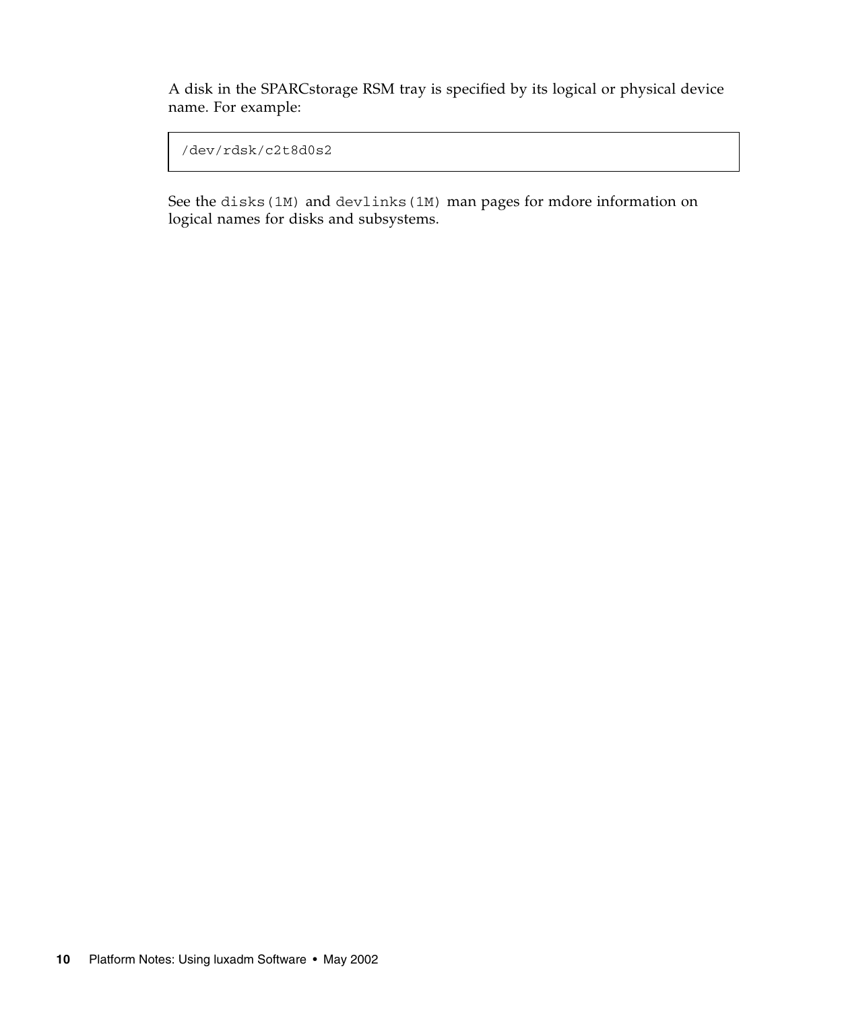A disk in the SPARCstorage RSM tray is specified by its logical or physical device name. For example:

/dev/rdsk/c2t8d0s2

See the disks(1M) and devlinks(1M) man pages for mdore information on logical names for disks and subsystems.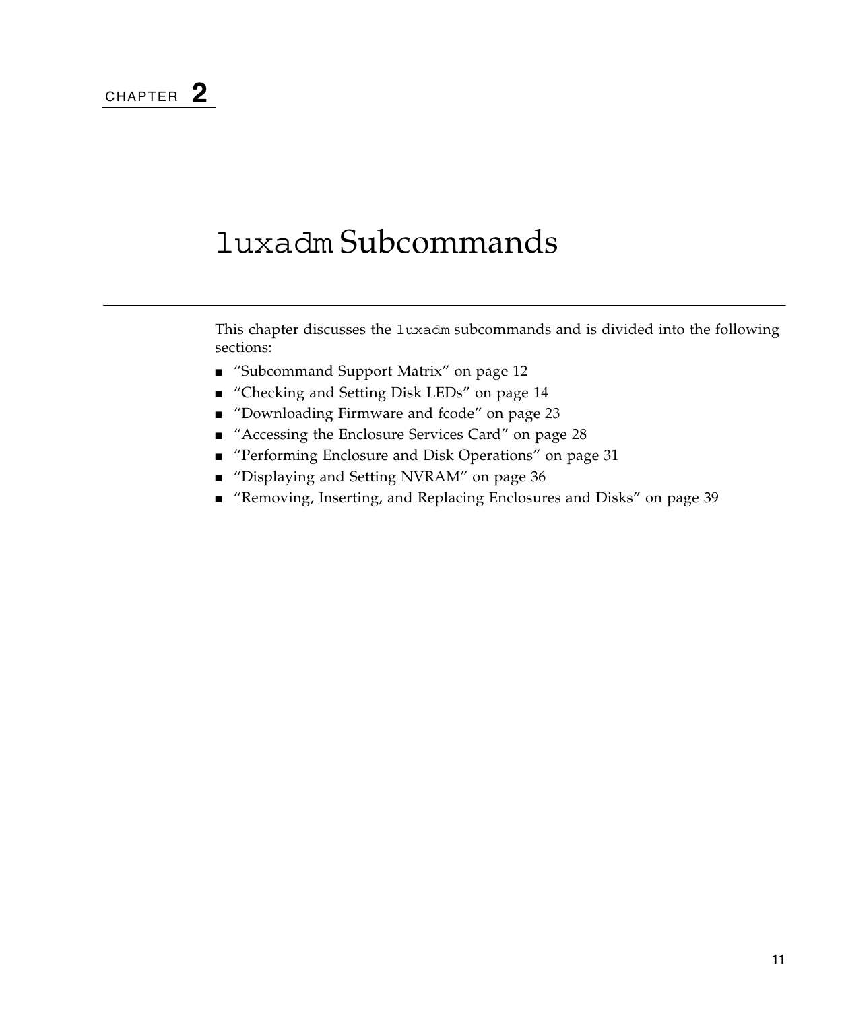## <span id="page-22-0"></span>luxadm Subcommands

This chapter discusses the luxadm subcommands and is divided into the following sections:

- ["Subcommand Support Matrix" on page 12](#page-23-0)
- ["Checking and Setting Disk LEDs" on page 14](#page-25-0)
- ["Downloading Firmware and fcode" on page 23](#page-34-0)
- ["Accessing the Enclosure Services Card" on page 28](#page-39-1)
- ["Performing Enclosure and Disk Operations" on page 31](#page-42-0)
- ["Displaying and Setting NVRAM" on page 36](#page-47-1)
- ["Removing, Inserting, and Replacing Enclosures and Disks" on page 39](#page-50-0)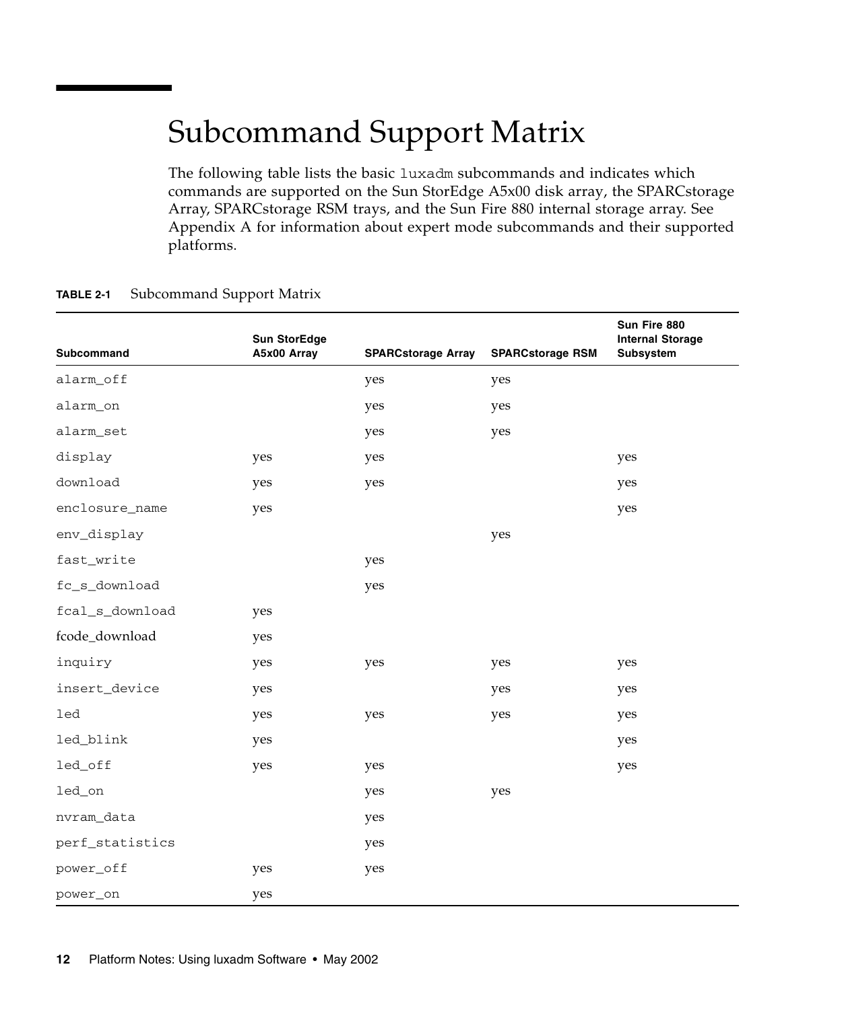# <span id="page-23-0"></span>Subcommand Support Matrix

The following table lists the basic luxadm subcommands and indicates which commands are supported on the Sun StorEdge A5x00 disk array, the SPARCstorage Array, SPARCstorage RSM trays, and the Sun Fire 880 internal storage array. See [Appendix A](#page-82-1) for information about expert mode subcommands and their supported platforms.

|                 | <b>Sun StorEdge</b> |                           |                         | Sun Fire 880<br><b>Internal Storage</b> |
|-----------------|---------------------|---------------------------|-------------------------|-----------------------------------------|
| Subcommand      | A5x00 Array         | <b>SPARCstorage Array</b> | <b>SPARCstorage RSM</b> | Subsystem                               |
| alarm_off       |                     | yes                       | yes                     |                                         |
| alarm_on        |                     | yes                       | yes                     |                                         |
| alarm_set       |                     | yes                       | yes                     |                                         |
| display         | yes                 | yes                       |                         | yes                                     |
| download        | yes                 | yes                       |                         | yes                                     |
| enclosure_name  | yes                 |                           |                         | yes                                     |
| env_display     |                     |                           | yes                     |                                         |
| fast_write      |                     | yes                       |                         |                                         |
| fc_s_download   |                     | yes                       |                         |                                         |
| fcal_s_download | yes                 |                           |                         |                                         |
| fcode_download  | yes                 |                           |                         |                                         |
| inquiry         | yes                 | yes                       | yes                     | yes                                     |
| insert_device   | yes                 |                           | yes                     | yes                                     |
| led             | yes                 | yes                       | yes                     | yes                                     |
| led_blink       | yes                 |                           |                         | yes                                     |
| led_off         | yes                 | yes                       |                         | yes                                     |
| led_on          |                     | yes                       | yes                     |                                         |
| nvram_data      |                     | yes                       |                         |                                         |
| perf_statistics |                     | yes                       |                         |                                         |
| power_off       | yes                 | yes                       |                         |                                         |
| power_on        | yes                 |                           |                         |                                         |

#### **TABLE 2-1** Subcommand Support Matrix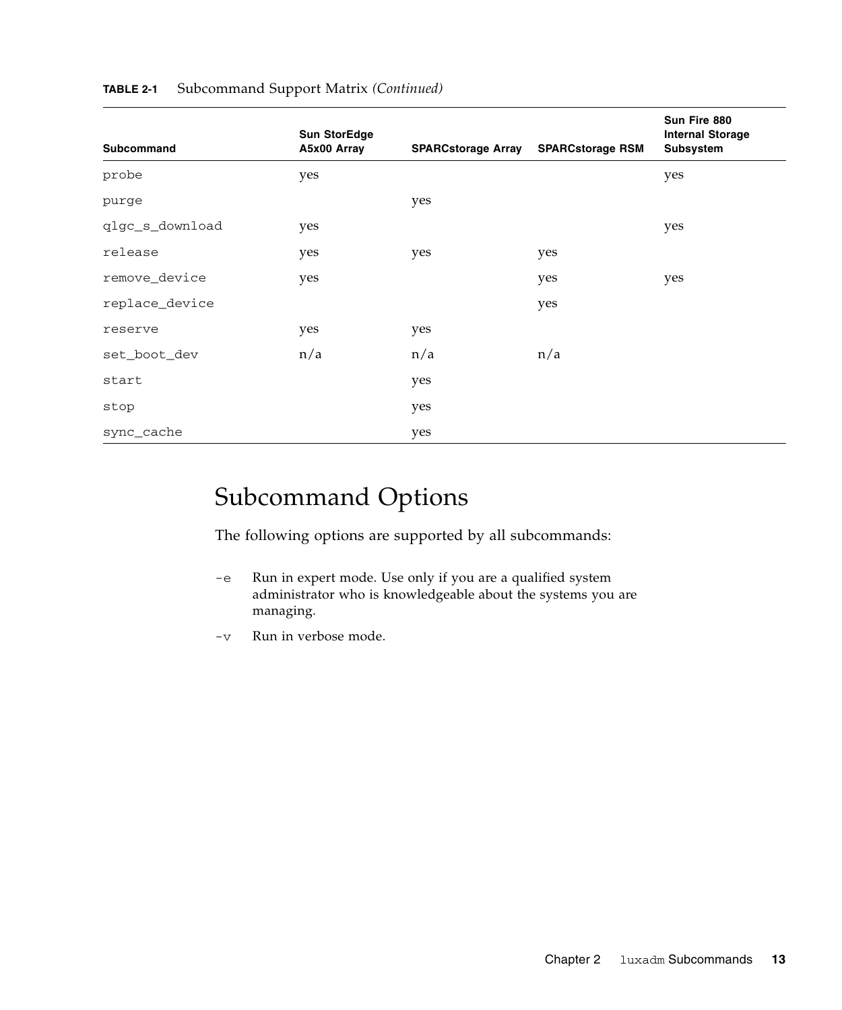| Subcommand      | Sun StorEdge<br>A5x00 Array | <b>SPARCstorage Array</b> | <b>SPARCstorage RSM</b> | Sun Fire 880<br><b>Internal Storage</b><br>Subsystem |
|-----------------|-----------------------------|---------------------------|-------------------------|------------------------------------------------------|
| probe           | yes                         |                           |                         | yes                                                  |
| purge           |                             | yes                       |                         |                                                      |
| qlgc_s_download | yes                         |                           |                         | yes                                                  |
| release         | yes                         | yes                       | yes                     |                                                      |
| remove_device   | yes                         |                           | yes                     | yes                                                  |
| replace_device  |                             |                           | yes                     |                                                      |
| reserve         | yes                         | yes                       |                         |                                                      |
| set_boot_dev    | n/a                         | n/a                       | n/a                     |                                                      |
| start           |                             | yes                       |                         |                                                      |
| stop            |                             | yes                       |                         |                                                      |
| sync_cache      |                             | yes                       |                         |                                                      |

#### **TABLE 2-1** Subcommand Support Matrix *(Continued)*

### <span id="page-24-0"></span>Subcommand Options

The following options are supported by all subcommands:

- -e Run in expert mode. Use only if you are a qualified system administrator who is knowledgeable about the systems you are managing.
- -v Run in verbose mode.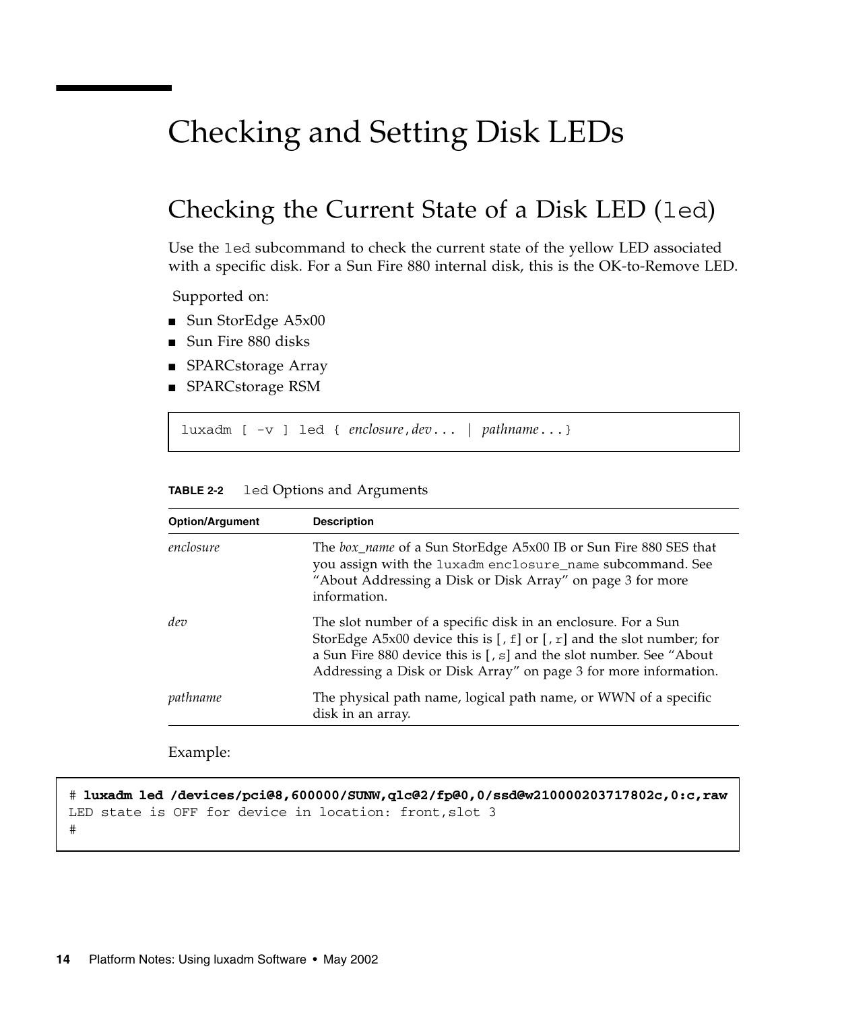## <span id="page-25-0"></span>Checking and Setting Disk LEDs

### <span id="page-25-1"></span>Checking the Current State of a Disk LED (led)

Use the led subcommand to check the current state of the yellow LED associated with a specific disk. For a Sun Fire 880 internal disk, this is the OK-to-Remove LED.

Supported on:

- Sun StorEdge A5x00
- Sun Fire 880 disks
- SPARCstorage Array
- SPARCstorage RSM

luxadm [ -v ] led { *enclosure*,*dev*... | *pathname*...}

| <b>Option/Argument</b> | <b>Description</b>                                                                                                                                                                                                                                                                      |
|------------------------|-----------------------------------------------------------------------------------------------------------------------------------------------------------------------------------------------------------------------------------------------------------------------------------------|
| enclosure              | The box_name of a Sun StorEdge A5x00 IB or Sun Fire 880 SES that<br>you assign with the luxadm enclosure_name subcommand. See<br>"About Addressing a Disk or Disk Array" on page 3 for more<br>information.                                                                             |
| dev                    | The slot number of a specific disk in an enclosure. For a Sun<br>StorEdge A5x00 device this is [, $f$ ] or [, $r$ ] and the slot number; for<br>a Sun Fire 880 device this is [, s] and the slot number. See "About<br>Addressing a Disk or Disk Array" on page 3 for more information. |
| pathname               | The physical path name, logical path name, or WWN of a specific<br>disk in an array.                                                                                                                                                                                                    |

| <b>TABLE 2-2</b> | led Options and Arguments |  |
|------------------|---------------------------|--|
|------------------|---------------------------|--|

#### Example:

# **luxadm led /devices/pci@8,600000/SUNW,qlc@2/fp@0,0/ssd@w210000203717802c,0:c,raw** LED state is OFF for device in location: front,slot 3 #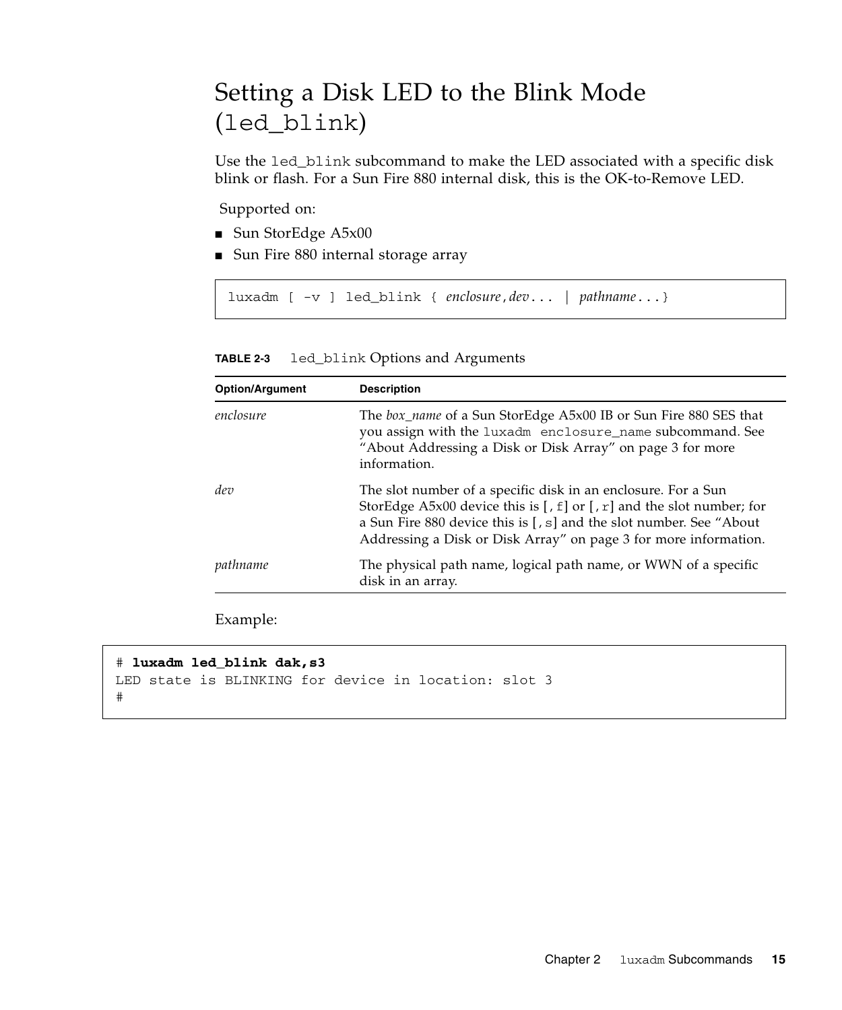## <span id="page-26-0"></span>Setting a Disk LED to the Blink Mode (led\_blink)

Use the led\_blink subcommand to make the LED associated with a specific disk blink or flash. For a Sun Fire 880 internal disk, this is the OK-to-Remove LED.

Supported on:

- Sun StorEdge A5x00
- Sun Fire 880 internal storage array

luxadm [ -v ] led\_blink { *enclosure*,*dev*... | *pathname*...}

| <b>Option/Argument</b> | <b>Description</b>                                                                                                                                                                                                                                                                      |
|------------------------|-----------------------------------------------------------------------------------------------------------------------------------------------------------------------------------------------------------------------------------------------------------------------------------------|
| enclosure              | The box_name of a Sun StorEdge A5x00 IB or Sun Fire 880 SES that<br>you assign with the luxadm enclosure_name subcommand. See<br>"About Addressing a Disk or Disk Array" on page 3 for more<br>information.                                                                             |
| dev                    | The slot number of a specific disk in an enclosure. For a Sun<br>StorEdge A5x00 device this is [, $f$ ] or [, $r$ ] and the slot number; for<br>a Sun Fire 880 device this is [, s] and the slot number. See "About<br>Addressing a Disk or Disk Array" on page 3 for more information. |
| pathname               | The physical path name, logical path name, or WWN of a specific<br>disk in an array.                                                                                                                                                                                                    |

**TABLE 2-3** led\_blink Options and Arguments

Example:

```
# luxadm led_blink dak,s3
LED state is BLINKING for device in location: slot 3
#
```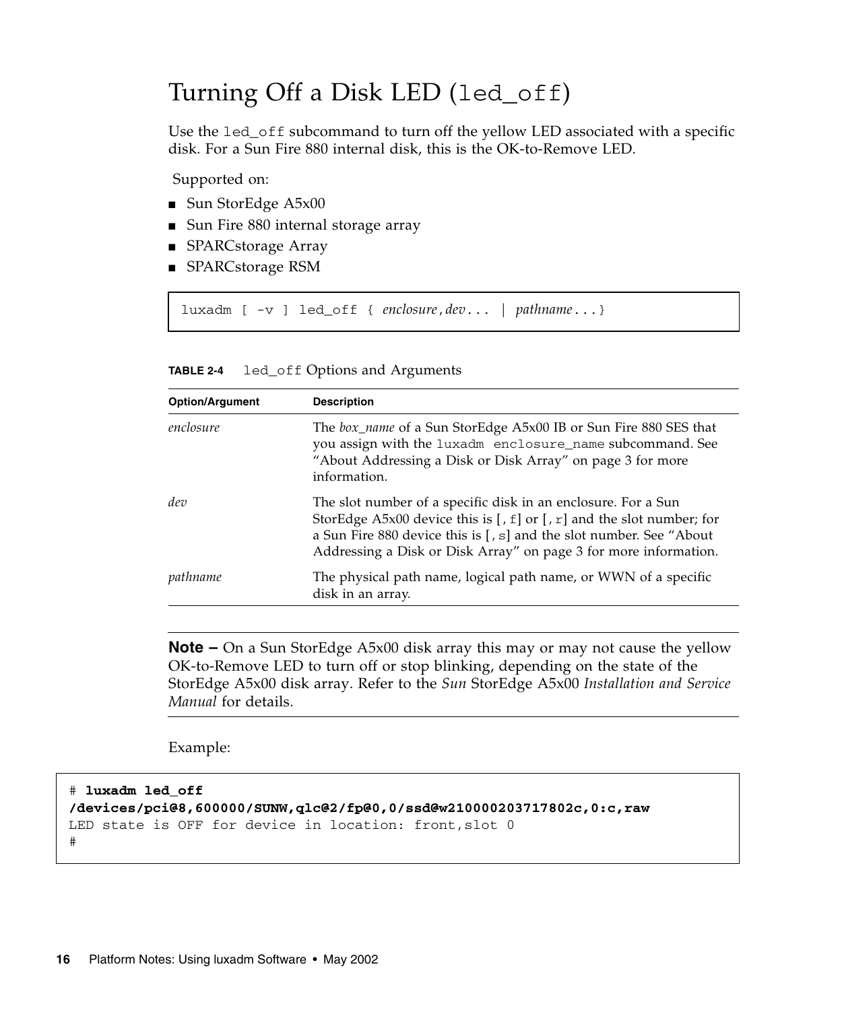## <span id="page-27-0"></span>Turning Off a Disk LED (led\_off)

Use the led\_off subcommand to turn off the yellow LED associated with a specific disk. For a Sun Fire 880 internal disk, this is the OK-to-Remove LED.

Supported on:

- Sun StorEdge A5x00
- Sun Fire 880 internal storage array
- SPARCstorage Array
- SPARCstorage RSM

luxadm [ -v ] led\_off { *enclosure*,*dev*... | *pathname*...}

#### **TABLE 2-4** led\_off Options and Arguments

| <b>Option/Argument</b> | <b>Description</b>                                                                                                                                                                                                                                                                       |
|------------------------|------------------------------------------------------------------------------------------------------------------------------------------------------------------------------------------------------------------------------------------------------------------------------------------|
| enclosure              | The box_name of a Sun StorEdge A5x00 IB or Sun Fire 880 SES that<br>you assign with the luxadm enclosure_name subcommand. See<br>"About Addressing a Disk or Disk Array" on page 3 for more<br>information.                                                                              |
| dev                    | The slot number of a specific disk in an enclosure. For a Sun<br>StorEdge A5x00 device this is [, $f$ ] or [, $r$ ] and the slot number; for<br>a Sun Fire 880 device this is [, s] and the slot number. See "About"<br>Addressing a Disk or Disk Array" on page 3 for more information. |
| pathname               | The physical path name, logical path name, or WWN of a specific<br>disk in an array.                                                                                                                                                                                                     |

**Note –** On a Sun StorEdge A5x00 disk array this may or may not cause the yellow OK-to-Remove LED to turn off or stop blinking, depending on the state of the StorEdge A5x00 disk array. Refer to the *Sun* StorEdge A5x00 *Installation and Service Manual* for details.

#### Example:

```
# luxadm led_off
/devices/pci@8,600000/SUNW,qlc@2/fp@0,0/ssd@w210000203717802c,0:c,raw
LED state is OFF for device in location: front,slot 0
#
```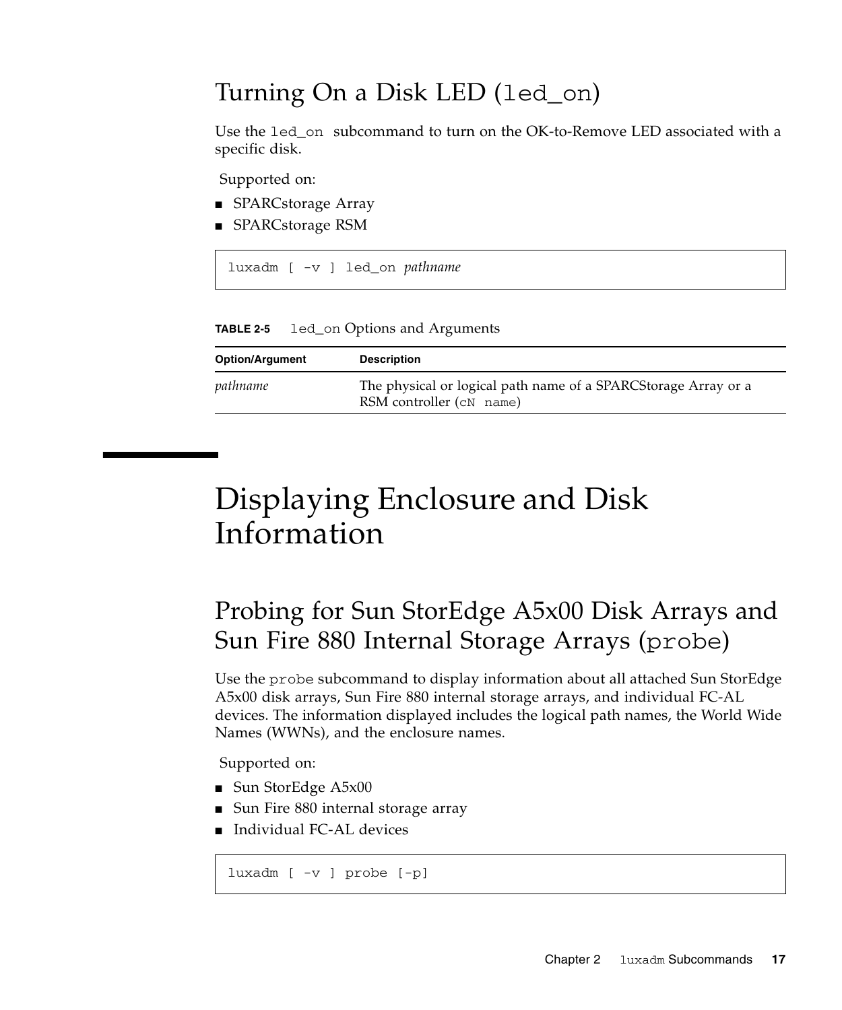## <span id="page-28-0"></span>Turning On a Disk LED (led\_on)

Use the led\_on subcommand to turn on the OK-to-Remove LED associated with a specific disk.

Supported on:

- SPARCstorage Array
- SPARCstorage RSM

luxadm [ -v ] led\_on *pathname*

**TABLE 2-5** led\_on Options and Arguments

| <b>Option/Argument</b> | <b>Description</b>                                                                         |  |
|------------------------|--------------------------------------------------------------------------------------------|--|
| pathname               | The physical or logical path name of a SPARCStorage Array or a<br>RSM controller (cN name) |  |

# <span id="page-28-1"></span>Displaying Enclosure and Disk Information

## <span id="page-28-2"></span>Probing for Sun StorEdge A5x00 Disk Arrays and Sun Fire 880 Internal Storage Arrays (probe)

Use the probe subcommand to display information about all attached Sun StorEdge A5x00 disk arrays, Sun Fire 880 internal storage arrays, and individual FC-AL devices. The information displayed includes the logical path names, the World Wide Names (WWNs), and the enclosure names.

Supported on:

- Sun StorEdge A5x00
- Sun Fire 880 internal storage array
- Individual FC-AL devices

```
luxadm [ -v ] probe [-p]
```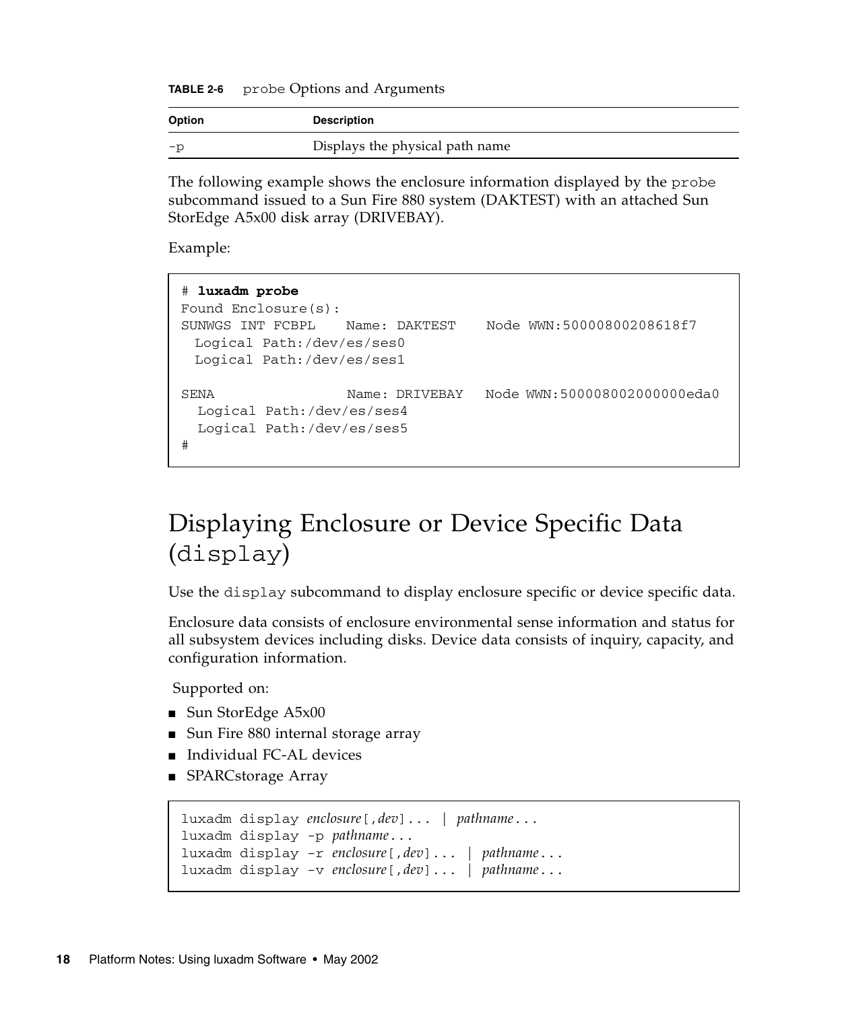```
TABLE 2-6 probe Options and Arguments
```

| Option | <b>Description</b>              |
|--------|---------------------------------|
| -ro    | Displays the physical path name |

The following example shows the enclosure information displayed by the probe subcommand issued to a Sun Fire 880 system (DAKTEST) with an attached Sun StorEdge A5x00 disk array (DRIVEBAY).

Example:

```
# luxadm probe
Found Enclosure(s):
SUNWGS INT FCBPL Name: DAKTEST Node WWN:50000800208618f7
 Logical Path:/dev/es/ses0
 Logical Path:/dev/es/ses1
SENA Name: DRIVEBAY Node WWN:500008002000000eda0
  Logical Path:/dev/es/ses4
  Logical Path:/dev/es/ses5
#
```
## <span id="page-29-0"></span>Displaying Enclosure or Device Specific Data (display)

Use the display subcommand to display enclosure specific or device specific data.

Enclosure data consists of enclosure environmental sense information and status for all subsystem devices including disks. Device data consists of inquiry, capacity, and configuration information.

Supported on:

- Sun StorEdge A5x00
- Sun Fire 880 internal storage array
- Individual FC-AL devices
- SPARCstorage Array

```
luxadm display enclosure[,dev]... | pathname...
luxadm display -p pathname...
luxadm display -r enclosure[,dev]... | pathname...
luxadm display -v enclosure[,dev]... | pathname...
```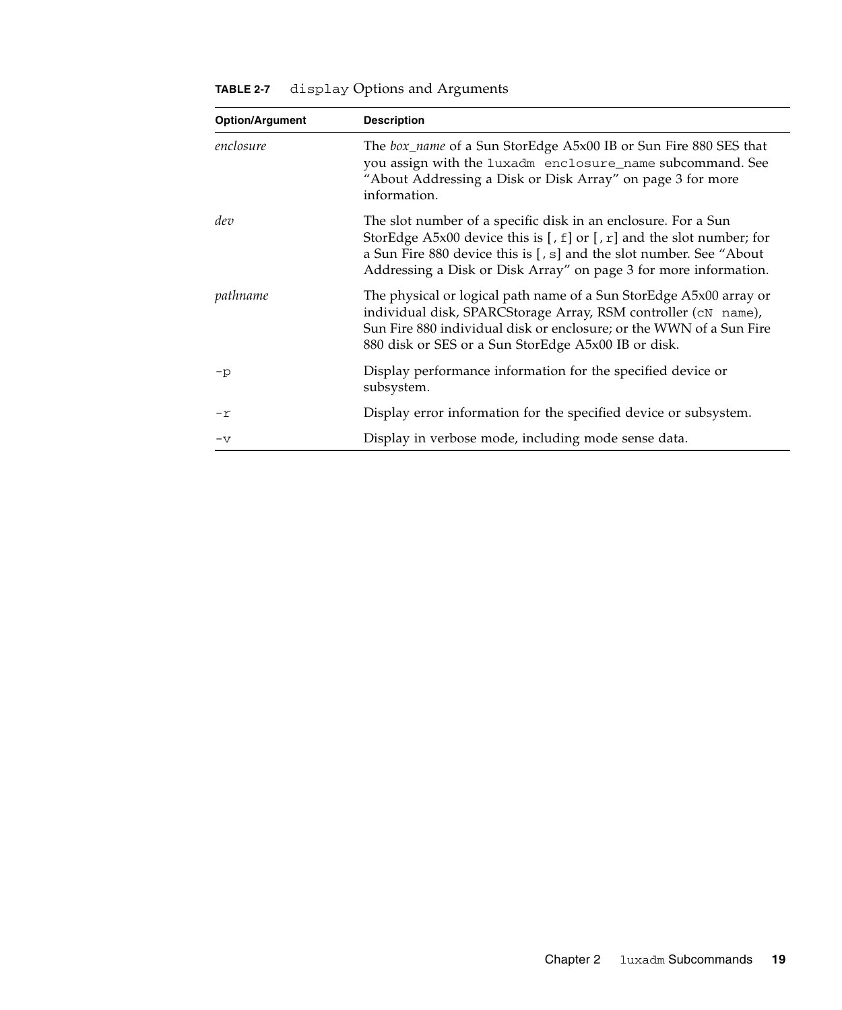| <b>Option/Argument</b> | <b>Description</b>                                                                                                                                                                                                                                                                            |
|------------------------|-----------------------------------------------------------------------------------------------------------------------------------------------------------------------------------------------------------------------------------------------------------------------------------------------|
| enclosure              | The box_name of a Sun StorEdge A5x00 IB or Sun Fire 880 SES that<br>you assign with the luxadm enclosure_name subcommand. See<br>"About Addressing a Disk or Disk Array" on page 3 for more<br>information.                                                                                   |
| dev                    | The slot number of a specific disk in an enclosure. For a Sun<br>StorEdge A5x00 device this is $[, f]$ or $[, r]$ and the slot number; for<br>a Sun Fire 880 device this is $\lceil$ , s and the slot number. See "About"<br>Addressing a Disk or Disk Array" on page 3 for more information. |
| pathname               | The physical or logical path name of a Sun StorEdge A5x00 array or<br>individual disk, SPARCStorage Array, RSM controller (CN name),<br>Sun Fire 880 individual disk or enclosure; or the WWN of a Sun Fire<br>880 disk or SES or a Sun StorEdge A5x00 IB or disk.                            |
| -p                     | Display performance information for the specified device or<br>subsystem.                                                                                                                                                                                                                     |
| $-r$                   | Display error information for the specified device or subsystem.                                                                                                                                                                                                                              |
| $-v$                   | Display in verbose mode, including mode sense data.                                                                                                                                                                                                                                           |

**TABLE 2-7** display Options and Arguments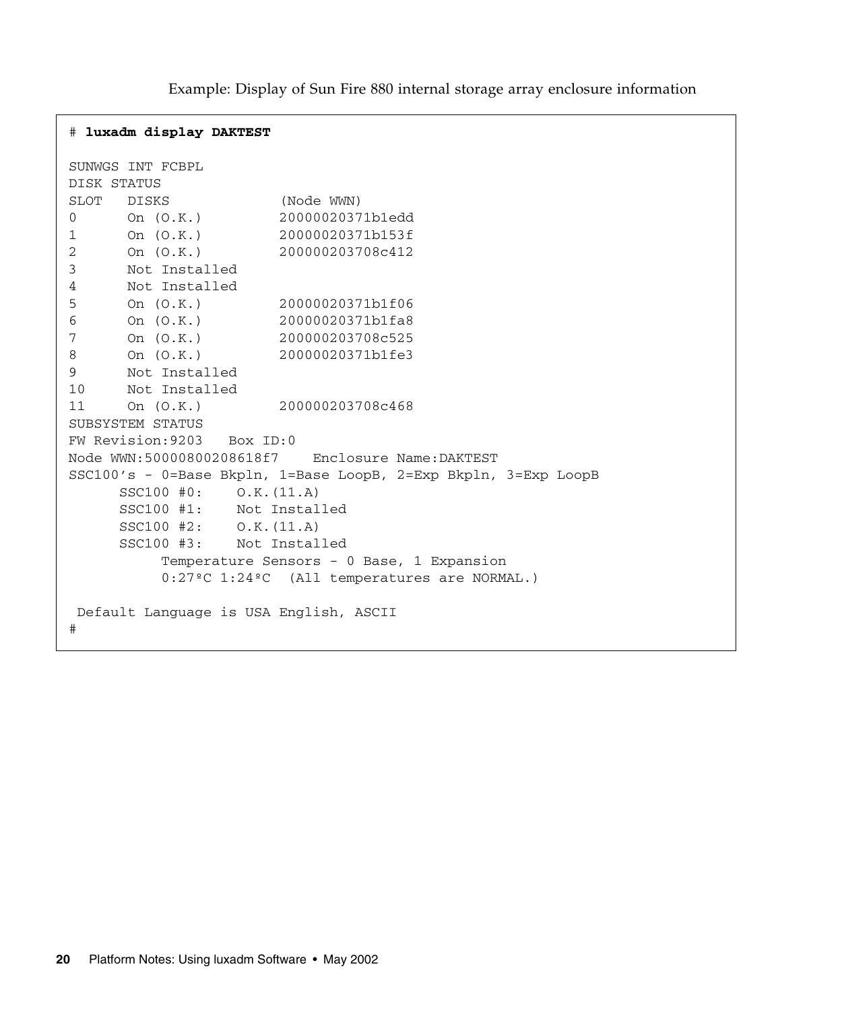```
# luxadm display DAKTEST
SUNWGS INT FCBPL
DISK STATUS
SLOT DISKS (Node WWN)
0 On (O.K.) 20000020371b1edd
1 On (O.K.) 20000020371b153f
2 On (O.K.) 200000203708c412
3 Not Installed
4 Not Installed
5 On (O.K.) 20000020371b1f06
6 On (O.K.) 20000020371b1fa8
7 On (O.K.) 200000203708c525
8 On (O.K.) 20000020371b1fe3
9 Not Installed
10 Not Installed
11 On (O.K.) 200000203708c468
SUBSYSTEM STATUS
FW Revision:9203 Box ID:0
Node WWN:50000800208618f7 Enclosure Name:DAKTEST
SSC100's - 0=Base Bkpln, 1=Base LoopB, 2=Exp Bkpln, 3=Exp LoopB
     SSC100 #0: O.K.(11.A)
     SSC100 #1: Not Installed
     SSC100 #2: O.K.(11.A)
     SSC100 #3: Not Installed
          Temperature Sensors - 0 Base, 1 Expansion
          0:27ºC 1:24ºC (All temperatures are NORMAL.)
 Default Language is USA English, ASCII
#
```
Example: Display of Sun Fire 880 internal storage array enclosure information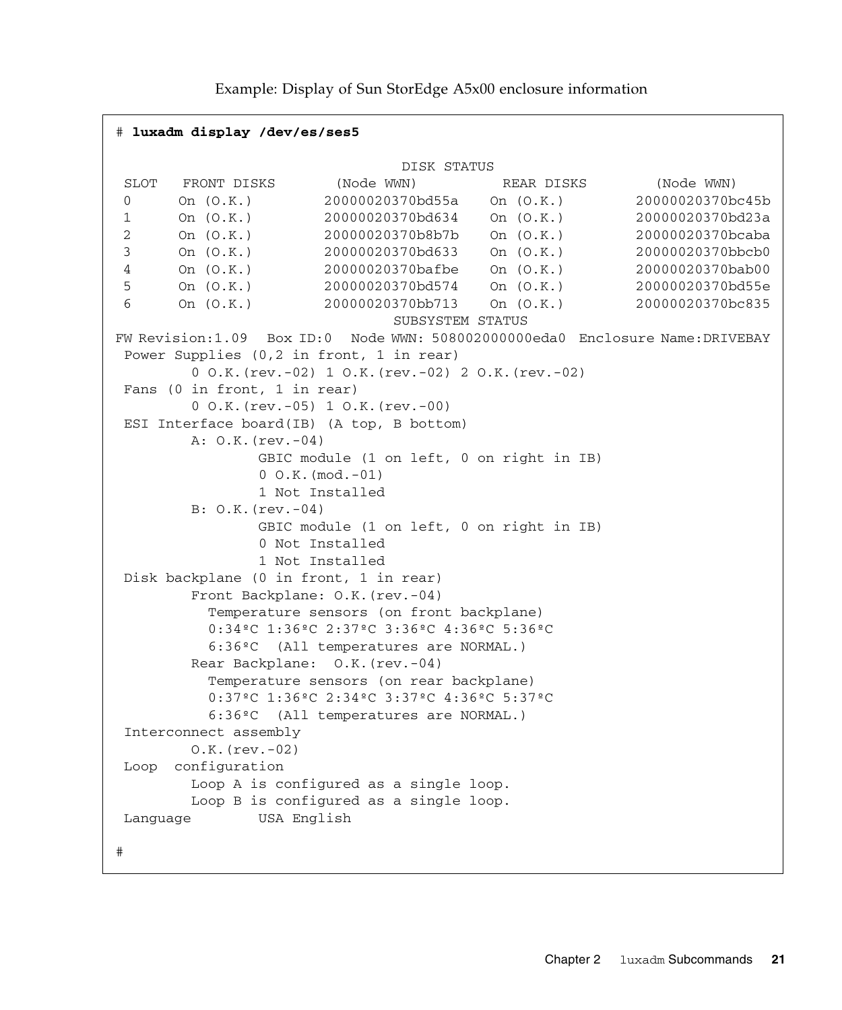Example: Display of Sun StorEdge A5x00 enclosure information

```
# luxadm display /dev/es/ses5
                                DISK STATUS
 SLOT FRONT DISKS (Node WWN) REAR DISKS (Node WWN)
0 On (O.K.) 20000020370bd55a On (O.K.) 20000020370bc45b
1 On (O.K.) 20000020370bd634 On (O.K.) 20000020370bd23a
2 On (O.K.) 20000020370b8b7b On (O.K.) 20000020370bcaba
3 On (O.K.) 20000020370bd633 On (O.K.) 20000020370bbcb0
4 On (O.K.) 20000020370bafbe On (O.K.) 20000020370bab00
5 On (O.K.) 20000020370bd574 On (O.K.) 20000020370bd55e
6 On (O.K.) 20000020370bb713 On (O.K.) 20000020370bc835
                               SUBSYSTEM STATUS
FW Revision:1.09 Box ID:0 Node WWN: 508002000000eda0 Enclosure Name:DRIVEBAY
 Power Supplies (0,2 in front, 1 in rear)
         0 O.K.(rev.-02) 1 O.K.(rev.-02) 2 O.K.(rev.-02)
 Fans (0 in front, 1 in rear)
         0 O.K.(rev.-05) 1 O.K.(rev.-00)
 ESI Interface board(IB) (A top, B bottom)
         A: O.K.(rev.-04)
                GBIC module (1 on left, 0 on right in IB)
                0 O.K.(mod.-01)
                1 Not Installed
         B: O.K.(rev.-04)
                GBIC module (1 on left, 0 on right in IB)
                0 Not Installed
                1 Not Installed
 Disk backplane (0 in front, 1 in rear)
         Front Backplane: O.K.(rev.-04)
           Temperature sensors (on front backplane)
           0:34ºC 1:36ºC 2:37ºC 3:36ºC 4:36ºC 5:36ºC
           6:36ºC (All temperatures are NORMAL.)
         Rear Backplane: O.K.(rev.-04)
          Temperature sensors (on rear backplane)
           0:37ºC 1:36ºC 2:34ºC 3:37ºC 4:36ºC 5:37ºC
           6:36ºC (All temperatures are NORMAL.)
 Interconnect assembly
         O.K.(rev.-02)
 Loop configuration
         Loop A is configured as a single loop.
         Loop B is configured as a single loop.
Language USA English
#
```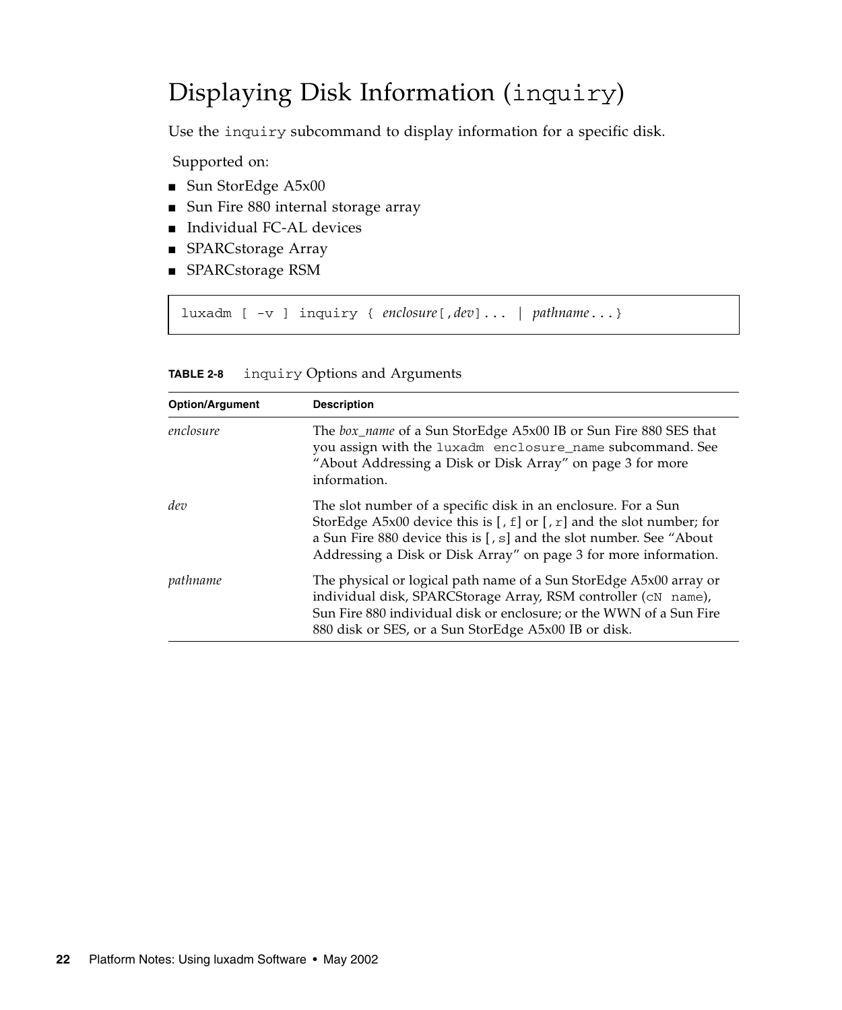## <span id="page-33-0"></span>Displaying Disk Information (inquiry)

Use the inquiry subcommand to display information for a specific disk.

Supported on:

- Sun StorEdge A5x00
- Sun Fire 880 internal storage array
- Individual FC-AL devices
- SPARCstorage Array
- SPARCstorage RSM

luxadm [ -v ] inquiry { *enclosure*[,*dev*]... | *pathname*...}

| TABLE 2-8 |  |  |  | inquiry Options and Arguments |
|-----------|--|--|--|-------------------------------|
|-----------|--|--|--|-------------------------------|

| <b>Option/Argument</b> | <b>Description</b>                                                                                                                                                                                                                                                                                            |
|------------------------|---------------------------------------------------------------------------------------------------------------------------------------------------------------------------------------------------------------------------------------------------------------------------------------------------------------|
| enclosure              | The box_name of a Sun StorEdge A5x00 IB or Sun Fire 880 SES that<br>you assign with the luxadm enclosure_name subcommand. See<br>"About Addressing a Disk or Disk Array" on page 3 for more<br>information.                                                                                                   |
| dev                    | The slot number of a specific disk in an enclosure. For a Sun<br>StorEdge A5x00 device this is [, $f$ ] or [, $r$ ] and the slot number; for<br>a Sun Fire 880 device this is $\left[ \right, s \right]$ and the slot number. See "About"<br>Addressing a Disk or Disk Array" on page 3 for more information. |
| pathname               | The physical or logical path name of a Sun StorEdge A5x00 array or<br>individual disk, SPARCStorage Array, RSM controller (cN name),<br>Sun Fire 880 individual disk or enclosure; or the WWN of a Sun Fire<br>880 disk or SES, or a Sun StorEdge A5x00 IB or disk.                                           |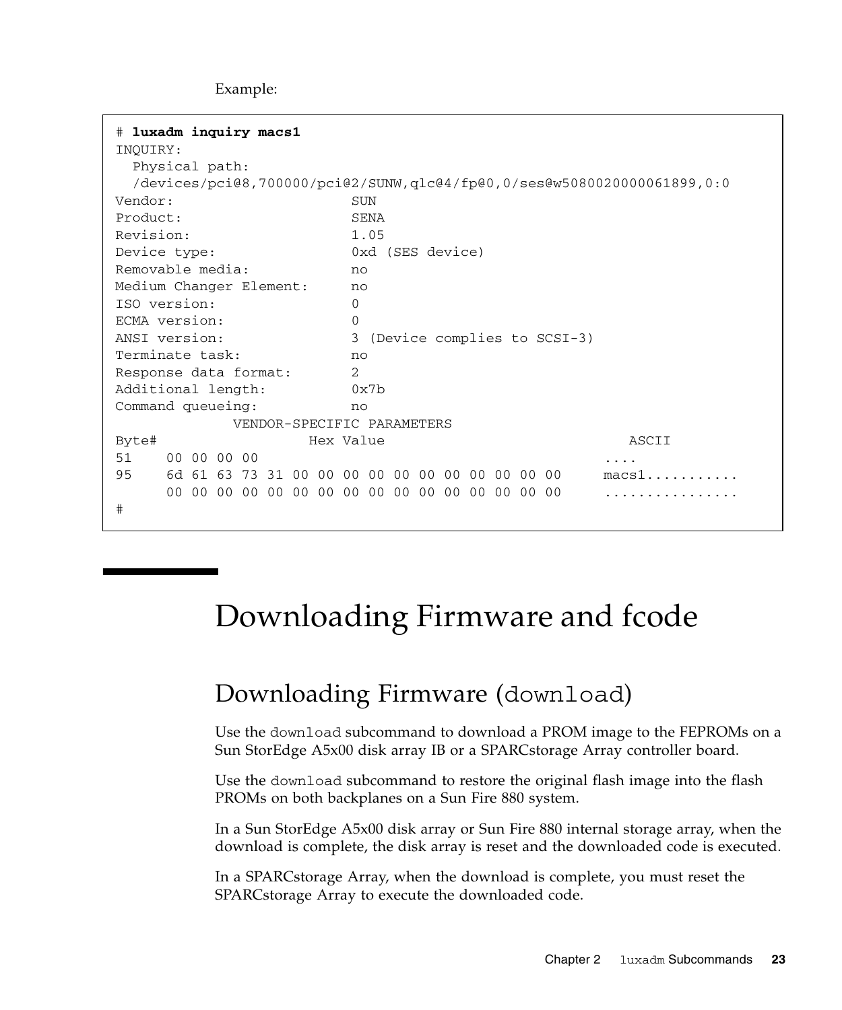Example:

| # luxadm inquiry macs1<br>INOUIRY:<br>Physical path: | /devices/pci@8,700000/pci@2/SUNW,qlc@4/fp@0,0/ses@w5080020000061899,0:0         |  |  |  |
|------------------------------------------------------|---------------------------------------------------------------------------------|--|--|--|
| Vendor:                                              | SUN                                                                             |  |  |  |
| Product:                                             | <b>SENA</b>                                                                     |  |  |  |
| Revision:                                            | 1.05                                                                            |  |  |  |
| Device type:                                         | 0xd (SES device)                                                                |  |  |  |
| Removable media:                                     | no                                                                              |  |  |  |
| Medium Changer Element:                              | no                                                                              |  |  |  |
| ISO version:                                         | $\Omega$                                                                        |  |  |  |
| ECMA version:                                        | $\Omega$                                                                        |  |  |  |
| ANSI version:                                        | 3<br>(Device complies to SCSI-3)                                                |  |  |  |
| Terminate task:                                      | no                                                                              |  |  |  |
| Response data format:                                | $\mathfrak{D}$                                                                  |  |  |  |
| Additional length:                                   | 0x7b                                                                            |  |  |  |
| Command queueing:                                    | no                                                                              |  |  |  |
|                                                      | VENDOR-SPECIFIC PARAMETERS                                                      |  |  |  |
| Byte#                                                | Hex Value<br>ASCII                                                              |  |  |  |
| 51<br>00 00 00 00                                    |                                                                                 |  |  |  |
| 95                                                   | 6d 61 63 73 31 00 00 00 00 00 00 00 00 00 00 00<br>$\text{macs1} \ldots \ldots$ |  |  |  |
| 00 00 00 00 00 00 00 00 00 00                        | 00 00 00<br>00<br>00 <sup>o</sup><br>. N.O                                      |  |  |  |
| #                                                    |                                                                                 |  |  |  |

## <span id="page-34-0"></span>Downloading Firmware and fcode

## <span id="page-34-1"></span>Downloading Firmware (download)

Use the download subcommand to download a PROM image to the FEPROMs on a Sun StorEdge A5x00 disk array IB or a SPARCstorage Array controller board.

Use the download subcommand to restore the original flash image into the flash PROMs on both backplanes on a Sun Fire 880 system.

In a Sun StorEdge A5x00 disk array or Sun Fire 880 internal storage array, when the download is complete, the disk array is reset and the downloaded code is executed.

In a SPARCstorage Array, when the download is complete, you must reset the SPARCstorage Array to execute the downloaded code.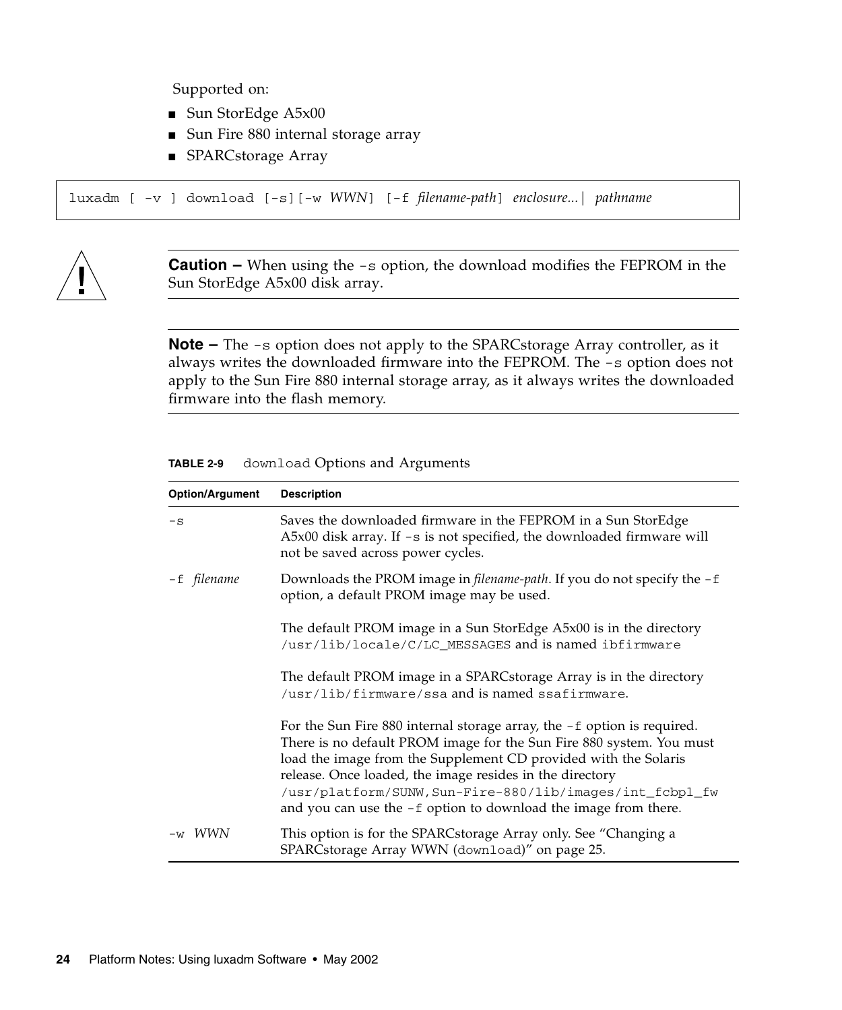Supported on:

- Sun StorEdge A5x00
- Sun Fire 880 internal storage array
- SPARCstorage Array

luxadm [ -v ] download [-s][-w *WWN*] [-f *filename-path*] *enclosure...*| *pathname*



**Caution –** When using the -s option, the download modifies the FEPROM in the Sun StorEdge A5x00 disk array.

**Note –** The  $-$ s option does not apply to the SPARCstorage Array controller, as it always writes the downloaded firmware into the FEPROM. The -s option does not apply to the Sun Fire 880 internal storage array, as it always writes the downloaded firmware into the flash memory.

| <b>Option/Argument</b> | <b>Description</b>                                                                                                                                                                                                                                                                                                                                                                                                    |
|------------------------|-----------------------------------------------------------------------------------------------------------------------------------------------------------------------------------------------------------------------------------------------------------------------------------------------------------------------------------------------------------------------------------------------------------------------|
| $-S$                   | Saves the downloaded firmware in the FEPROM in a Sun StorEdge<br>A5x00 disk array. If -s is not specified, the downloaded firmware will<br>not be saved across power cycles.                                                                                                                                                                                                                                          |
| -f filename            | Downloads the PROM image in <i>filename-path</i> . If you do not specify the $-f$<br>option, a default PROM image may be used.                                                                                                                                                                                                                                                                                        |
|                        | The default PROM image in a Sun StorEdge A5x00 is in the directory<br>/usr/lib/locale/C/LC_MESSAGES and is named ibfirmware                                                                                                                                                                                                                                                                                           |
|                        | The default PROM image in a SPARCstorage Array is in the directory<br>/usr/lib/firmware/ssa and is named ssafirmware.                                                                                                                                                                                                                                                                                                 |
|                        | For the Sun Fire $880$ internal storage array, the $-$ f option is required.<br>There is no default PROM image for the Sun Fire 880 system. You must<br>load the image from the Supplement CD provided with the Solaris<br>release. Once loaded, the image resides in the directory<br>/usr/platform/SUNW, Sun-Fire-880/lib/images/int_fcbpl_fw<br>and you can use the $-$ f option to download the image from there. |
| -w WWN                 | This option is for the SPARCstorage Array only. See "Changing a<br>SPARCstorage Array WWN (download)" on page 25.                                                                                                                                                                                                                                                                                                     |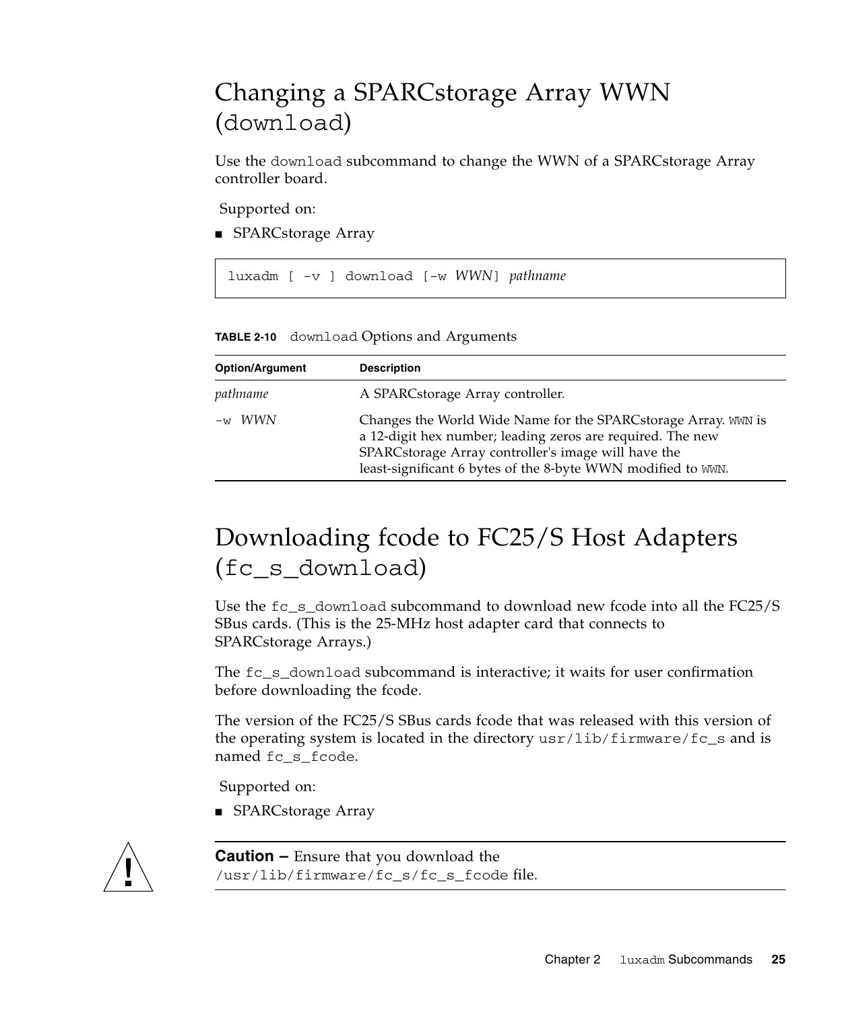# Changing a SPARCstorage Array WWN (download)

Use the download subcommand to change the WWN of a SPARCstorage Array controller board.

Supported on:

■ SPARCstorage Array

luxadm [ -v ] download [-w *WWN*] *pathname*

**TABLE 2-10** download Options and Arguments

| <b>Option/Argument</b> | <b>Description</b>                                                                                                                                                                                                                                  |
|------------------------|-----------------------------------------------------------------------------------------------------------------------------------------------------------------------------------------------------------------------------------------------------|
| pathname               | A SPARCstorage Array controller.                                                                                                                                                                                                                    |
| $-w$ WWN               | Changes the World Wide Name for the SPARCstorage Array. WWN is<br>a 12-digit hex number; leading zeros are required. The new<br>SPARCstorage Array controller's image will have the<br>least-significant 6 bytes of the 8-byte WWN modified to WWN. |

# Downloading fcode to FC25/S Host Adapters (fc\_s\_download)

Use the fc\_s\_download subcommand to download new fcode into all the FC25/S SBus cards. (This is the 25-MHz host adapter card that connects to SPARCstorage Arrays.)

The fc\_s\_download subcommand is interactive; it waits for user confirmation before downloading the fcode.

The version of the FC25/S SBus cards fcode that was released with this version of the operating system is located in the directory  $usr/lib/fi$ rmware/fc\_s and is named fc\_s\_fcode.

Supported on:

■ SPARCstorage Array



**Caution –** Ensure that you download the /usr/lib/firmware/fc\_s/fc\_s\_fcode file.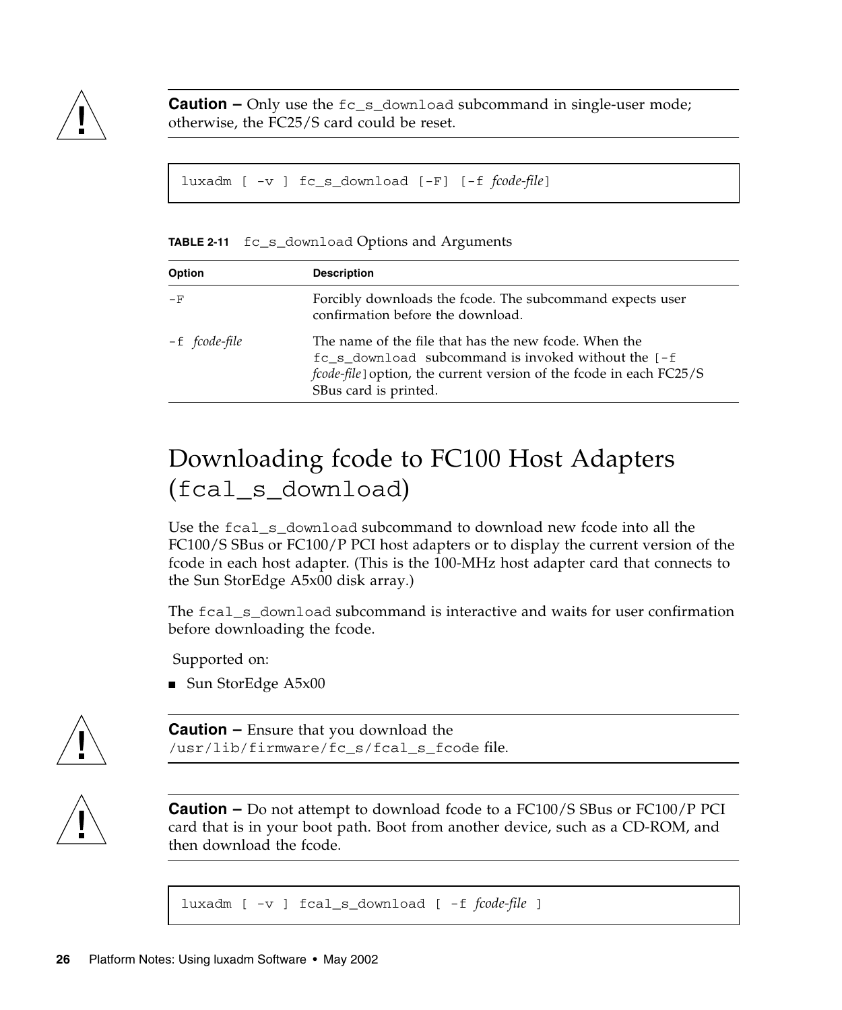

**Caution –** Only use the fc\_s\_download subcommand in single-user mode; otherwise, the FC25/S card could be reset.

```
luxadm [ -v ] fc_s_download [-F] [-f fcode-file]
```
#### **TABLE 2-11** fc\_s\_download Options and Arguments

| Option        | <b>Description</b>                                                                                                                                                                                                              |
|---------------|---------------------------------------------------------------------------------------------------------------------------------------------------------------------------------------------------------------------------------|
| $-F$          | Forcibly downloads the fcode. The subcommand expects user<br>confirmation before the download.                                                                                                                                  |
| -f fcode-file | The name of the file that has the new fcode. When the<br>$\epsilon$ is download subcommand is invoked without the $\epsilon$ -f<br>fcode-file] option, the current version of the fcode in each FC25/S<br>SBus card is printed. |

# Downloading fcode to FC100 Host Adapters (fcal\_s\_download)

Use the fcal s download subcommand to download new fcode into all the FC100/S SBus or FC100/P PCI host adapters or to display the current version of the fcode in each host adapter. (This is the 100-MHz host adapter card that connects to the Sun StorEdge A5x00 disk array.)

The fcal\_s\_download subcommand is interactive and waits for user confirmation before downloading the fcode.

Supported on:

■ Sun StorEdge A5x00



**Caution –** Ensure that you download the /usr/lib/firmware/fc\_s/fcal\_s\_fcode file.



**Caution –** Do not attempt to download fcode to a FC100/S SBus or FC100/P PCI card that is in your boot path. Boot from another device, such as a CD-ROM, and then download the fcode.

luxadm [ -v ] fcal\_s\_download [ -f *fcode-file* ]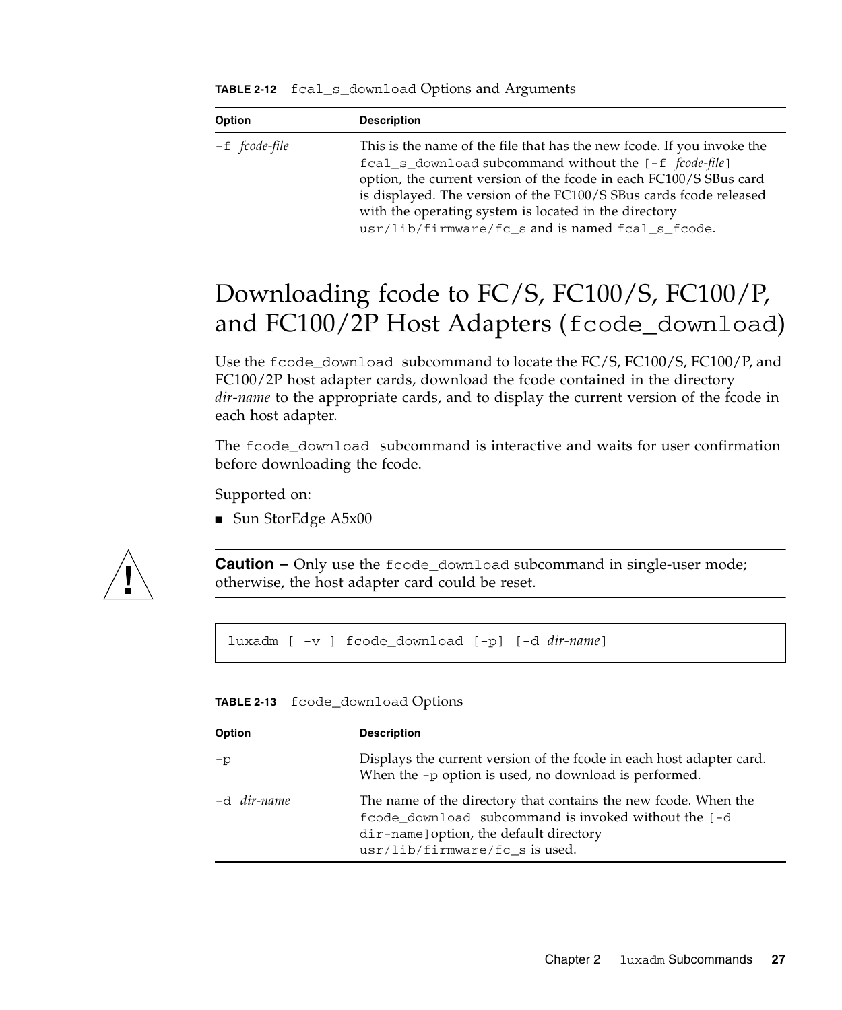| Option        | <b>Description</b>                                                                                                                                                                                                                                                                                                                                                                        |
|---------------|-------------------------------------------------------------------------------------------------------------------------------------------------------------------------------------------------------------------------------------------------------------------------------------------------------------------------------------------------------------------------------------------|
| -f fcode-file | This is the name of the file that has the new fcode. If you invoke the<br>fcal_s_download subcommand without the [-f fcode-file]<br>option, the current version of the fcode in each FC100/S SBus card<br>is displayed. The version of the FC100/S SBus cards fcode released<br>with the operating system is located in the directory<br>usr/lib/firmware/fc_s and is named fcal_s_fcode. |

**TABLE 2-12** fcal\_s\_download Options and Arguments

## Downloading fcode to FC/S, FC100/S, FC100/P, and FC100/2P Host Adapters (fcode\_download)

Use the fcode\_download subcommand to locate the FC/S, FC100/S, FC100/P, and FC100/2P host adapter cards, download the fcode contained in the directory *dir-name* to the appropriate cards, and to display the current version of the fcode in each host adapter.

The fcode\_download subcommand is interactive and waits for user confirmation before downloading the fcode.

Supported on:

■ Sun StorEdge A5x00



**Caution –** Only use the fcode\_download subcommand in single-user mode; otherwise, the host adapter card could be reset.

luxadm [ -v ] fcode\_download [-p] [-d *dir-name*]

| TABLE 2-13 fcode_download Options |  |  |  |  |
|-----------------------------------|--|--|--|--|
|-----------------------------------|--|--|--|--|

| Option      | <b>Description</b>                                                                                                                                                                                   |
|-------------|------------------------------------------------------------------------------------------------------------------------------------------------------------------------------------------------------|
| -p          | Displays the current version of the fcode in each host adapter card.<br>When the -p option is used, no download is performed.                                                                        |
| -d dir-name | The name of the directory that contains the new fcode. When the<br>fcode_download subcommand is invoked without the [-d<br>dir-name] option, the default directory<br>usr/lib/firmware/fc_s is used. |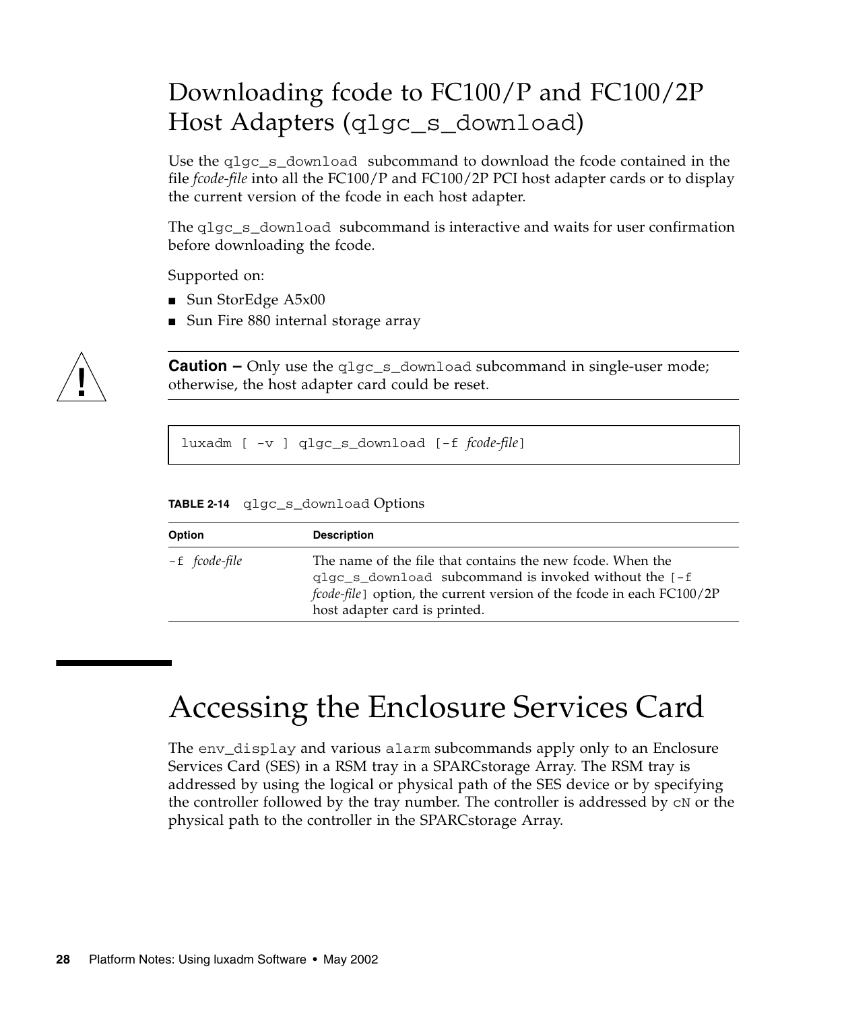# Downloading fcode to FC100/P and FC100/2P Host Adapters (qlgc\_s\_download)

Use the q<sub>1gc\_s\_</sub>download subcommand to download the fcode contained in the file *fcode-file* into all the FC100/P and FC100/2P PCI host adapter cards or to display the current version of the fcode in each host adapter.

The  $q \log_{10} s_{\text{1}}$  download subcommand is interactive and waits for user confirmation before downloading the fcode.

Supported on:

- Sun StorEdge A5x00
- Sun Fire 880 internal storage array



**Caution** – Only use the q<sub>1gc\_s\_download subcommand in single-user mode;</sub> otherwise, the host adapter card could be reset.

luxadm [ -v ] qlgc\_s\_download [-f *fcode-file*]

**TABLE 2-14** qlgc\_s\_download Options

| Option        | <b>Description</b>                                                                                                                                                                                                                     |
|---------------|----------------------------------------------------------------------------------------------------------------------------------------------------------------------------------------------------------------------------------------|
| -f fcode-file | The name of the file that contains the new fcode. When the<br>glgc s download subcommand is invoked without the [-f]<br><i>fcode-file</i> ] option, the current version of the fcode in each FC100/2P<br>host adapter card is printed. |

# Accessing the Enclosure Services Card

The env\_display and various alarm subcommands apply only to an Enclosure Services Card (SES) in a RSM tray in a SPARCstorage Array. The RSM tray is addressed by using the logical or physical path of the SES device or by specifying the controller followed by the tray number. The controller is addressed by cN or the physical path to the controller in the SPARCstorage Array.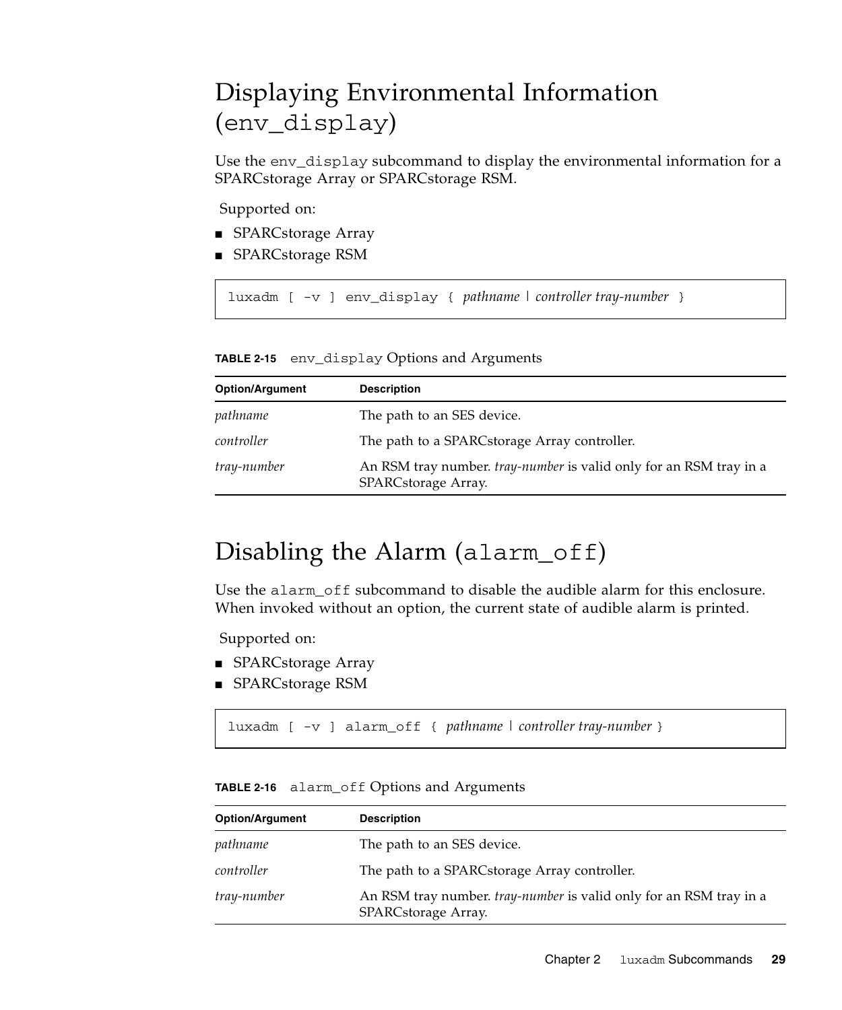# Displaying Environmental Information (env\_display)

Use the env\_display subcommand to display the environmental information for a SPARCstorage Array or SPARCstorage RSM.

Supported on:

- SPARCstorage Array
- SPARCstorage RSM

luxadm [ -v ] env\_display { *pathname | controller tray-number* }

**TABLE 2-15** env\_display Options and Arguments

| <b>Option/Argument</b> | <b>Description</b>                                                                               |
|------------------------|--------------------------------------------------------------------------------------------------|
| pathname               | The path to an SES device.                                                                       |
| controller             | The path to a SPARCstorage Array controller.                                                     |
| tray-number            | An RSM tray number. <i>tray-number</i> is valid only for an RSM tray in a<br>SPARCstorage Array. |

### Disabling the Alarm (alarm\_off)

Use the alarm off subcommand to disable the audible alarm for this enclosure. When invoked without an option, the current state of audible alarm is printed.

Supported on:

- SPARCstorage Array
- SPARCstorage RSM

luxadm [ -v ] alarm\_off { *pathname | controller tray-number* }

| <b>Option/Argument</b> | <b>Description</b>                                                                               |
|------------------------|--------------------------------------------------------------------------------------------------|
| pathname               | The path to an SES device.                                                                       |
| controller             | The path to a SPARCstorage Array controller.                                                     |
| tray-number            | An RSM tray number. <i>tray-number</i> is valid only for an RSM tray in a<br>SPARCstorage Array. |

**TABLE 2-16** alarm\_off Options and Arguments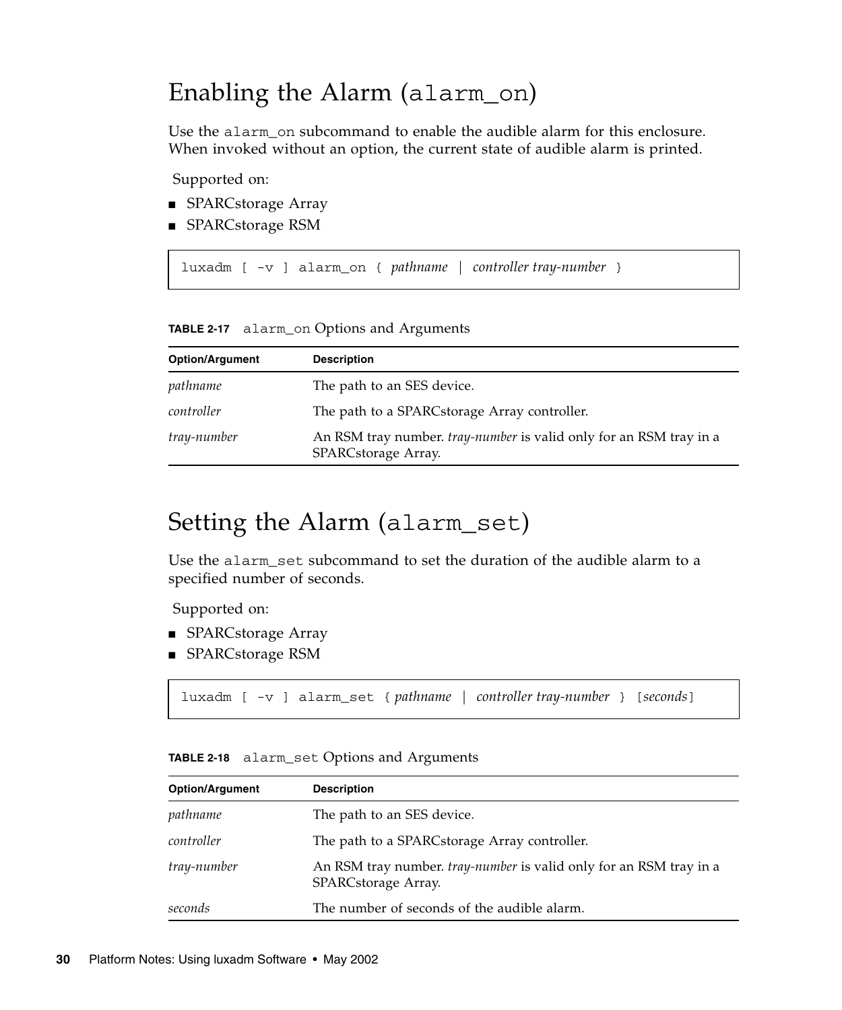### Enabling the Alarm (alarm\_on)

Use the alarm\_on subcommand to enable the audible alarm for this enclosure. When invoked without an option, the current state of audible alarm is printed.

Supported on:

- SPARCstorage Array
- SPARCstorage RSM

luxadm [ -v ] alarm\_on { *pathname* | *controller tray-number* }

**TABLE 2-17** alarm\_on Options and Arguments

| <b>Option/Argument</b> | <b>Description</b>                                                                               |
|------------------------|--------------------------------------------------------------------------------------------------|
| pathname               | The path to an SES device.                                                                       |
| controller             | The path to a SPARCstorage Array controller.                                                     |
| tray-number            | An RSM tray number. <i>tray-number</i> is valid only for an RSM tray in a<br>SPARCstorage Array. |

### Setting the Alarm (alarm\_set)

Use the alarm\_set subcommand to set the duration of the audible alarm to a specified number of seconds.

Supported on:

- SPARCstorage Array
- SPARCstorage RSM

luxadm [ -v ] alarm\_set { *pathname* | *controller tray-number* } [*seconds*]

|  | TABLE 2-18 alarm_set Options and Arguments |
|--|--------------------------------------------|
|--|--------------------------------------------|

| <b>Option/Argument</b> | <b>Description</b>                                                                               |
|------------------------|--------------------------------------------------------------------------------------------------|
| pathname               | The path to an SES device.                                                                       |
| controller             | The path to a SPARCstorage Array controller.                                                     |
| tray-number            | An RSM tray number. <i>tray-number</i> is valid only for an RSM tray in a<br>SPARCstorage Array. |
| seconds                | The number of seconds of the audible alarm.                                                      |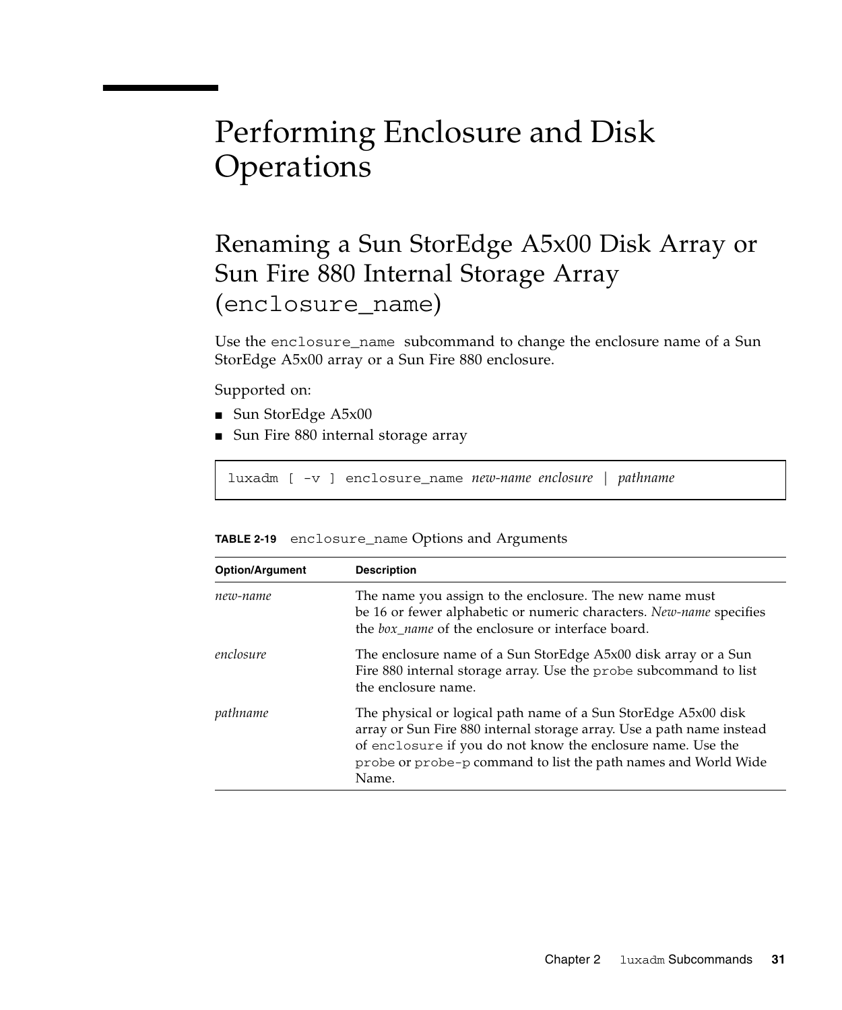# Performing Enclosure and Disk **Operations**

### Renaming a Sun StorEdge A5x00 Disk Array or Sun Fire 880 Internal Storage Array (enclosure\_name)

Use the enclosure\_name subcommand to change the enclosure name of a Sun StorEdge A5x00 array or a Sun Fire 880 enclosure.

Supported on:

- Sun StorEdge A5x00
- Sun Fire 880 internal storage array

luxadm [ -v ] enclosure\_name *new-name enclosure* | *pathname*

| <b>Option/Argument</b> | <b>Description</b>                                                                                                                                                                                                                                                                |
|------------------------|-----------------------------------------------------------------------------------------------------------------------------------------------------------------------------------------------------------------------------------------------------------------------------------|
| new-name               | The name you assign to the enclosure. The new name must<br>be 16 or fewer alphabetic or numeric characters. New-name specifies<br>the <i>box name</i> of the enclosure or interface board.                                                                                        |
| enclosure              | The enclosure name of a Sun StorEdge A5x00 disk array or a Sun<br>Fire 880 internal storage array. Use the probe subcommand to list<br>the enclosure name.                                                                                                                        |
| pathname               | The physical or logical path name of a Sun StorEdge A5x00 disk<br>array or Sun Fire 880 internal storage array. Use a path name instead<br>of enclosure if you do not know the enclosure name. Use the<br>probe or probe-p command to list the path names and World Wide<br>Name. |

**TABLE 2-19** enclosure\_name Options and Arguments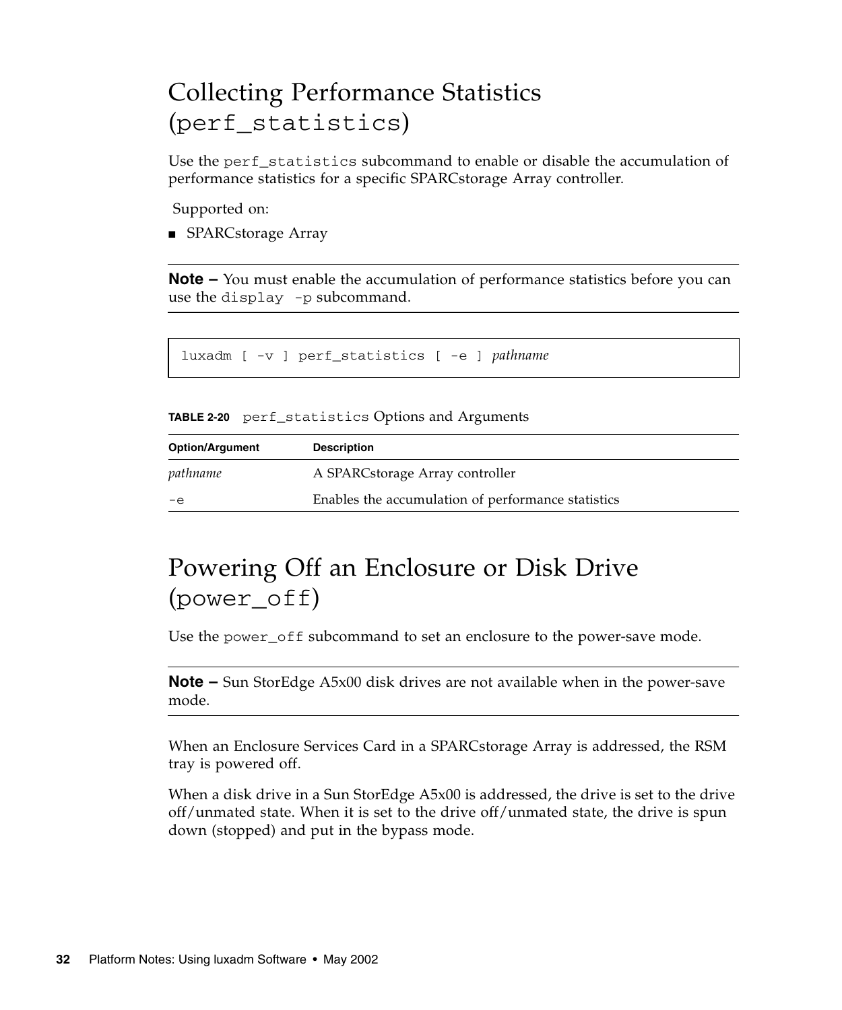# Collecting Performance Statistics (perf\_statistics)

Use the perf\_statistics subcommand to enable or disable the accumulation of performance statistics for a specific SPARCstorage Array controller.

Supported on:

■ SPARCstorage Array

**Note –** You must enable the accumulation of performance statistics before you can use the display -p subcommand.

```
luxadm [ -v ] perf_statistics [ -e ] pathname
```
#### **TABLE 2-20** perf\_statistics Options and Arguments

| <b>Option/Argument</b> | <b>Description</b>                                 |
|------------------------|----------------------------------------------------|
| pathname               | A SPARCstorage Array controller                    |
| $-e$                   | Enables the accumulation of performance statistics |

### Powering Off an Enclosure or Disk Drive (power\_off)

Use the power\_off subcommand to set an enclosure to the power-save mode.

**Note –** Sun StorEdge A5x00 disk drives are not available when in the power-save mode.

When an Enclosure Services Card in a SPARCstorage Array is addressed, the RSM tray is powered off.

When a disk drive in a Sun StorEdge A5x00 is addressed, the drive is set to the drive off/unmated state. When it is set to the drive off/unmated state, the drive is spun down (stopped) and put in the bypass mode.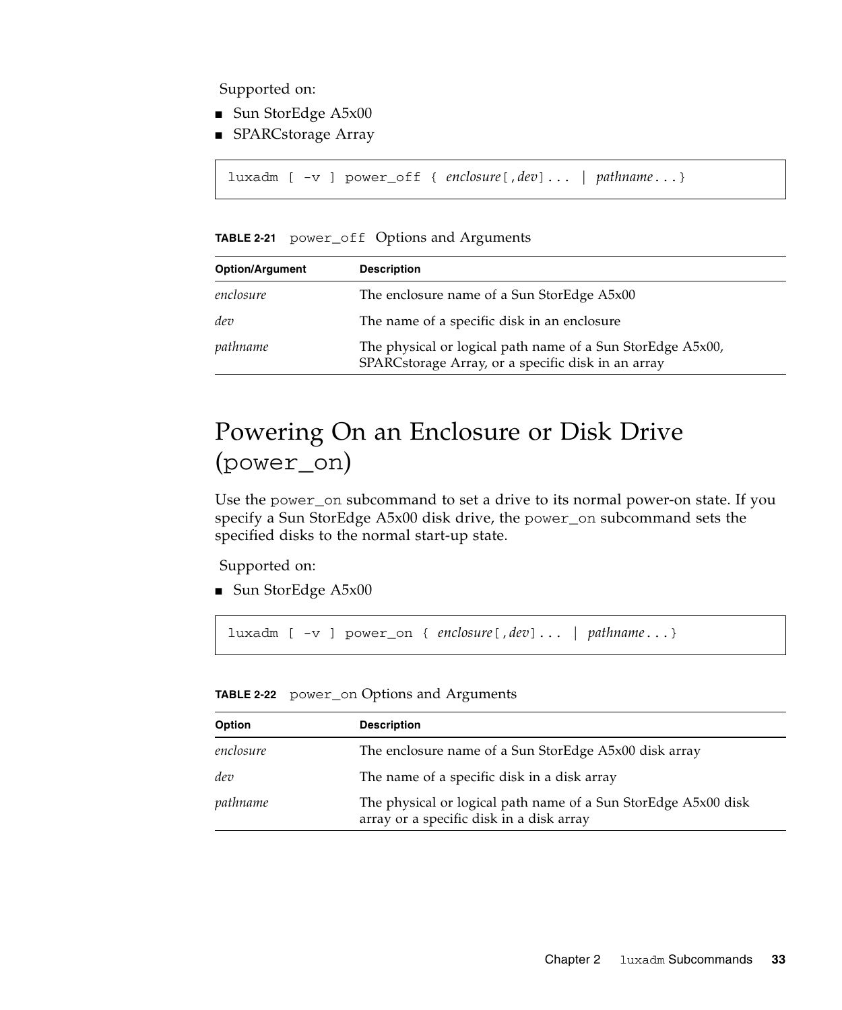Supported on:

- Sun StorEdge A5x00
- SPARCstorage Array

```
luxadm [ -v ] power_off { enclosure[,dev]... | pathname...}
```
**TABLE 2-21** power\_off Options and Arguments

| <b>Option/Argument</b> | <b>Description</b>                                                                                               |
|------------------------|------------------------------------------------------------------------------------------------------------------|
| enclosure              | The enclosure name of a Sun StorEdge A5x00                                                                       |
| dev                    | The name of a specific disk in an enclosure                                                                      |
| pathname               | The physical or logical path name of a Sun StorEdge A5x00,<br>SPARCstorage Array, or a specific disk in an array |

# Powering On an Enclosure or Disk Drive (power\_on)

Use the power\_on subcommand to set a drive to its normal power-on state. If you specify a Sun StorEdge A5x00 disk drive, the power\_on subcommand sets the specified disks to the normal start-up state.

Supported on:

■ Sun StorEdge A5x00

luxadm [ -v ] power\_on { *enclosure*[,*dev*]... | *pathname*...}

| TABLE 2-22 power_on Options and Arguments |  |  |  |  |  |  |
|-------------------------------------------|--|--|--|--|--|--|
|-------------------------------------------|--|--|--|--|--|--|

| Option    | <b>Description</b>                                                                                         |
|-----------|------------------------------------------------------------------------------------------------------------|
| enclosure | The enclosure name of a Sun StorEdge A5x00 disk array                                                      |
| dev       | The name of a specific disk in a disk array                                                                |
| pathname  | The physical or logical path name of a Sun StorEdge A5x00 disk<br>array or a specific disk in a disk array |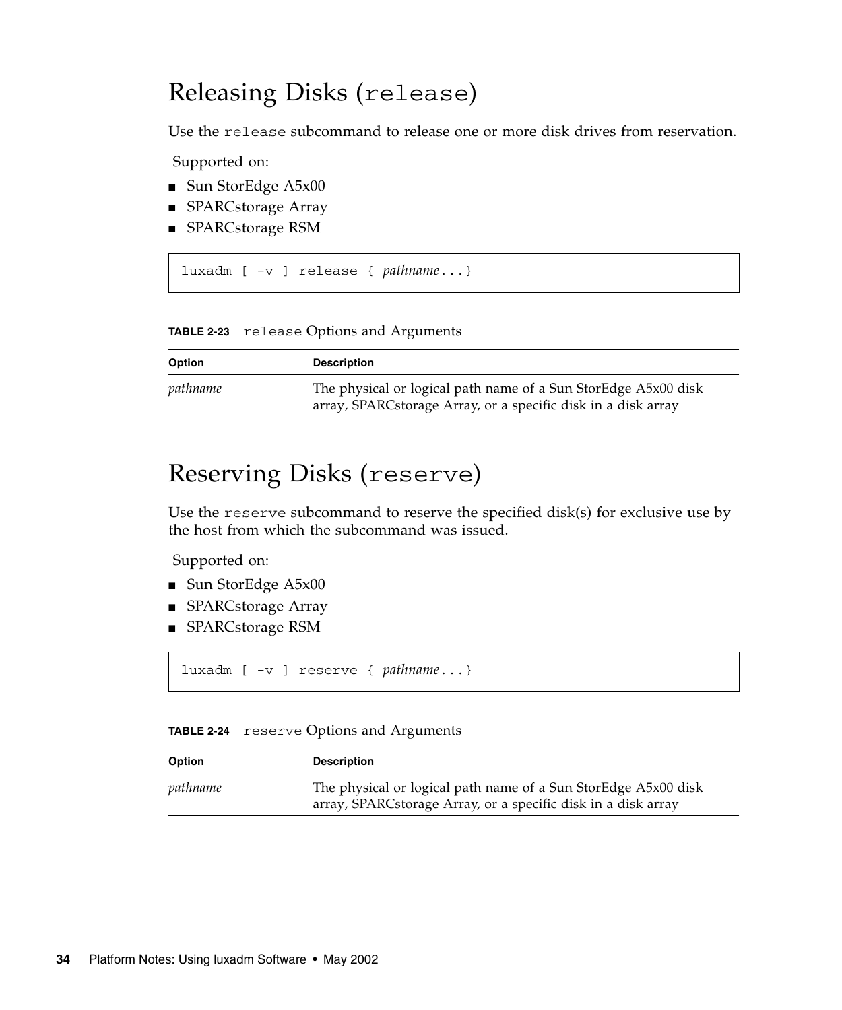### Releasing Disks (release)

Use the release subcommand to release one or more disk drives from reservation.

Supported on:

- Sun StorEdge A5x00
- SPARCstorage Array
- SPARCstorage RSM

```
luxadm [ -v ] release { pathname...}
```
**TABLE 2-23** release Options and Arguments

| Option   | <b>Description</b>                                                                                                              |
|----------|---------------------------------------------------------------------------------------------------------------------------------|
| pathname | The physical or logical path name of a Sun StorEdge A5x00 disk<br>array, SPARCstorage Array, or a specific disk in a disk array |

## Reserving Disks (reserve)

Use the reserve subcommand to reserve the specified disk(s) for exclusive use by the host from which the subcommand was issued.

Supported on:

- Sun StorEdge A5x00
- SPARCstorage Array
- SPARCstorage RSM

```
luxadm [ -v ] reserve { pathname...}
```
#### **TABLE 2-24** reserve Options and Arguments

| Option   | <b>Description</b>                                                                                                              |
|----------|---------------------------------------------------------------------------------------------------------------------------------|
| pathname | The physical or logical path name of a Sun StorEdge A5x00 disk<br>array, SPARCstorage Array, or a specific disk in a disk array |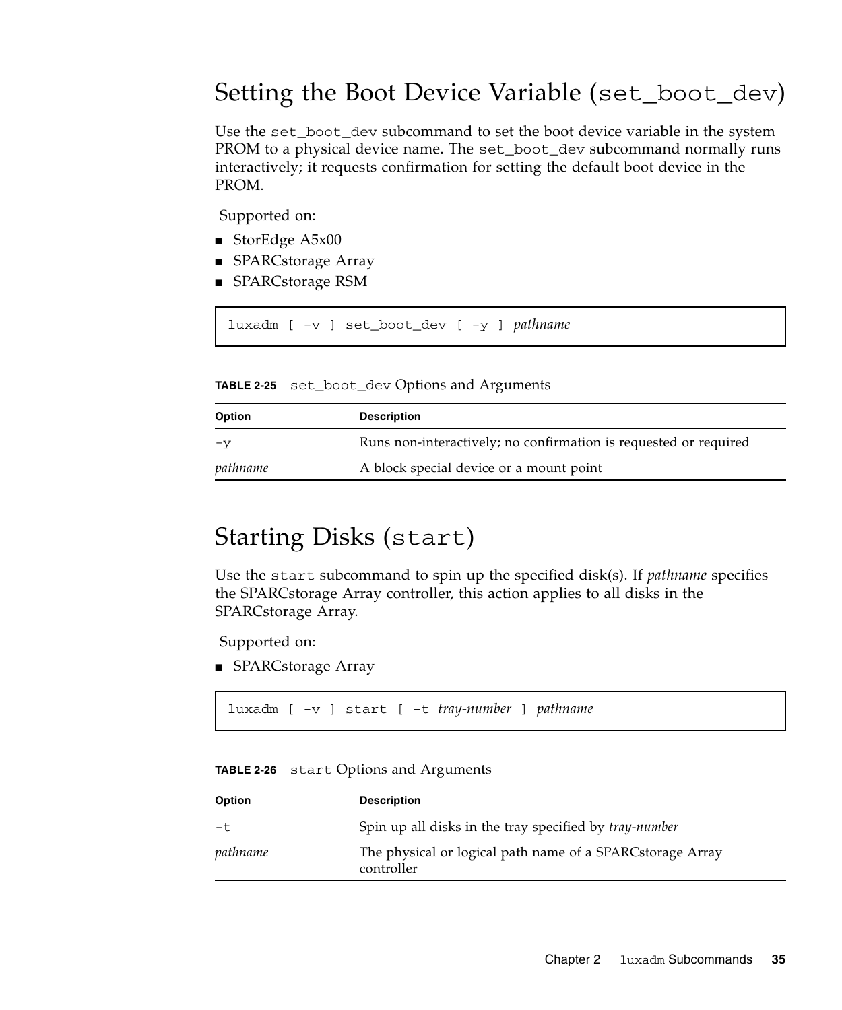### Setting the Boot Device Variable (set\_boot\_dev)

Use the set\_boot\_dev subcommand to set the boot device variable in the system PROM to a physical device name. The set boot dev subcommand normally runs interactively; it requests confirmation for setting the default boot device in the PROM.

Supported on:

- StorEdge A5x00
- SPARCstorage Array
- SPARCstorage RSM

luxadm [ -v ] set\_boot\_dev [ -y ] *pathname*

**TABLE 2-25** set\_boot\_dev Options and Arguments

| Option   | <b>Description</b>                                               |
|----------|------------------------------------------------------------------|
| $-v$     | Runs non-interactively; no confirmation is requested or required |
| pathname | A block special device or a mount point                          |

### Starting Disks (start)

Use the start subcommand to spin up the specified disk(s). If *pathname* specifies the SPARCstorage Array controller, this action applies to all disks in the SPARCstorage Array.

Supported on:

■ SPARCstorage Array

luxadm [ -v ] start [ -t *tray-number* ] *pathname*

**TABLE 2-26** start Options and Arguments

| Option   | <b>Description</b>                                                      |
|----------|-------------------------------------------------------------------------|
| -t.      | Spin up all disks in the tray specified by <i>tray-number</i>           |
| pathname | The physical or logical path name of a SPARCstorage Array<br>controller |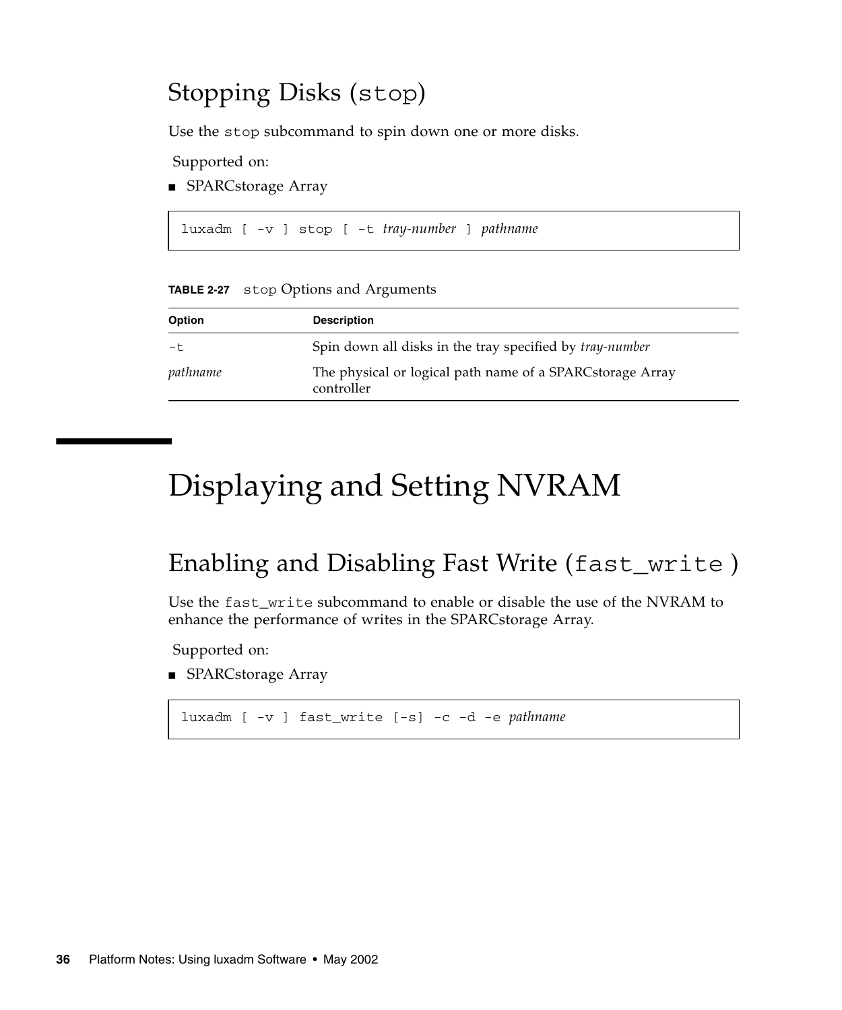## Stopping Disks (stop)

Use the stop subcommand to spin down one or more disks.

Supported on:

■ SPARCstorage Array

luxadm [ -v ] stop [ -t *tray-number* ] *pathname*

|  |  |  |  | TABLE 2-27 stop Options and Arguments |
|--|--|--|--|---------------------------------------|
|--|--|--|--|---------------------------------------|

| Option   | <b>Description</b>                                                      |
|----------|-------------------------------------------------------------------------|
| $-t$ .   | Spin down all disks in the tray specified by <i>tray-number</i>         |
| pathname | The physical or logical path name of a SPARCstorage Array<br>controller |

# Displaying and Setting NVRAM

### Enabling and Disabling Fast Write (fast\_write )

Use the fast\_write subcommand to enable or disable the use of the NVRAM to enhance the performance of writes in the SPARCstorage Array.

Supported on:

■ SPARCstorage Array

luxadm [ -v ] fast\_write [-s] -c -d -e *pathname*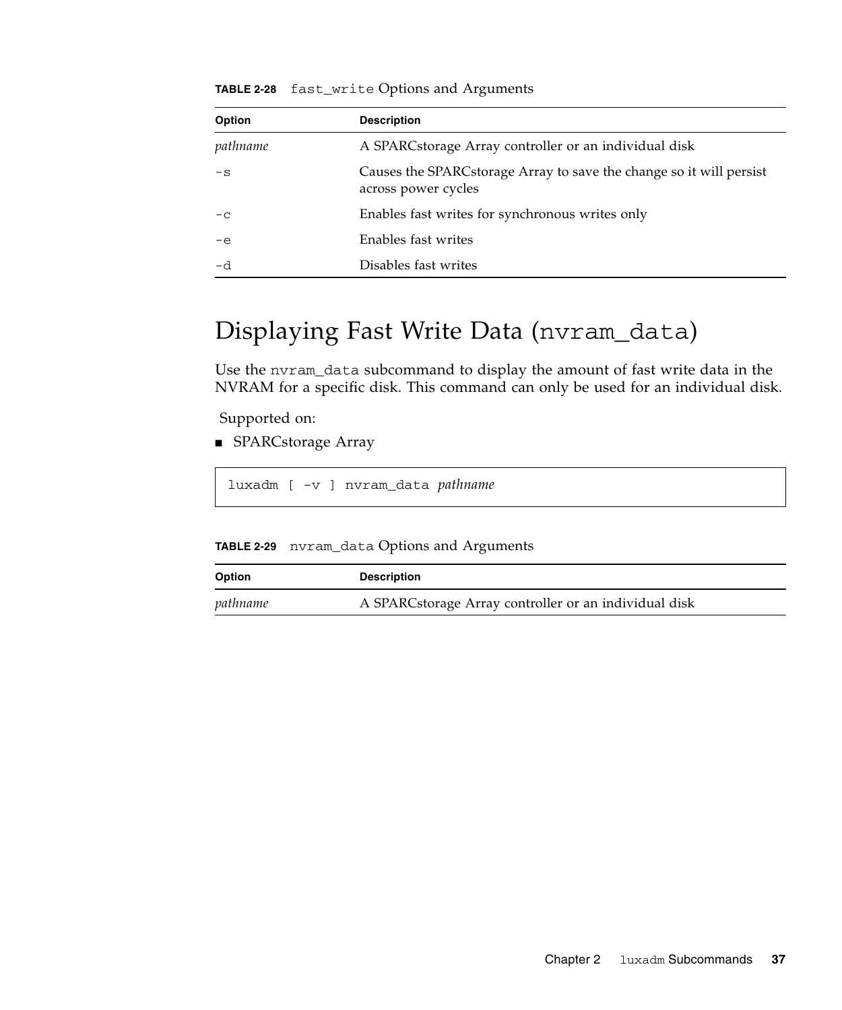| Option   | <b>Description</b>                                                                         |
|----------|--------------------------------------------------------------------------------------------|
| pathname | A SPARCstorage Array controller or an individual disk                                      |
| $-S$     | Causes the SPARCstorage Array to save the change so it will persist<br>across power cycles |
| $-c$     | Enables fast writes for synchronous writes only                                            |
| $-e$     | Enables fast writes                                                                        |
| -d       | Disables fast writes                                                                       |

**TABLE 2-28** fast\_write Options and Arguments

# Displaying Fast Write Data (nvram\_data)

Use the nvram\_data subcommand to display the amount of fast write data in the NVRAM for a specific disk. This command can only be used for an individual disk.

Supported on:

■ SPARCstorage Array

luxadm [ -v ] nvram\_data *pathname*

**TABLE 2-29** nvram\_data Options and Arguments

| Option   | <b>Description</b>                                    |
|----------|-------------------------------------------------------|
| pathname | A SPARCstorage Array controller or an individual disk |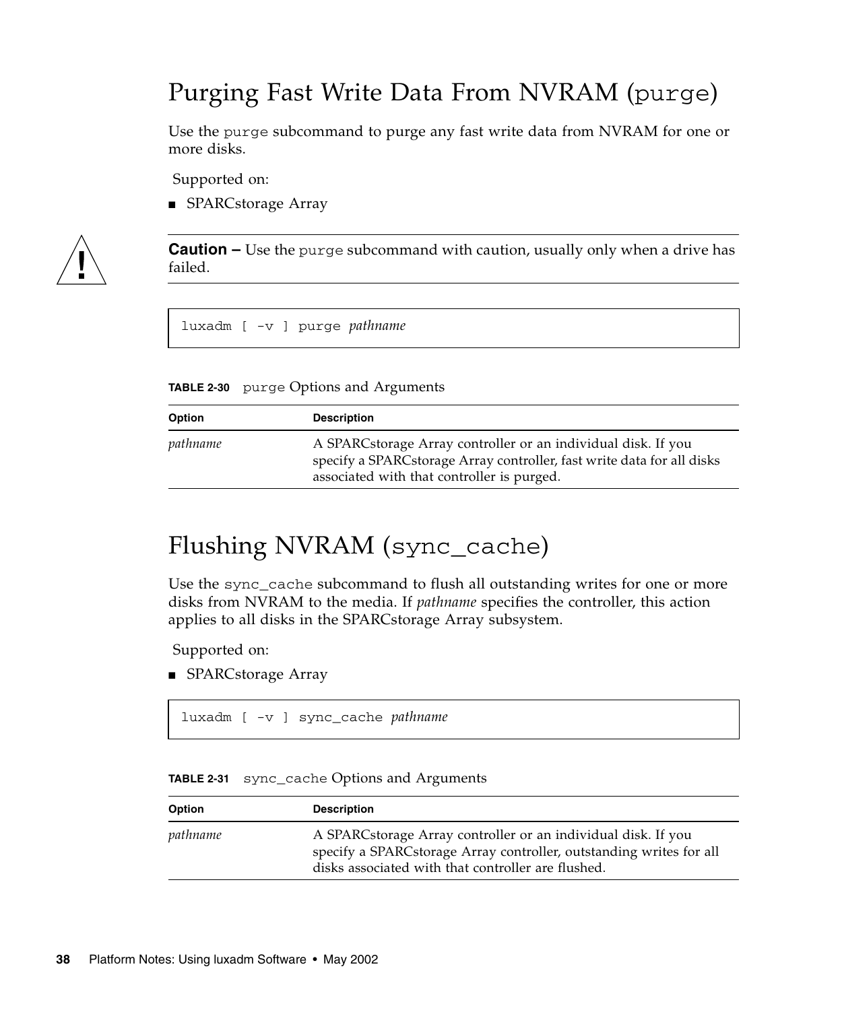## Purging Fast Write Data From NVRAM (purge)

Use the purge subcommand to purge any fast write data from NVRAM for one or more disks.

Supported on:

■ SPARCstorage Array



**Caution –** Use the purge subcommand with caution, usually only when a drive has failed.

luxadm [ -v ] purge *pathname*

#### **TABLE 2-30** purge Options and Arguments

| Option   | <b>Description</b>                                                                                                                                                                    |
|----------|---------------------------------------------------------------------------------------------------------------------------------------------------------------------------------------|
| pathname | A SPARCstorage Array controller or an individual disk. If you<br>specify a SPARCstorage Array controller, fast write data for all disks<br>associated with that controller is purged. |

### Flushing NVRAM (sync\_cache)

Use the sync\_cache subcommand to flush all outstanding writes for one or more disks from NVRAM to the media. If *pathname* specifies the controller, this action applies to all disks in the SPARCstorage Array subsystem.

Supported on:

■ SPARCstorage Array

luxadm [ -v ] sync\_cache *pathname*

|  | TABLE 2-31 sync_cache Options and Arguments |  |  |
|--|---------------------------------------------|--|--|
|--|---------------------------------------------|--|--|

| Option   | <b>Description</b>                                                                                                                                                                         |
|----------|--------------------------------------------------------------------------------------------------------------------------------------------------------------------------------------------|
| pathname | A SPARCstorage Array controller or an individual disk. If you<br>specify a SPARCstorage Array controller, outstanding writes for all<br>disks associated with that controller are flushed. |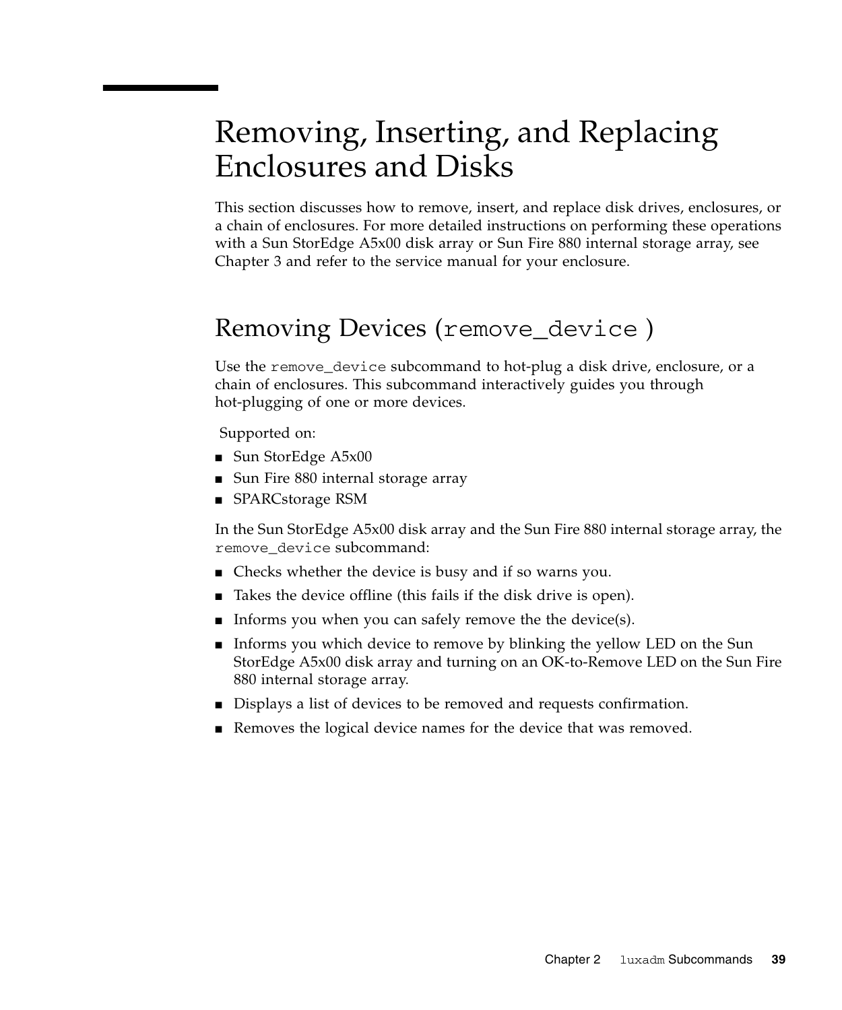# <span id="page-50-0"></span>Removing, Inserting, and Replacing Enclosures and Disks

This section discusses how to remove, insert, and replace disk drives, enclosures, or a chain of enclosures. For more detailed instructions on performing these operations with a Sun StorEdge A5x00 disk array or Sun Fire 880 internal storage array, see [Chapter 3](#page-56-0) and refer to the service manual for your enclosure.

### Removing Devices (remove\_device )

Use the remove\_device subcommand to hot-plug a disk drive, enclosure, or a chain of enclosures. This subcommand interactively guides you through hot-plugging of one or more devices.

Supported on:

- Sun StorEdge A5x00
- Sun Fire 880 internal storage array
- SPARCstorage RSM

In the Sun StorEdge A5x00 disk array and the Sun Fire 880 internal storage array, the remove\_device subcommand:

- Checks whether the device is busy and if so warns you.
- Takes the device offline (this fails if the disk drive is open).
- Informs you when you can safely remove the the device(s).
- Informs you which device to remove by blinking the yellow LED on the Sun StorEdge A5x00 disk array and turning on an OK-to-Remove LED on the Sun Fire 880 internal storage array.
- Displays a list of devices to be removed and requests confirmation.
- Removes the logical device names for the device that was removed.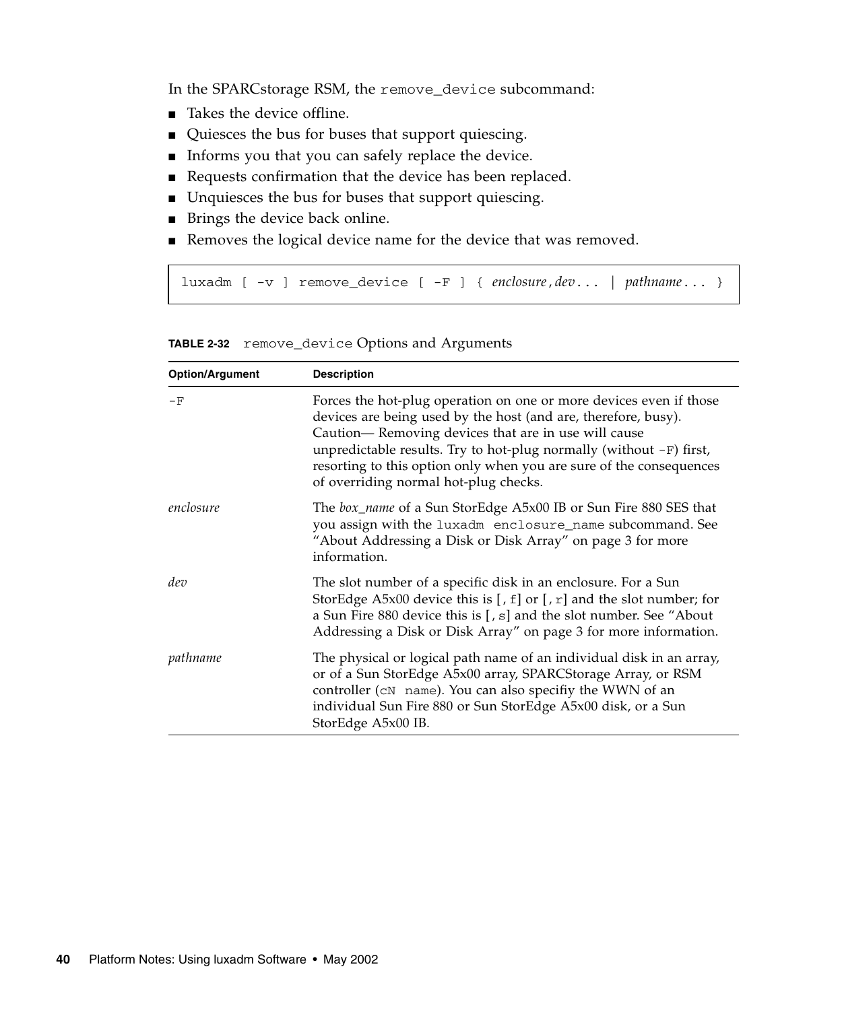In the SPARCstorage RSM, the remove\_device subcommand:

- Takes the device offline.
- Quiesces the bus for buses that support quiescing.
- Informs you that you can safely replace the device.
- Requests confirmation that the device has been replaced.
- Unquiesces the bus for buses that support quiescing.
- Brings the device back online.
- Removes the logical device name for the device that was removed.

luxadm [ -v ] remove\_device [ -F ] { *enclosure*,*dev*... | *pathname*... }

**TABLE 2-32** remove\_device Options and Arguments

| <b>Option/Argument</b> | <b>Description</b>                                                                                                                                                                                                                                                                                                                                                                     |  |  |
|------------------------|----------------------------------------------------------------------------------------------------------------------------------------------------------------------------------------------------------------------------------------------------------------------------------------------------------------------------------------------------------------------------------------|--|--|
| – F                    | Forces the hot-plug operation on one or more devices even if those<br>devices are being used by the host (and are, therefore, busy).<br>Caution— Removing devices that are in use will cause<br>unpredictable results. Try to hot-plug normally (without $-F$ ) first,<br>resorting to this option only when you are sure of the consequences<br>of overriding normal hot-plug checks. |  |  |
| enclosure              | The box_name of a Sun StorEdge A5x00 IB or Sun Fire 880 SES that<br>you assign with the luxadm enclosure_name subcommand. See<br>"About Addressing a Disk or Disk Array" on page 3 for more<br>information.                                                                                                                                                                            |  |  |
| dev                    | The slot number of a specific disk in an enclosure. For a Sun<br>StorEdge A5x00 device this is $[, f]$ or $[, r]$ and the slot number; for<br>a Sun Fire 880 device this is $\left[ \right, s \right]$ and the slot number. See "About"<br>Addressing a Disk or Disk Array" on page 3 for more information.                                                                            |  |  |
| pathname               | The physical or logical path name of an individual disk in an array,<br>or of a Sun StorEdge A5x00 array, SPARCStorage Array, or RSM<br>controller (cN name). You can also specifiy the WWN of an<br>individual Sun Fire 880 or Sun StorEdge A5x00 disk, or a Sun<br>StorEdge A5x00 IB.                                                                                                |  |  |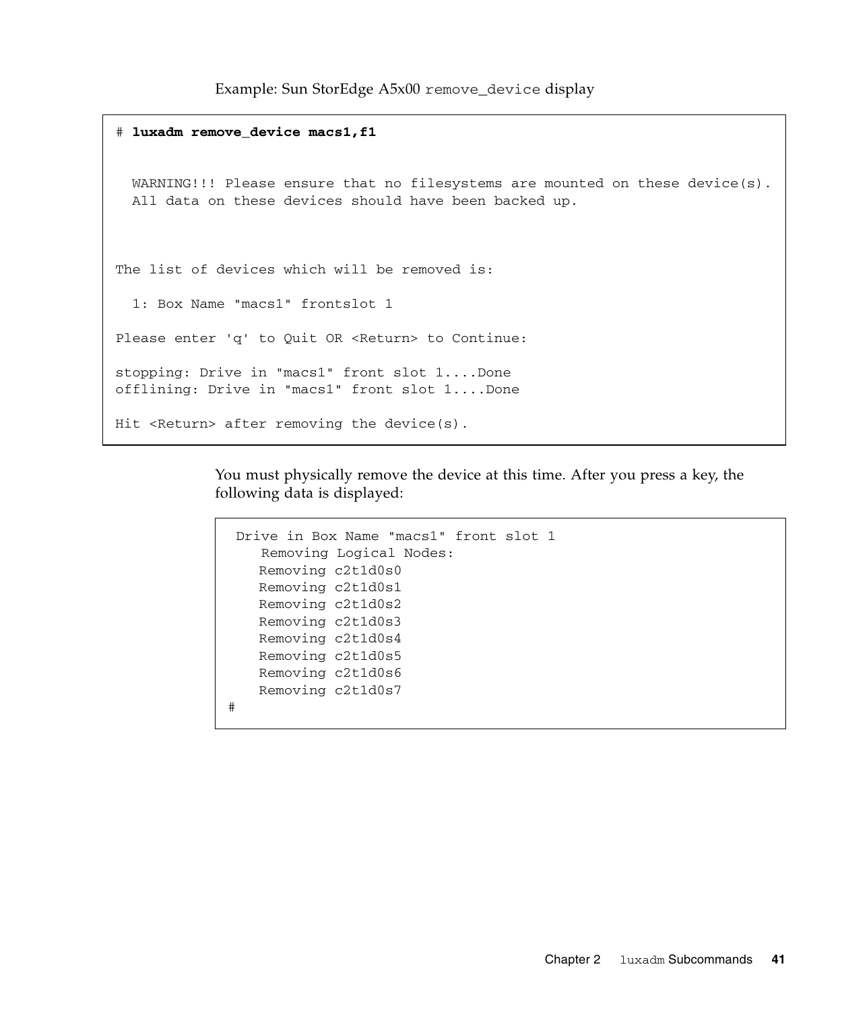```
# luxadm remove_device macs1,f1
   WARNING!!! Please ensure that no filesystems are mounted on these device(s).
   All data on these devices should have been backed up.
The list of devices which will be removed is:
   1: Box Name "macs1" frontslot 1
Please enter 'q' to Quit OR <Return> to Continue:
stopping: Drive in "macs1" front slot 1....Done
offlining: Drive in "macs1" front slot 1....Done
Hit <Return> after removing the device(s).
```
You must physically remove the device at this time. After you press a key, the following data is displayed:

```
Drive in Box Name "macs1" front slot 1
    Removing Logical Nodes:
   Removing c2t1d0s0
   Removing c2t1d0s1
   Removing c2t1d0s2
   Removing c2t1d0s3
   Removing c2t1d0s4
   Removing c2t1d0s5
   Removing c2t1d0s6
   Removing c2t1d0s7
#
```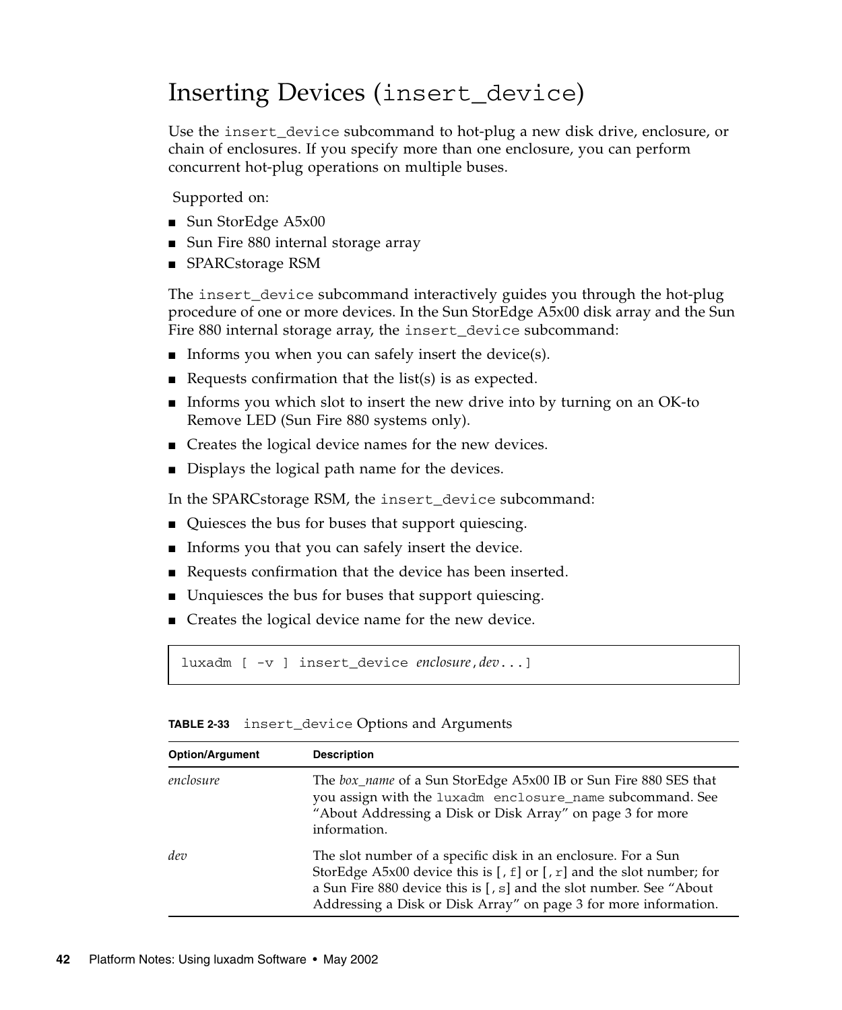## Inserting Devices (insert\_device)

Use the insert\_device subcommand to hot-plug a new disk drive, enclosure, or chain of enclosures. If you specify more than one enclosure, you can perform concurrent hot-plug operations on multiple buses.

Supported on:

- Sun StorEdge A5x00
- Sun Fire 880 internal storage array
- SPARCstorage RSM

The insert\_device subcommand interactively guides you through the hot-plug procedure of one or more devices. In the Sun StorEdge A5x00 disk array and the Sun Fire 880 internal storage array, the insert\_device subcommand:

- Informs you when you can safely insert the device(s).
- Requests confirmation that the list(s) is as expected.
- Informs you which slot to insert the new drive into by turning on an OK-to Remove LED (Sun Fire 880 systems only).
- Creates the logical device names for the new devices.
- Displays the logical path name for the devices.

In the SPARCstorage RSM, the insert\_device subcommand:

- Quiesces the bus for buses that support quiescing.
- Informs you that you can safely insert the device.
- Requests confirmation that the device has been inserted.
- Unquiesces the bus for buses that support quiescing.
- Creates the logical device name for the new device.

```
luxadm [ -v ] insert_device enclosure,dev...]
```
**TABLE 2-33** insert\_device Options and Arguments

| <b>Option/Argument</b> | <b>Description</b>                                                                                                                                                                                                                                                                       |  |  |
|------------------------|------------------------------------------------------------------------------------------------------------------------------------------------------------------------------------------------------------------------------------------------------------------------------------------|--|--|
| enclosure              | The box_name of a Sun StorEdge A5x00 IB or Sun Fire 880 SES that<br>you assign with the luxadm enclosure_name subcommand. See<br>"About Addressing a Disk or Disk Array" on page 3 for more<br>information.                                                                              |  |  |
| dev                    | The slot number of a specific disk in an enclosure. For a Sun<br>StorEdge A5x00 device this is [, $f$ ] or [, $r$ ] and the slot number; for<br>a Sun Fire 880 device this is [, s] and the slot number. See "About"<br>Addressing a Disk or Disk Array" on page 3 for more information. |  |  |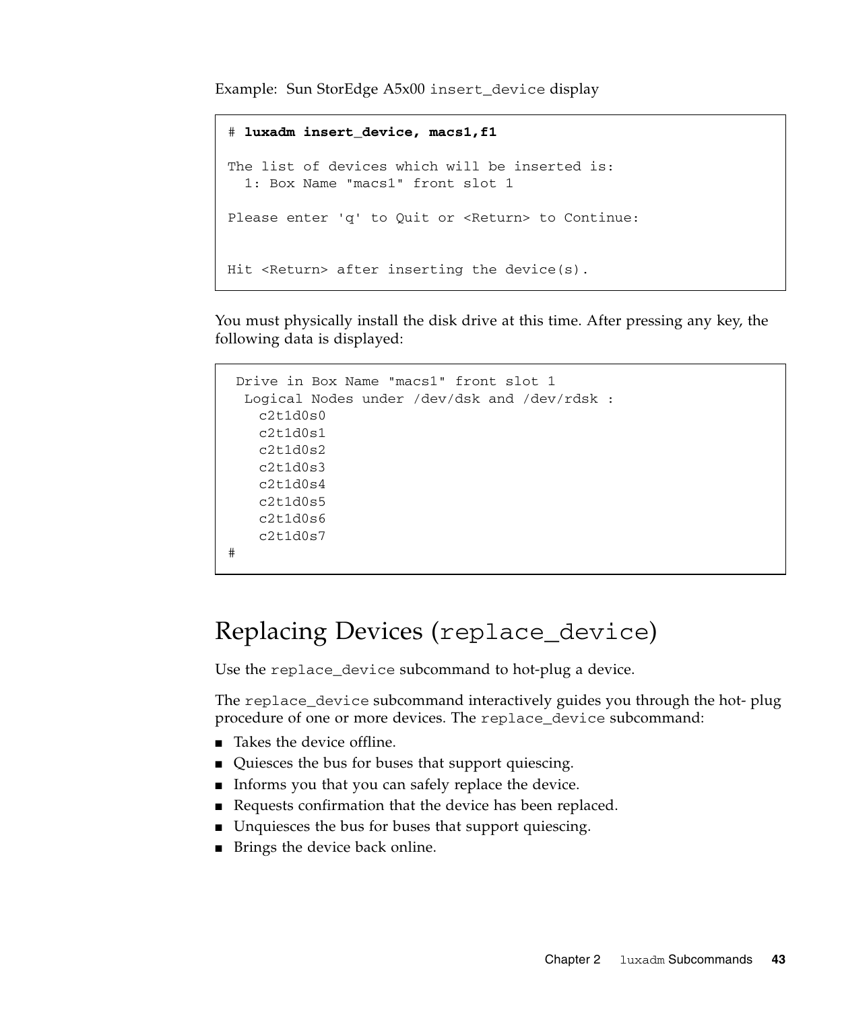Example: Sun StorEdge A5x00 insert\_device display

```
# luxadm insert_device, macs1,f1
The list of devices which will be inserted is:
   1: Box Name "macs1" front slot 1
Please enter 'q' to Quit or <Return> to Continue:
Hit <Return> after inserting the device(s).
```
You must physically install the disk drive at this time. After pressing any key, the following data is displayed:

```
 Drive in Box Name "macs1" front slot 1
   Logical Nodes under /dev/dsk and /dev/rdsk :
   c2t1d0s0
   c2t1d0s1
   c2t1d0s2
   c2t1d0s3
   c2t1d0s4
   c2t1d0s5
   c2t1d0s6c2t1d0s7
#
```
### Replacing Devices (replace\_device)

Use the replace\_device subcommand to hot-plug a device.

The replace\_device subcommand interactively guides you through the hot- plug procedure of one or more devices. The replace\_device subcommand:

- Takes the device offline.
- Quiesces the bus for buses that support quiescing.
- Informs you that you can safely replace the device.
- Requests confirmation that the device has been replaced.
- Unquiesces the bus for buses that support quiescing.
- Brings the device back online.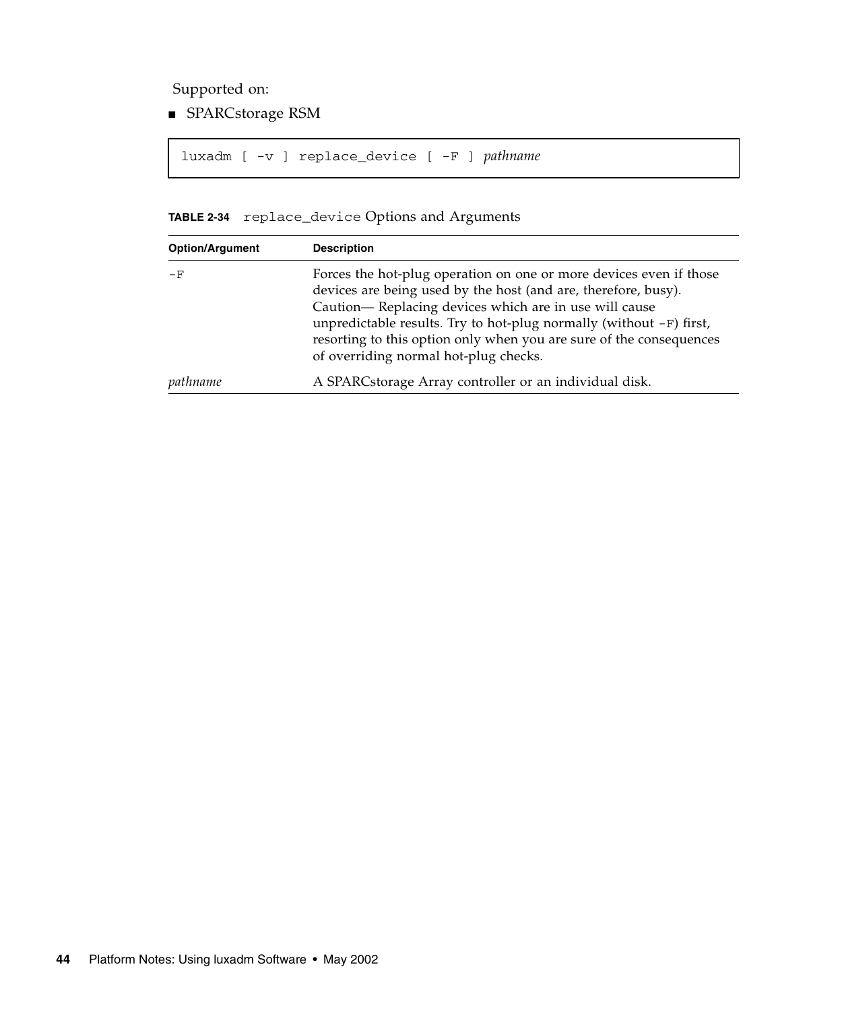Supported on:

■ SPARCstorage RSM

```
luxadm [ -v ] replace_device [ -F ] pathname
```
#### **TABLE 2-34** replace\_device Options and Arguments

| <b>Option/Argument</b> | <b>Description</b>                                                                                                                                                                                                                                                                                                                                                                      |
|------------------------|-----------------------------------------------------------------------------------------------------------------------------------------------------------------------------------------------------------------------------------------------------------------------------------------------------------------------------------------------------------------------------------------|
| $-F$                   | Forces the hot-plug operation on one or more devices even if those<br>devices are being used by the host (and are, therefore, busy).<br>Caution-Replacing devices which are in use will cause<br>unpredictable results. Try to hot-plug normally (without $-F$ ) first,<br>resorting to this option only when you are sure of the consequences<br>of overriding normal hot-plug checks. |
| pathname               | A SPARCstorage Array controller or an individual disk.                                                                                                                                                                                                                                                                                                                                  |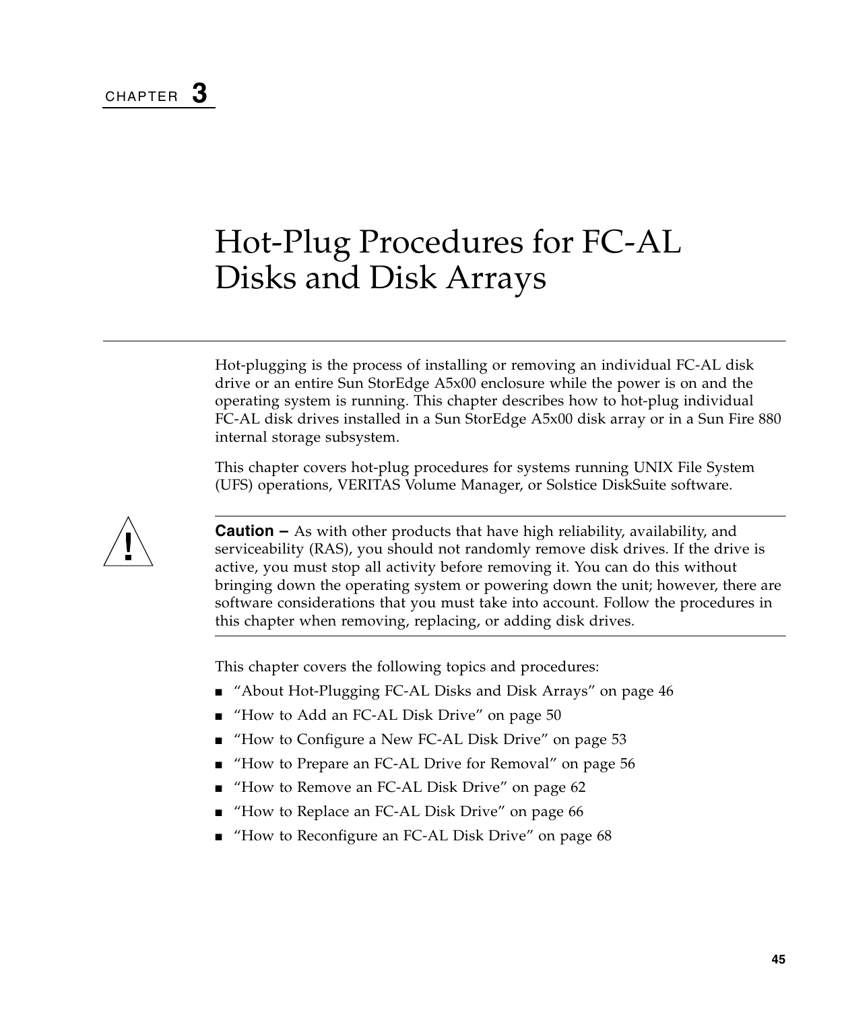# <span id="page-56-0"></span>Hot-Plug Procedures for FC-AL Disks and Disk Arrays

Hot-plugging is the process of installing or removing an individual FC-AL disk drive or an entire Sun StorEdge A5x00 enclosure while the power is on and the operating system is running. This chapter describes how to hot-plug individual FC-AL disk drives installed in a Sun StorEdge A5x00 disk array or in a Sun Fire 880 internal storage subsystem.

This chapter covers hot-plug procedures for systems running UNIX File System (UFS) operations, VERITAS Volume Manager, or Solstice DiskSuite software.



**Caution –** As with other products that have high reliability, availability, and serviceability (RAS), you should not randomly remove disk drives. If the drive is active, you must stop all activity before removing it. You can do this without bringing down the operating system or powering down the unit; however, there are software considerations that you must take into account. Follow the procedures in this chapter when removing, replacing, or adding disk drives.

This chapter covers the following topics and procedures:

- ["About Hot-Plugging FC-AL Disks and Disk Arrays" on page 46](#page-57-0)
- ["How to Add an FC-AL Disk Drive" on page 50](#page-61-0)
- ["How to Configure a New FC-AL Disk Drive" on page 53](#page-64-0)
- ["How to Prepare an FC-AL Drive for Removal" on page 56](#page-67-0)
- ["How to Remove an FC-AL Disk Drive" on page 62](#page-73-0)
- ["How to Replace an FC-AL Disk Drive" on page 66](#page-77-0)
- ["How to Reconfigure an FC-AL Disk Drive" on page 68](#page-79-0)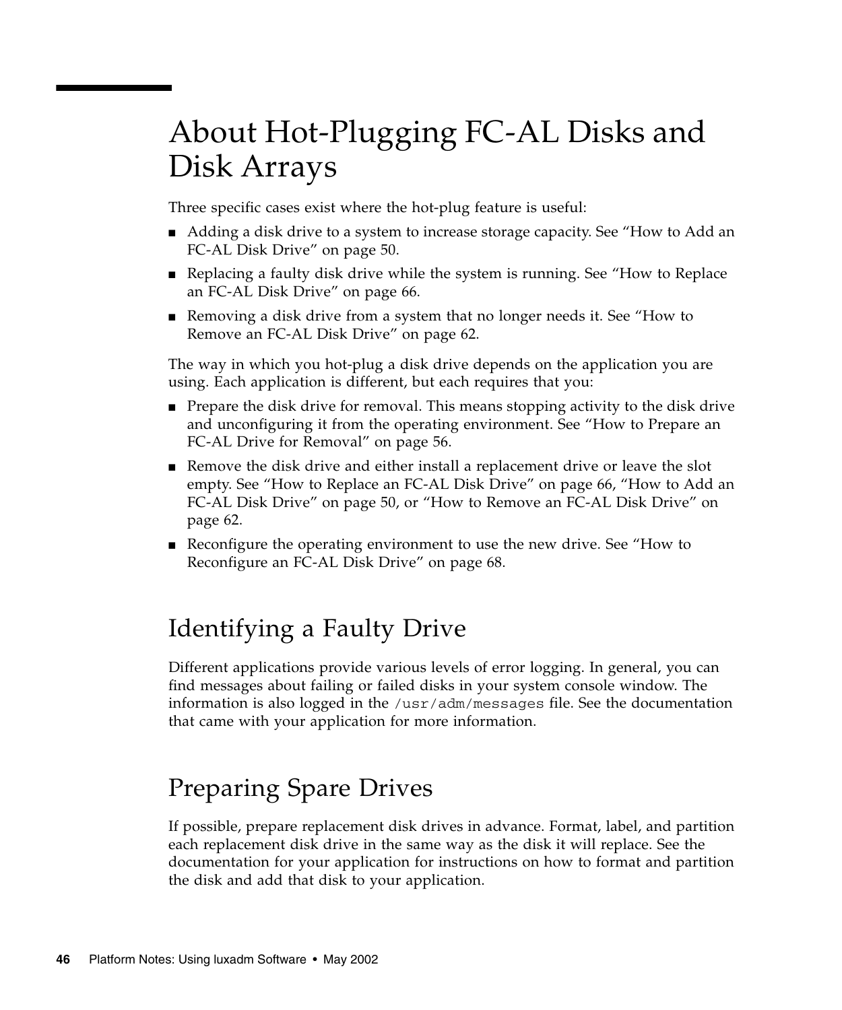# <span id="page-57-0"></span>About Hot-Plugging FC-AL Disks and Disk Arrays

Three specific cases exist where the hot-plug feature is useful:

- Adding a disk drive to a system to increase storage capacity. See ["How to Add an](#page-61-0) [FC-AL Disk Drive" on page 50.](#page-61-0)
- Replacing a faulty disk drive while the system is running. See ["How to Replace](#page-77-0)" [an FC-AL Disk Drive" on page 66](#page-77-0).
- Removing a disk drive from a system that no longer needs it. See ["How to](#page-73-0) [Remove an FC-AL Disk Drive" on page 62](#page-73-0).

The way in which you hot-plug a disk drive depends on the application you are using. Each application is different, but each requires that you:

- Prepare the disk drive for removal. This means stopping activity to the disk drive and unconfiguring it from the operating environment. See ["How to Prepare an](#page-67-0) [FC-AL Drive for Removal" on page 56](#page-67-0).
- Remove the disk drive and either install a replacement drive or leave the slot empty. See ["How to Replace an FC-AL Disk Drive" on page 66,](#page-77-0) ["How to Add an](#page-61-0) [FC-AL Disk Drive" on page 50,](#page-61-0) or ["How to Remove an FC-AL Disk Drive" on](#page-73-0) [page 62](#page-73-0).
- Reconfigure the operating environment to use the new drive. See ["How to](#page-79-0) [Reconfigure an FC-AL Disk Drive" on page 68](#page-79-0).

# Identifying a Faulty Drive

Different applications provide various levels of error logging. In general, you can find messages about failing or failed disks in your system console window. The information is also logged in the /usr/adm/messages file. See the documentation that came with your application for more information.

# Preparing Spare Drives

If possible, prepare replacement disk drives in advance. Format, label, and partition each replacement disk drive in the same way as the disk it will replace. See the documentation for your application for instructions on how to format and partition the disk and add that disk to your application.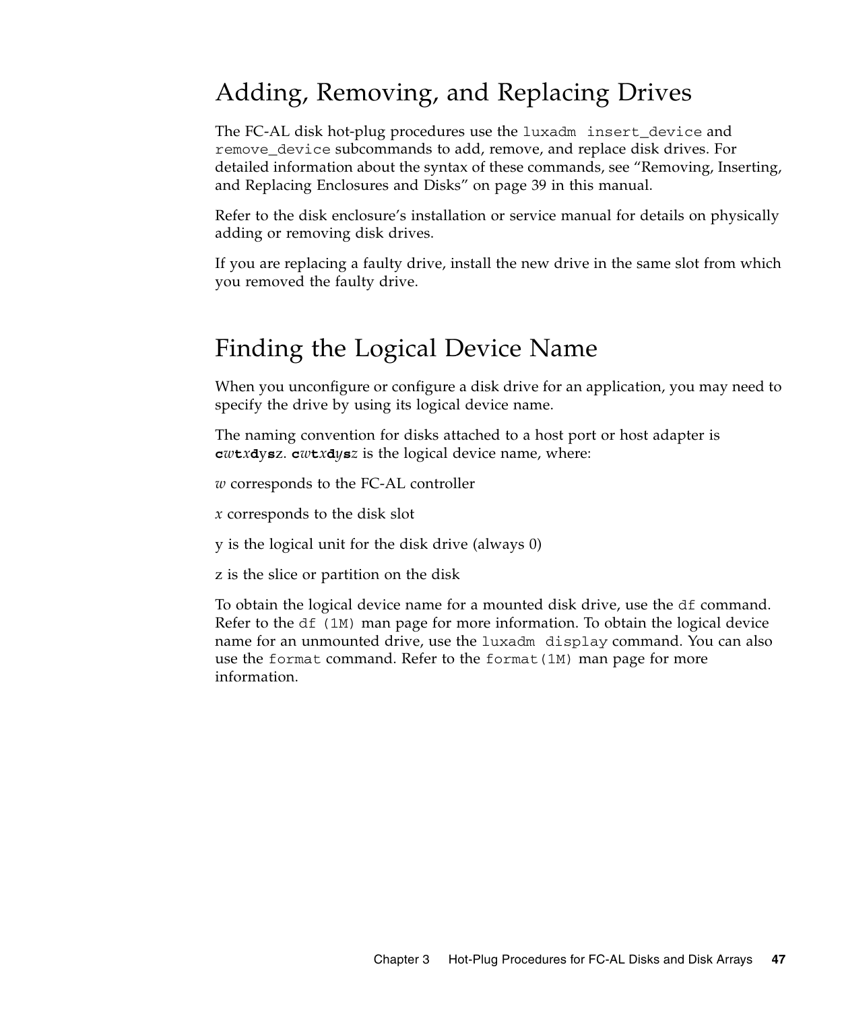## Adding, Removing, and Replacing Drives

The FC-AL disk hot-plug procedures use the luxadm insert\_device and remove\_device subcommands to add, remove, and replace disk drives. For detailed information about the syntax of these commands, see ["Removing, Inserting,](#page-50-0) [and Replacing Enclosures and Disks" on page 39](#page-50-0) in this manual.

Refer to the disk enclosure's installation or service manual for details on physically adding or removing disk drives.

If you are replacing a faulty drive, install the new drive in the same slot from which you removed the faulty drive.

### Finding the Logical Device Name

When you unconfigure or configure a disk drive for an application, you may need to specify the drive by using its logical device name.

The naming convention for disks attached to a host port or host adapter is **c***w***t***x***d**y**s**z. **c***w***t***x***d***y***s***z* is the logical device name, where:

*w* corresponds to the FC-AL controller

*x* corresponds to the disk slot

y is the logical unit for the disk drive (always 0)

z is the slice or partition on the disk

To obtain the logical device name for a mounted disk drive, use the df command. Refer to the  $df$  (1M) man page for more information. To obtain the logical device name for an unmounted drive, use the luxadm display command. You can also use the format command. Refer to the format (1M) man page for more information.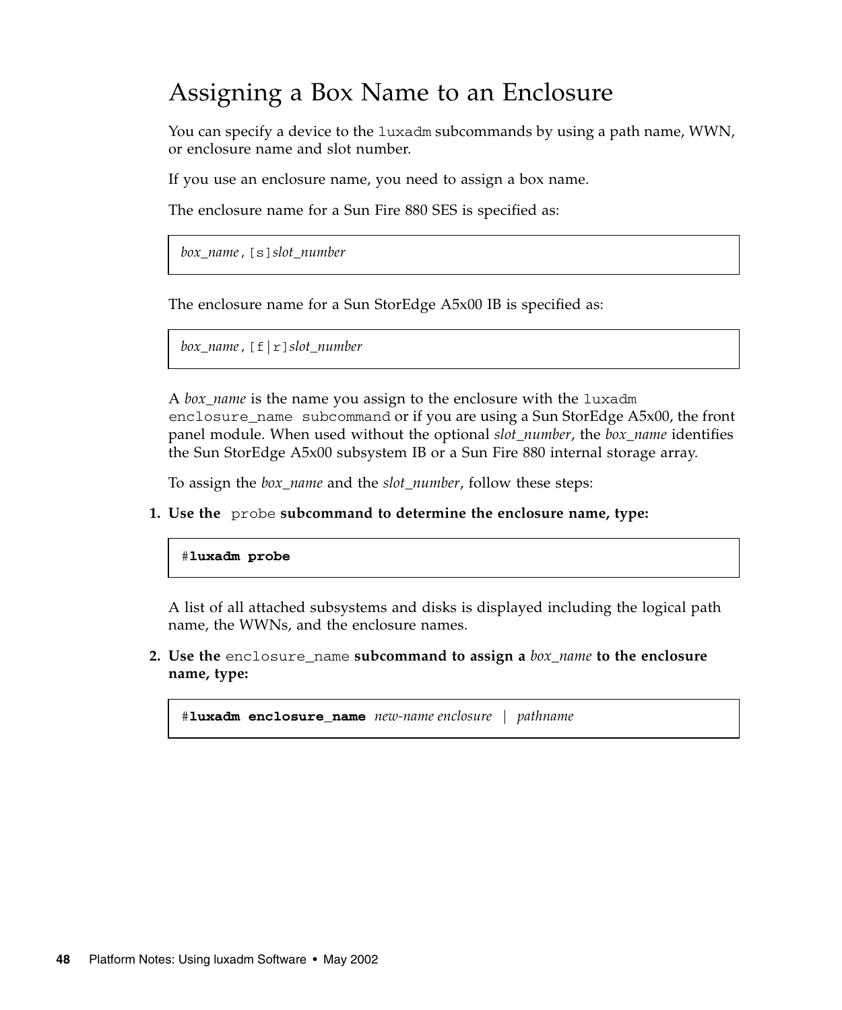### <span id="page-59-0"></span>Assigning a Box Name to an Enclosure

You can specify a device to the luxadm subcommands by using a path name, WWN, or enclosure name and slot number.

If you use an enclosure name, you need to assign a box name.

The enclosure name for a Sun Fire 880 SES is specified as:

*box\_name*,[s]*slot\_number*

The enclosure name for a Sun StorEdge A5x00 IB is specified as:

*box\_name*,[f|r]*slot\_number*

A *box\_name* is the name you assign to the enclosure with the luxadm enclosure\_name subcommand or if you are using a Sun StorEdge A5x00, the front panel module. When used without the optional *slot\_number*, the *box\_name* identifies the Sun StorEdge A5x00 subsystem IB or a Sun Fire 880 internal storage array.

To assign the *box\_name* and the *slot\_number*, follow these steps:

**1. Use the** probe **subcommand to determine the enclosure name, type:**

#### #**luxadm probe**

A list of all attached subsystems and disks is displayed including the logical path name, the WWNs, and the enclosure names.

**2. Use the** enclosure\_name **subcommand to assign a** *box\_name* **to the enclosure name, type:**

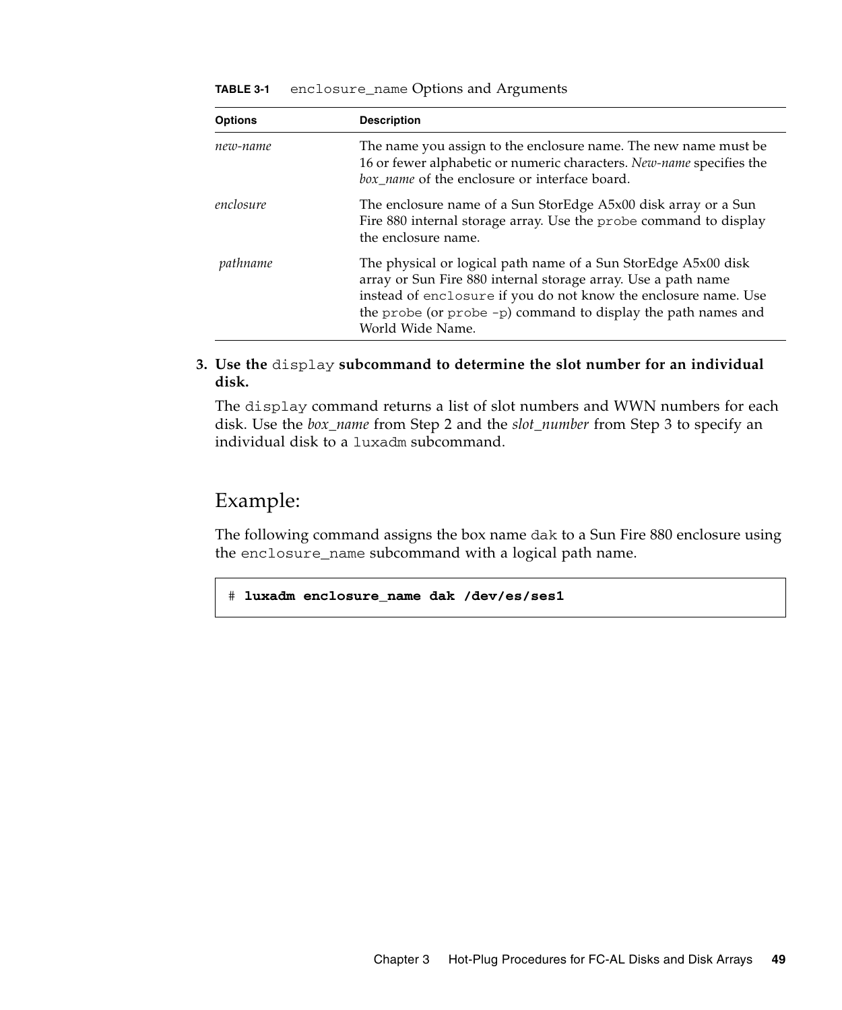| <b>Options</b> | <b>Description</b>                                                                                                                                                                                                                                                                         |
|----------------|--------------------------------------------------------------------------------------------------------------------------------------------------------------------------------------------------------------------------------------------------------------------------------------------|
| new-name       | The name you assign to the enclosure name. The new name must be<br>16 or fewer alphabetic or numeric characters. New-name specifies the<br>box_name of the enclosure or interface board.                                                                                                   |
| enclosure      | The enclosure name of a Sun StorEdge A5x00 disk array or a Sun<br>Fire 880 internal storage array. Use the probe command to display<br>the enclosure name.                                                                                                                                 |
| pathname       | The physical or logical path name of a Sun StorEdge A5x00 disk<br>array or Sun Fire 880 internal storage array. Use a path name<br>instead of enclosure if you do not know the enclosure name. Use<br>the probe (or probe $-p$ ) command to display the path names and<br>World Wide Name. |

**TABLE 3-1** enclosure\_name Options and Arguments

**3. Use the** display **subcommand to determine the slot number for an individual disk.**

The display command returns a list of slot numbers and WWN numbers for each disk. Use the *box\_name* from Step 2 and the *slot\_number* from Step 3 to specify an individual disk to a luxadm subcommand.

#### Example:

The following command assigns the box name dak to a Sun Fire 880 enclosure using the enclosure\_name subcommand with a logical path name.

```
# luxadm enclosure_name dak /dev/es/ses1
```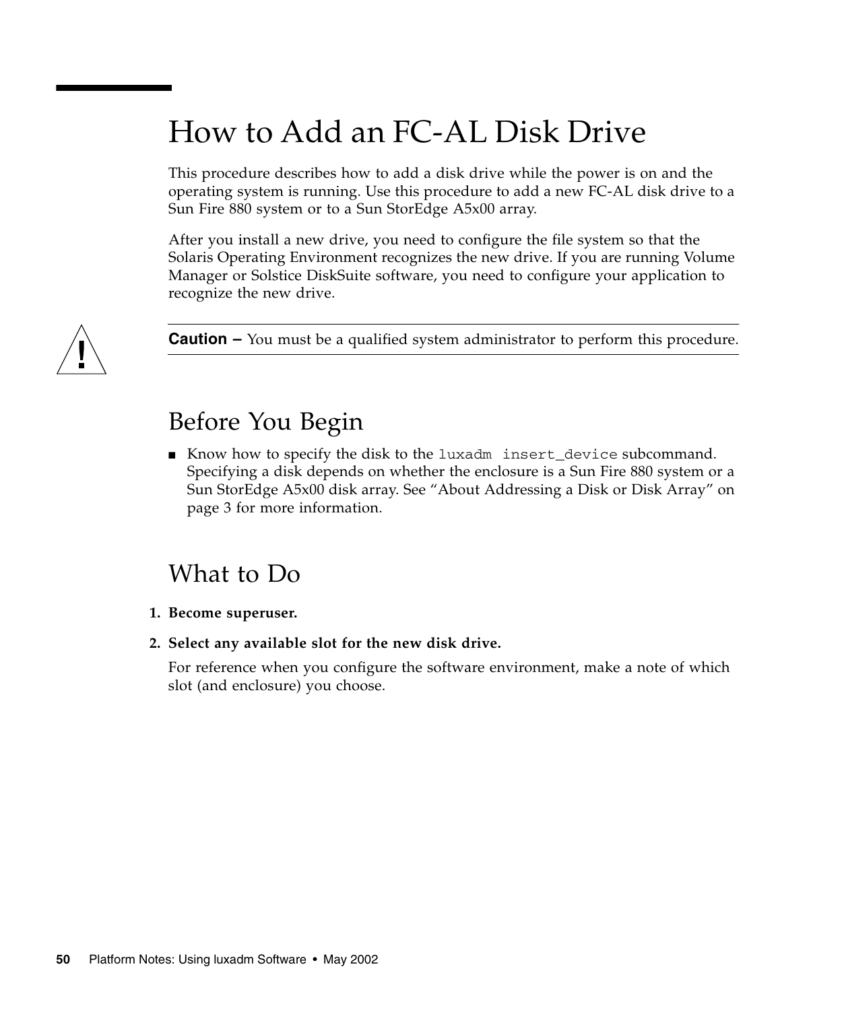# <span id="page-61-0"></span>How to Add an FC-AL Disk Drive

This procedure describes how to add a disk drive while the power is on and the operating system is running. Use this procedure to add a new FC-AL disk drive to a Sun Fire 880 system or to a Sun StorEdge A5x00 array.

After you install a new drive, you need to configure the file system so that the Solaris Operating Environment recognizes the new drive. If you are running Volume Manager or Solstice DiskSuite software, you need to configure your application to recognize the new drive.



**Caution** – You must be a qualified system administrator to perform this procedure.

### Before You Begin

■ Know how to specify the disk to the luxadm insert\_device subcommand. Specifying a disk depends on whether the enclosure is a Sun Fire 880 system or a Sun StorEdge A5x00 disk array. See ["About Addressing a Disk or Disk Array" on](#page-14-0) [page 3](#page-14-0) for more information.

### What to Do

- **1. Become superuser.**
- **2. Select any available slot for the new disk drive.**

For reference when you configure the software environment, make a note of which slot (and enclosure) you choose.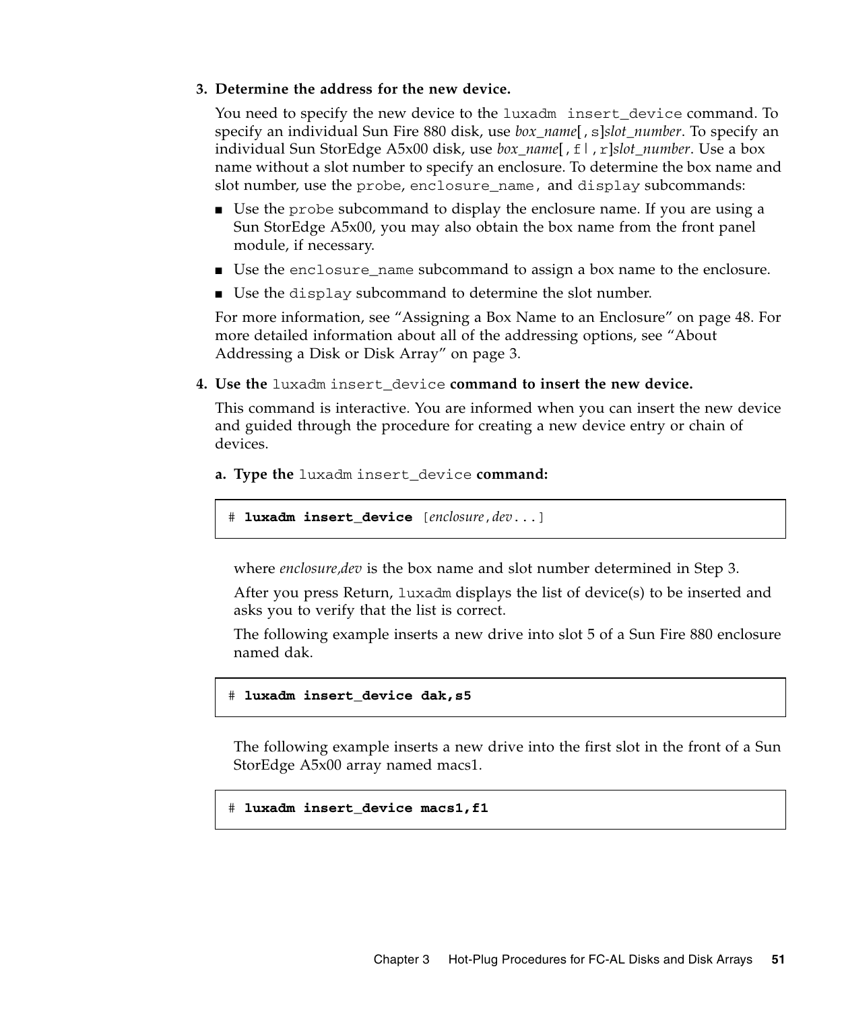#### **3. Determine the address for the new device.**

You need to specify the new device to the luxadm insert device command. To specify an individual Sun Fire 880 disk, use *box\_name*[,s]*slot\_number*. To specify an individual Sun StorEdge A5x00 disk, use *box\_name*[,f|,r]*slot\_number*. Use a box name without a slot number to specify an enclosure. To determine the box name and slot number, use the probe, enclosure\_name, and display subcommands:

- Use the probe subcommand to display the enclosure name. If you are using a Sun StorEdge A5x00, you may also obtain the box name from the front panel module, if necessary.
- Use the enclosure\_name subcommand to assign a box name to the enclosure.
- Use the display subcommand to determine the slot number.

For more information, see ["Assigning a Box Name to an Enclosure" on page 48](#page-59-0). For more detailed information about all of the addressing options, see ["About](#page-14-0) [Addressing a Disk or Disk Array" on page 3.](#page-14-0)

**4. Use the** luxadm insert\_device **command to insert the new device.**

This command is interactive. You are informed when you can insert the new device and guided through the procedure for creating a new device entry or chain of devices.

**a. Type the** luxadm insert\_device **command:**

```
# luxadm insert_device [enclosure,dev...]
```
where *enclosure,dev* is the box name and slot number determined in Step 3.

After you press Return, luxadm displays the list of device(s) to be inserted and asks you to verify that the list is correct.

The following example inserts a new drive into slot 5 of a Sun Fire 880 enclosure named dak.

```
# luxadm insert_device dak,s5
```
The following example inserts a new drive into the first slot in the front of a Sun StorEdge A5x00 array named macs1.

```
# luxadm insert_device macs1,f1
```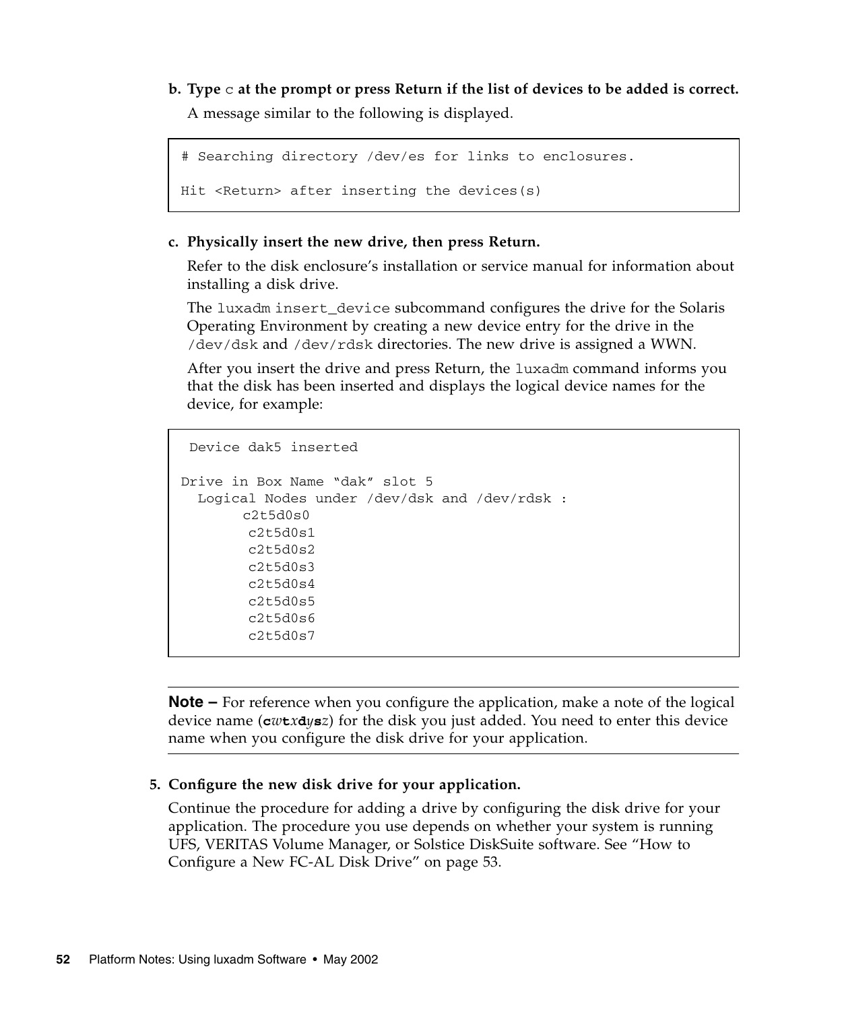#### **b. Type** c **at the prompt or press Return if the list of devices to be added is correct.**

A message similar to the following is displayed.

```
# Searching directory /dev/es for links to enclosures.
```

```
Hit <Return> after inserting the devices(s)
```
#### **c. Physically insert the new drive, then press Return.**

Refer to the disk enclosure's installation or service manual for information about installing a disk drive.

The luxadm insert device subcommand configures the drive for the Solaris Operating Environment by creating a new device entry for the drive in the /dev/dsk and /dev/rdsk directories. The new drive is assigned a WWN.

After you insert the drive and press Return, the luxadm command informs you that the disk has been inserted and displays the logical device names for the device, for example:

```
 Device dak5 inserted
Drive in Box Name "dak" slot 5
   Logical Nodes under /dev/dsk and /dev/rdsk :
       c2t5d0s0
         c2t5d0s1
         c2t5d0s2
         c2t5d0s3
         c2t5d0s4
         c2t5d0s5
         c2t5d0s6
         c2t5d0s7
```
**Note –** For reference when you configure the application, make a note of the logical device name (**c***w***t***x***d***y***s***z*) for the disk you just added. You need to enter this device name when you configure the disk drive for your application.

#### **5. Configure the new disk drive for your application.**

Continue the procedure for adding a drive by configuring the disk drive for your application. The procedure you use depends on whether your system is running UFS, VERITAS Volume Manager, or Solstice DiskSuite software. See ["How to](#page-64-0) [Configure a New FC-AL Disk Drive" on page 53](#page-64-0).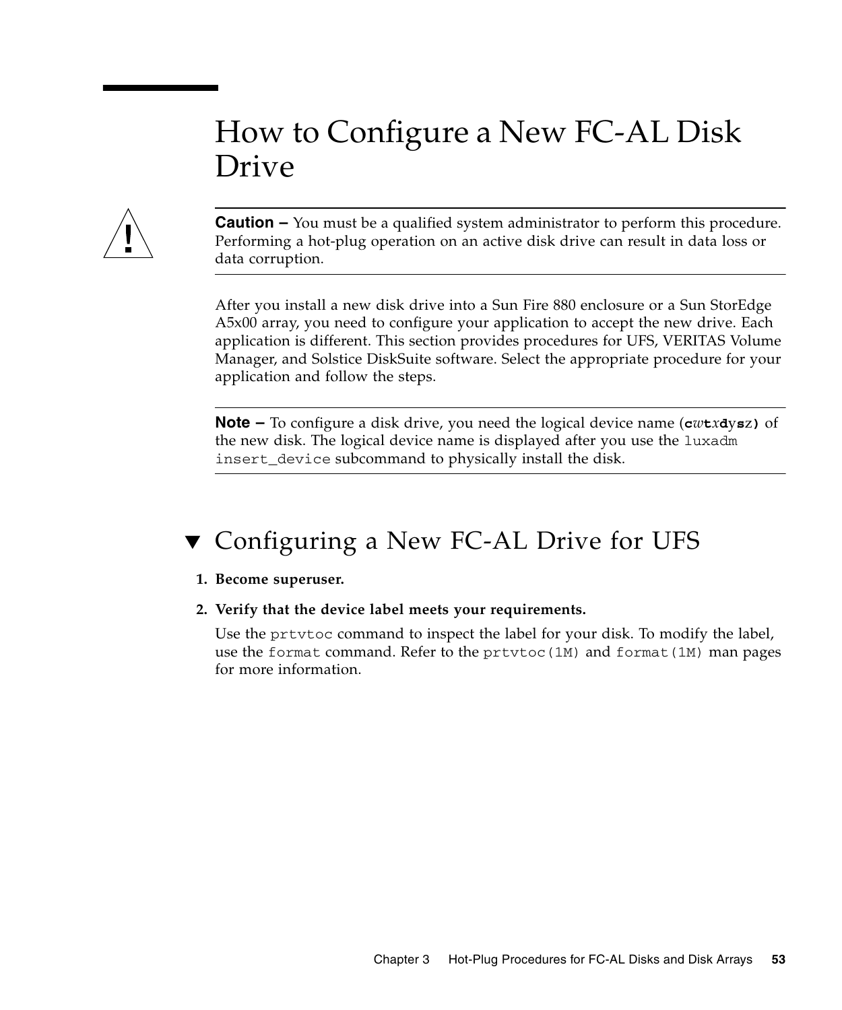# How to Configure a New FC-AL Disk Drive

<span id="page-64-0"></span>

**Caution** – You must be a qualified system administrator to perform this procedure. Performing a hot-plug operation on an active disk drive can result in data loss or data corruption.

After you install a new disk drive into a Sun Fire 880 enclosure or a Sun StorEdge A5x00 array, you need to configure your application to accept the new drive. Each application is different. This section provides procedures for UFS, VERITAS Volume Manager, and Solstice DiskSuite software. Select the appropriate procedure for your application and follow the steps.

**Note –** To configure a disk drive, you need the logical device name (**c***w***t***x***d**y**s**z**)** of the new disk. The logical device name is displayed after you use the luxadm insert\_device subcommand to physically install the disk.

# ▼ Configuring a New FC-AL Drive for UFS

#### **1. Become superuser.**

**2. Verify that the device label meets your requirements.**

Use the prtvtoc command to inspect the label for your disk. To modify the label, use the format command. Refer to the print comment (1M) man pages for more information.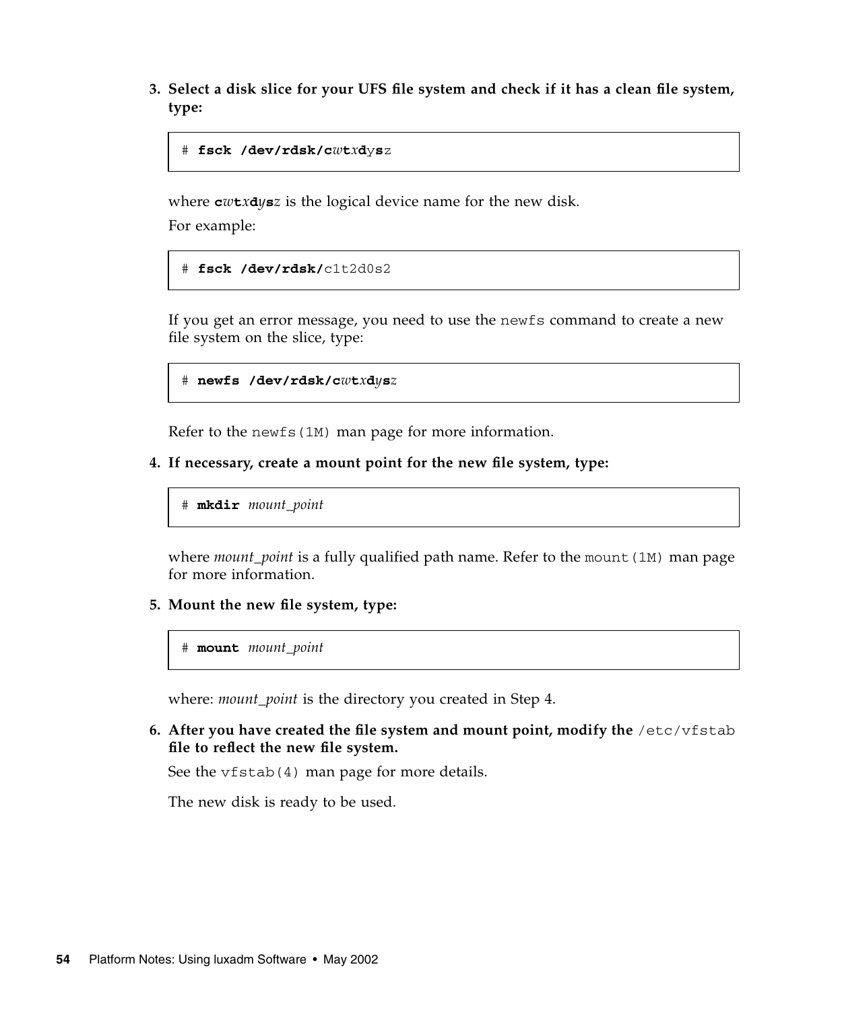**3. Select a disk slice for your UFS file system and check if it has a clean file system, type:**

# **fsck /dev/rdsk/c***w***t***x***d**y**s**z

where **c***w***t***x***d***y***s***z* is the logical device name for the new disk.

For example:

# **fsck /dev/rdsk/**c1t2d0s2

If you get an error message, you need to use the newfs command to create a new file system on the slice, type:

# **newfs /dev/rdsk/c***w***t***x***d***y***s***z*

Refer to the newfs(1M) man page for more information.

<span id="page-65-0"></span>**4. If necessary, create a mount point for the new file system, type:**

# **mkdir** *mount\_point*

where *mount\_point* is a fully qualified path name. Refer to the mount (1M) man page for more information.

#### **5. Mount the new file system, type:**

# **mount** *mount\_point*

where: *mount\_point* is the directory you created in [Step 4](#page-65-0).

**6. After you have created the file system and mount point, modify the** /etc/vfstab **file to reflect the new file system.**

See the vfstab(4) man page for more details.

The new disk is ready to be used.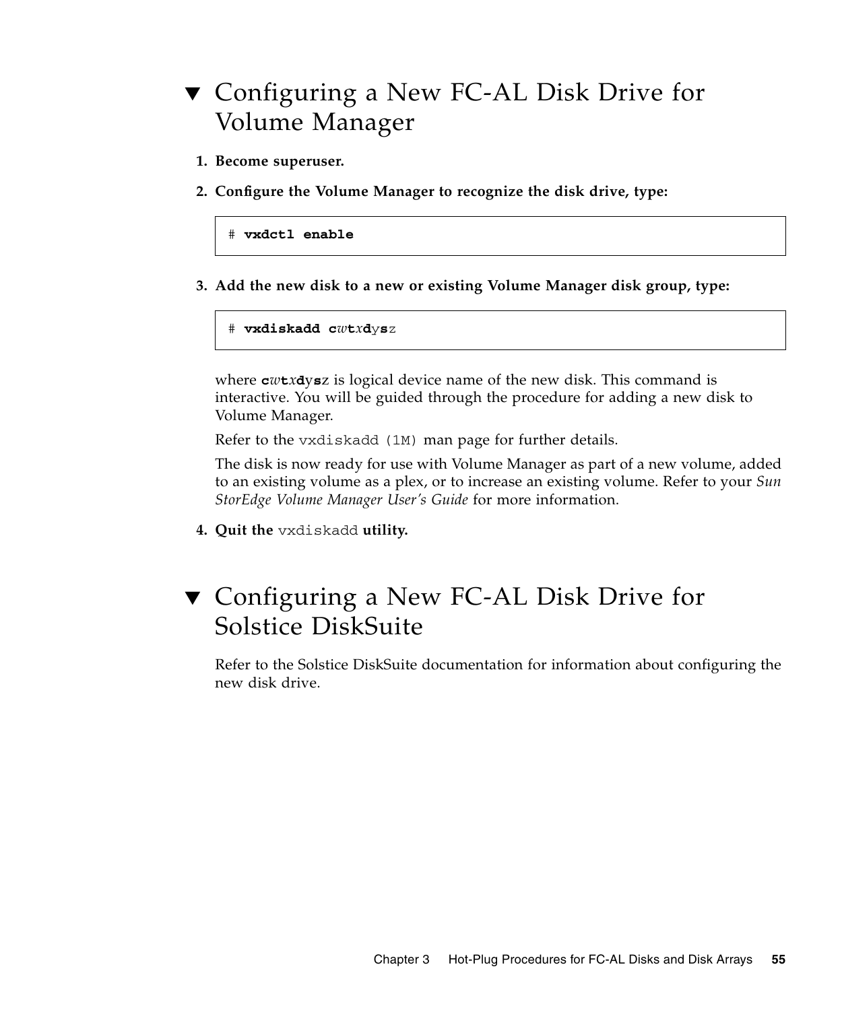## ▼ Configuring a New FC-AL Disk Drive for Volume Manager

- **1. Become superuser.**
- **2. Configure the Volume Manager to recognize the disk drive, type:**

```
# vxdctl enable
```
**3. Add the new disk to a new or existing Volume Manager disk group, type:**

# **vxdiskadd c***w***t***x***d**y**s**z

where **c***w***t***x***d**y**s**z is logical device name of the new disk. This command is interactive. You will be guided through the procedure for adding a new disk to Volume Manager.

Refer to the vxdiskadd (1M) man page for further details.

The disk is now ready for use with Volume Manager as part of a new volume, added to an existing volume as a plex, or to increase an existing volume. Refer to your *Sun StorEdge Volume Manager User's Guide* for more information.

**4. Quit the** vxdiskadd **utility.**

### ▼ Configuring a New FC-AL Disk Drive for Solstice DiskSuite

Refer to the Solstice DiskSuite documentation for information about configuring the new disk drive.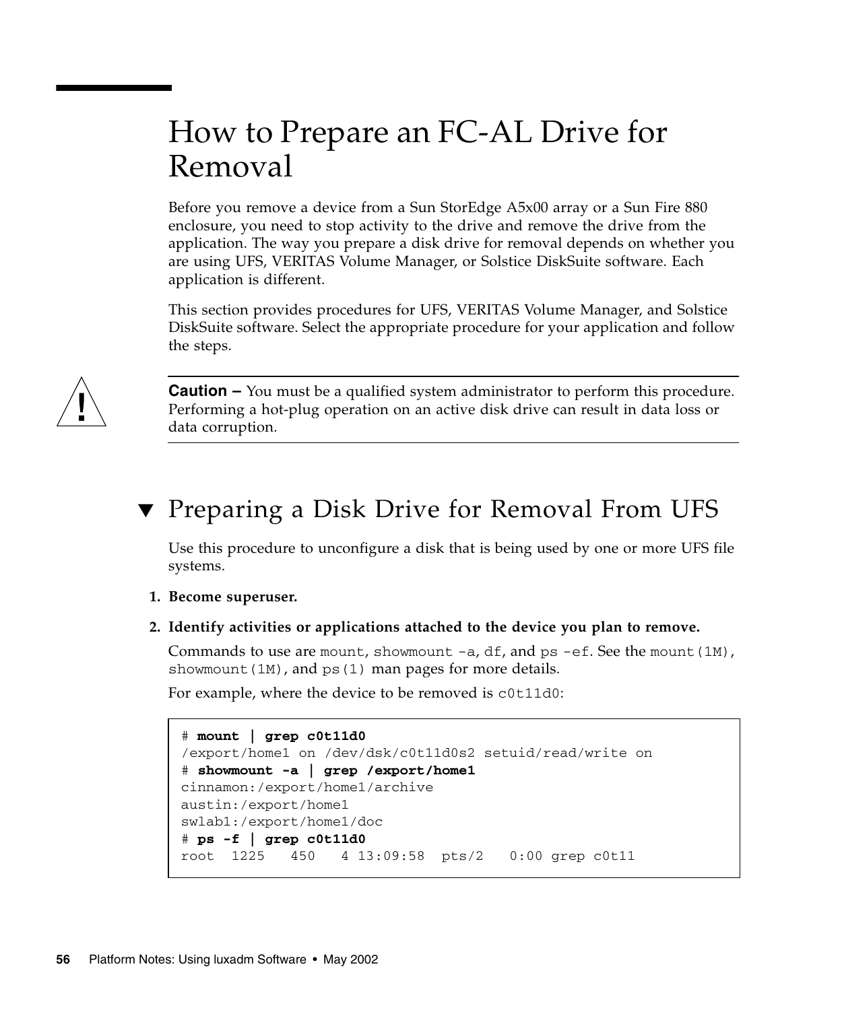# <span id="page-67-0"></span>How to Prepare an FC-AL Drive for Removal

Before you remove a device from a Sun StorEdge A5x00 array or a Sun Fire 880 enclosure, you need to stop activity to the drive and remove the drive from the application. The way you prepare a disk drive for removal depends on whether you are using UFS, VERITAS Volume Manager, or Solstice DiskSuite software. Each application is different.

This section provides procedures for UFS, VERITAS Volume Manager, and Solstice DiskSuite software. Select the appropriate procedure for your application and follow the steps.



**Caution** – You must be a qualified system administrator to perform this procedure. Performing a hot-plug operation on an active disk drive can result in data loss or data corruption.

# ▼ Preparing a Disk Drive for Removal From UFS

Use this procedure to unconfigure a disk that is being used by one or more UFS file systems.

#### **1. Become superuser.**

**2. Identify activities or applications attached to the device you plan to remove.**

Commands to use are mount, showmount  $-a$ , df, and ps  $-e$ f. See the mount (1M), showmount  $(1M)$ , and ps $(1)$  man pages for more details.

For example, where the device to be removed is  $c0t11d0$ :

```
# mount | grep c0t11d0
/export/home1 on /dev/dsk/c0t11d0s2 setuid/read/write on
# showmount -a | grep /export/home1
cinnamon:/export/home1/archive
austin:/export/home1
swlab1:/export/home1/doc
# ps -f | grep c0t11d0
root 1225 450 4 13:09:58 pts/2 0:00 grep c0t11
```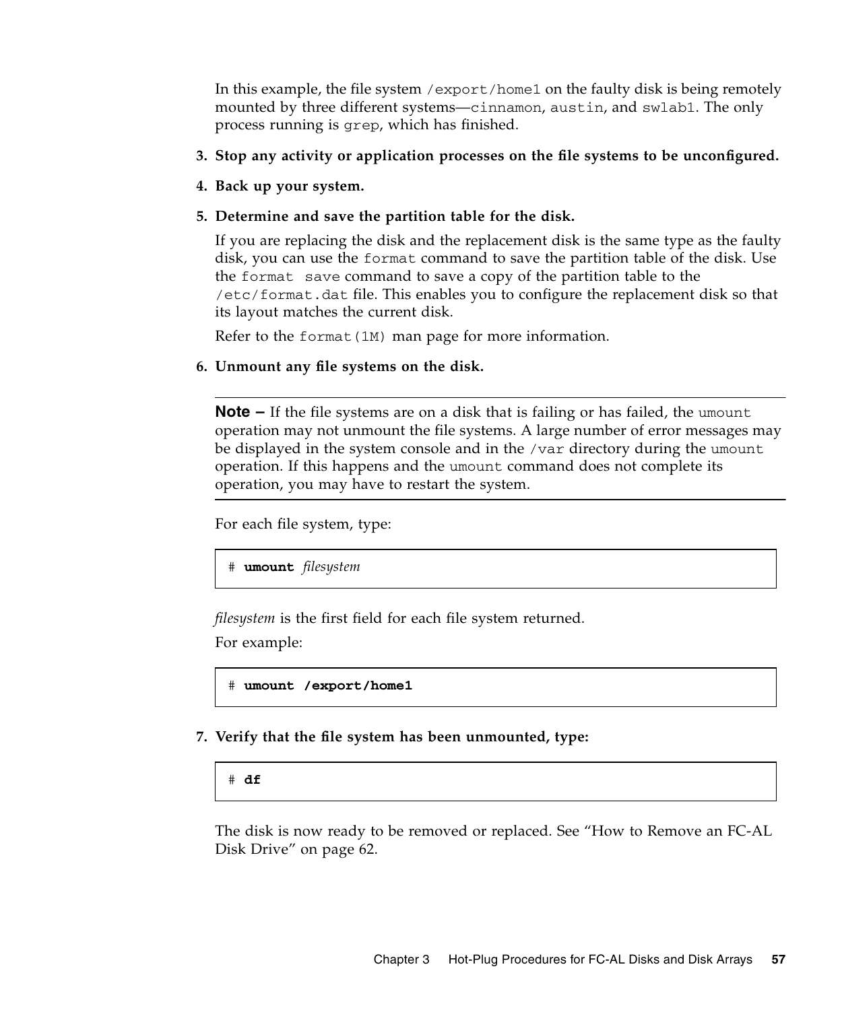In this example, the file system /export/home1 on the faulty disk is being remotely mounted by three different systems—cinnamon, austin, and swlab1. The only process running is grep, which has finished.

- **3. Stop any activity or application processes on the file systems to be unconfigured.**
- **4. Back up your system.**

#### **5. Determine and save the partition table for the disk.**

If you are replacing the disk and the replacement disk is the same type as the faulty disk, you can use the format command to save the partition table of the disk. Use the format save command to save a copy of the partition table to the /etc/format.dat file. This enables you to configure the replacement disk so that its layout matches the current disk.

Refer to the format $(1M)$  man page for more information.

#### **6. Unmount any file systems on the disk.**

**Note –** If the file systems are on a disk that is failing or has failed, the umount operation may not unmount the file systems. A large number of error messages may be displayed in the system console and in the /var directory during the umount operation. If this happens and the umount command does not complete its operation, you may have to restart the system.

For each file system, type:

# **umount** *filesystem*

*filesystem* is the first field for each file system returned.

For example:

# **umount /export/home1**

**7. Verify that the file system has been unmounted, type:**

# **df**

The disk is now ready to be removed or replaced. See ["How to Remove an FC-AL](#page-73-0) [Disk Drive" on page 62](#page-73-0).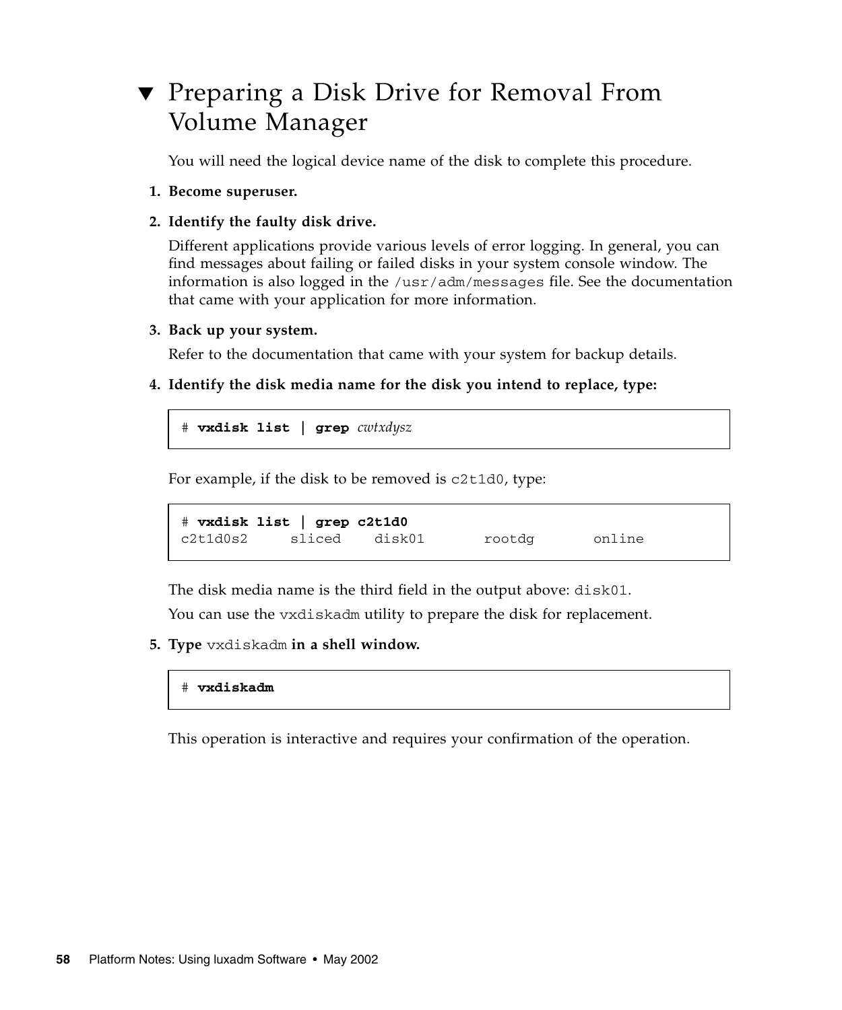## ▼ Preparing a Disk Drive for Removal From Volume Manager

You will need the logical device name of the disk to complete this procedure.

#### **1. Become superuser.**

#### **2. Identify the faulty disk drive.**

Different applications provide various levels of error logging. In general, you can find messages about failing or failed disks in your system console window. The information is also logged in the  $/usr$  adm/messages file. See the documentation that came with your application for more information.

#### **3. Back up your system.**

Refer to the documentation that came with your system for backup details.

#### **4. Identify the disk media name for the disk you intend to replace, type:**

```
# vxdisk list | grep cwtxdysz
```
For example, if the disk to be removed is c2t1d0, type:

```
# vxdisk list | grep c2t1d0
c2t1d0s2 sliced disk01 rootdg online
```
The disk media name is the third field in the output above: disk01.

You can use the vxdiskadm utility to prepare the disk for replacement.

**5. Type** vxdiskadm **in a shell window.**

#### # **vxdiskadm**

This operation is interactive and requires your confirmation of the operation.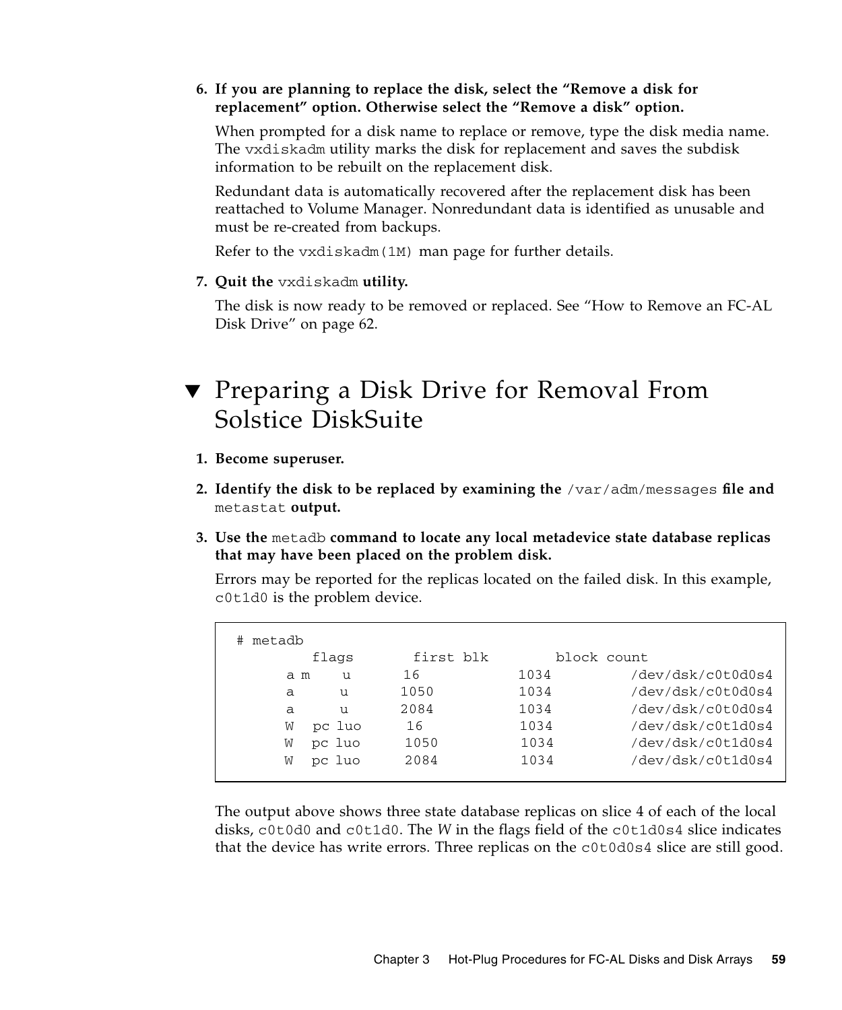#### **6. If you are planning to replace the disk, select the "Remove a disk for replacement" option. Otherwise select the "Remove a disk" option.**

When prompted for a disk name to replace or remove, type the disk media name. The vxdiskadm utility marks the disk for replacement and saves the subdisk information to be rebuilt on the replacement disk.

Redundant data is automatically recovered after the replacement disk has been reattached to Volume Manager. Nonredundant data is identified as unusable and must be re-created from backups.

Refer to the vxdiskadm(1M) man page for further details.

**7. Quit the** vxdiskadm **utility.**

The disk is now ready to be removed or replaced. See ["How to Remove an FC-AL](#page-73-0) [Disk Drive" on page 62](#page-73-0).

### ▼ Preparing a Disk Drive for Removal From Solstice DiskSuite

- **1. Become superuser.**
- **2. Identify the disk to be replaced by examining the** /var/adm/messages **file and** metastat **output.**
- **3. Use the** metadb **command to locate any local metadevice state database replicas that may have been placed on the problem disk.**

Errors may be reported for the replicas located on the failed disk. In this example, c0t1d0 is the problem device.

| metadb<br># |       |                |           |      |                   |
|-------------|-------|----------------|-----------|------|-------------------|
|             | flags |                | first blk |      | block count       |
|             | a m   | $\mathfrak{u}$ | 16        | 1034 | /dev/dsk/c0t0d0s4 |
|             | a     | u              | 1050      | 1034 | /dev/dsk/c0t0d0s4 |
|             | a     | $\mathfrak{u}$ | 2084      | 1034 | /dev/dsk/c0t0d0s4 |
|             | W     | pc luo         | 16        | 1034 | /dev/dsk/c0t1d0s4 |
|             | W     | pc luo         | 1050      | 1034 | /dev/dsk/c0t1d0s4 |
|             | W     | pc luo         | 2084      | 1034 | /dev/dsk/c0t1d0s4 |
|             |       |                |           |      |                   |

The output above shows three state database replicas on slice 4 of each of the local disks, c0t0d0 and c0t1d0. The *W* in the flags field of the c0t1d0s4 slice indicates that the device has write errors. Three replicas on the c0t0d0s4 slice are still good.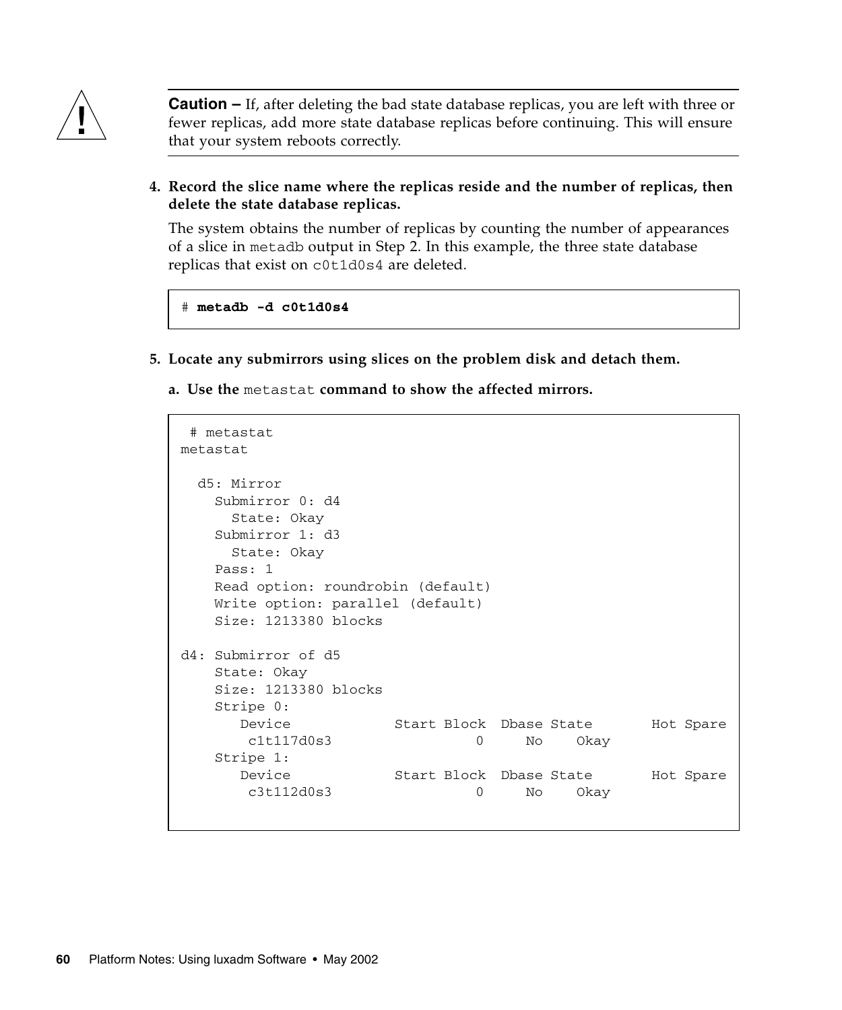

**Caution –** If, after deleting the bad state database replicas, you are left with three or fewer replicas, add more state database replicas before continuing. This will ensure that your system reboots correctly.

**4. Record the slice name where the replicas reside and the number of replicas, then delete the state database replicas.**

The system obtains the number of replicas by counting the number of appearances of a slice in metadb output in Step 2. In this example, the three state database replicas that exist on c0t1d0s4 are deleted.

# **metadb -d c0t1d0s4**

- **5. Locate any submirrors using slices on the problem disk and detach them.**
	- **a. Use the** metastat **command to show the affected mirrors.**

```
 # metastat
metastat
  d5: Mirror
    Submirror 0: d4
      State: Okay
    Submirror 1: d3
      State: Okay
    Pass: 1
    Read option: roundrobin (default)
    Write option: parallel (default)
    Size: 1213380 blocks
d4: Submirror of d5
    State: Okay
    Size: 1213380 blocks
    Stripe 0:
     Device Start Block Dbase State Hot Spare
       c1t117d0s3 0 No Okay
    Stripe 1:
     Device Start Block Dbase State Hot Spare
       c3t112d0s3 0 No Okay
```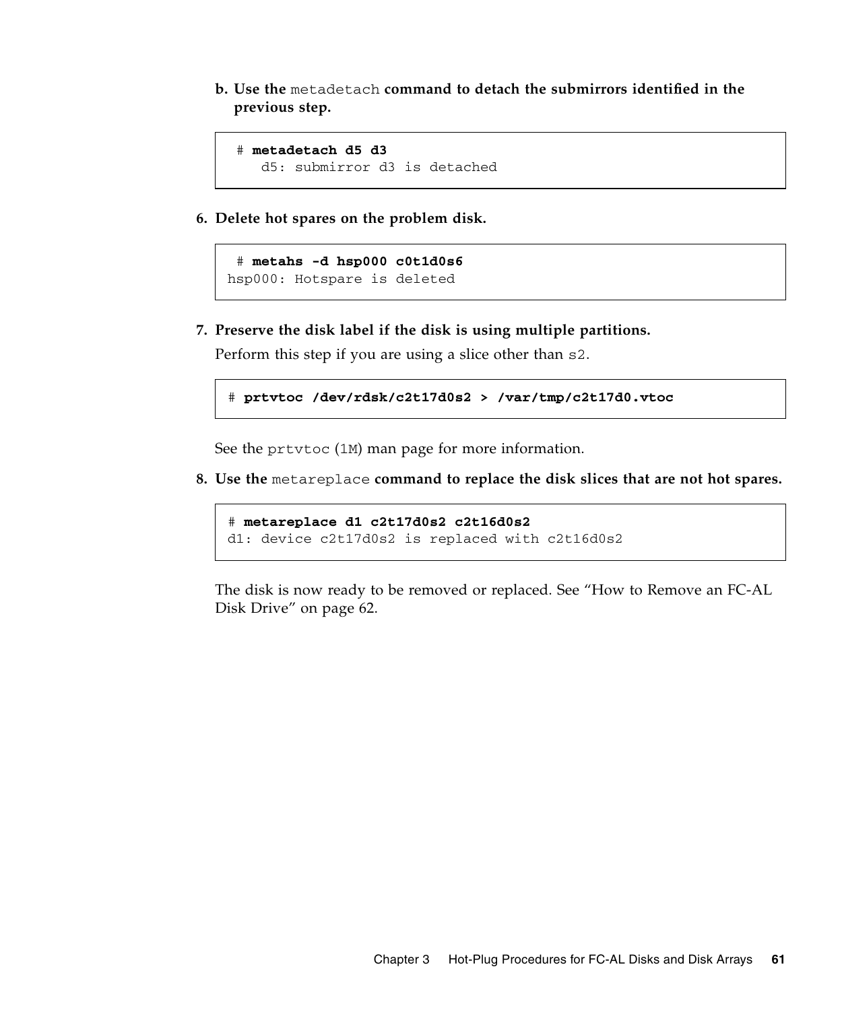**b. Use the** metadetach **command to detach the submirrors identified in the previous step.**

```
 # metadetach d5 d3
   d5: submirror d3 is detached
```
**6. Delete hot spares on the problem disk.**

```
 # metahs -d hsp000 c0t1d0s6
hsp000: Hotspare is deleted
```
**7. Preserve the disk label if the disk is using multiple partitions.**

Perform this step if you are using a slice other than s2.

# **prtvtoc /dev/rdsk/c2t17d0s2 > /var/tmp/c2t17d0.vtoc**

See the prtvtoc (1M) man page for more information.

**8. Use the** metareplace **command to replace the disk slices that are not hot spares.**

```
# metareplace d1 c2t17d0s2 c2t16d0s2
d1: device c2t17d0s2 is replaced with c2t16d0s2
```
The disk is now ready to be removed or replaced. See ["How to Remove an FC-AL](#page-73-0) [Disk Drive" on page 62](#page-73-0).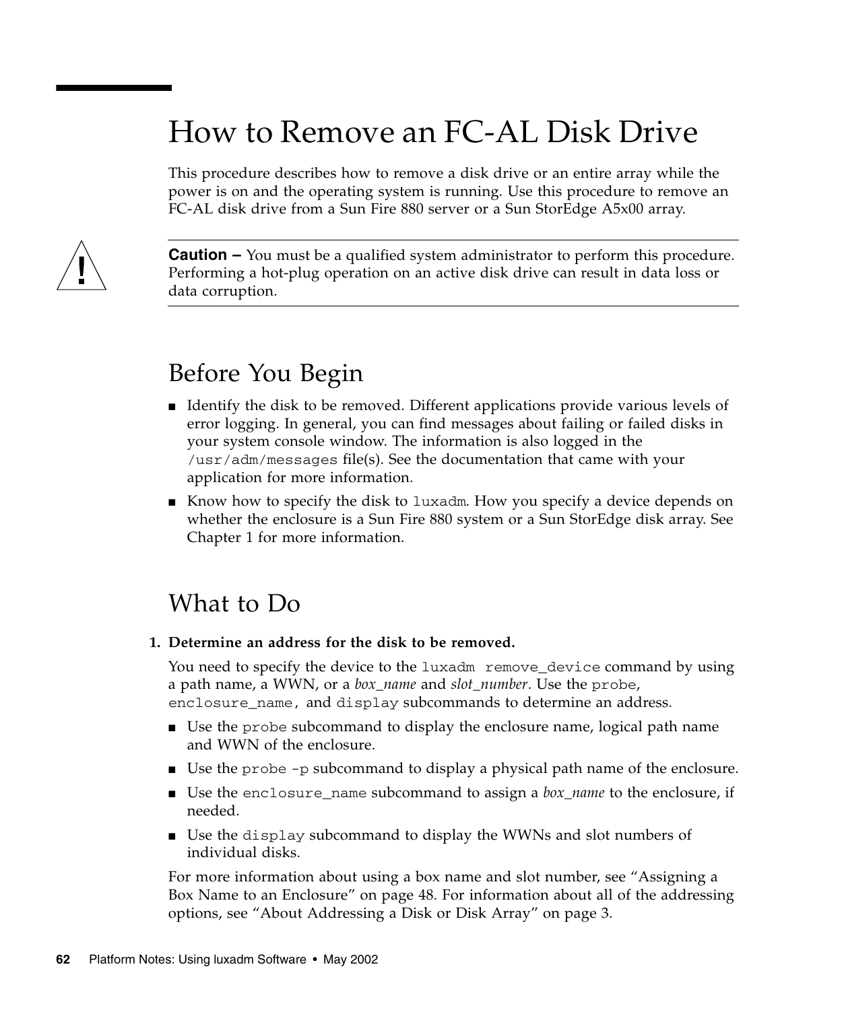# <span id="page-73-0"></span>How to Remove an FC-AL Disk Drive

<span id="page-73-1"></span>This procedure describes how to remove a disk drive or an entire array while the power is on and the operating system is running. Use this procedure to remove an FC-AL disk drive from a Sun Fire 880 server or a Sun StorEdge A5x00 array.



**Caution** – You must be a qualified system administrator to perform this procedure. Performing a hot-plug operation on an active disk drive can result in data loss or data corruption.

# Before You Begin

- Identify the disk to be removed. Different applications provide various levels of error logging. In general, you can find messages about failing or failed disks in your system console window. The information is also logged in the /usr/adm/messages file(s). See the documentation that came with your application for more information.
- Know how to specify the disk to luxadm. How you specify a device depends on whether the enclosure is a Sun Fire 880 system or a Sun StorEdge disk array. See [Chapter 1](#page-12-0) for more information.

# What to Do

**1. Determine an address for the disk to be removed.**

You need to specify the device to the luxadm remove\_device command by using a path name, a WWN, or a *box\_name* and *slot\_number*. Use the probe, enclosure name, and display subcommands to determine an address.

- Use the probe subcommand to display the enclosure name, logical path name and WWN of the enclosure.
- Use the probe -p subcommand to display a physical path name of the enclosure.
- Use the enclosure\_name subcommand to assign a *box\_name* to the enclosure, if needed.
- Use the display subcommand to display the WWNs and slot numbers of individual disks.

For more information about using a box name and slot number, see ["Assigning a](#page-59-0) [Box Name to an Enclosure" on page 48](#page-59-0). For information about all of the addressing options, see ["About Addressing a Disk or Disk Array" on page 3.](#page-14-0)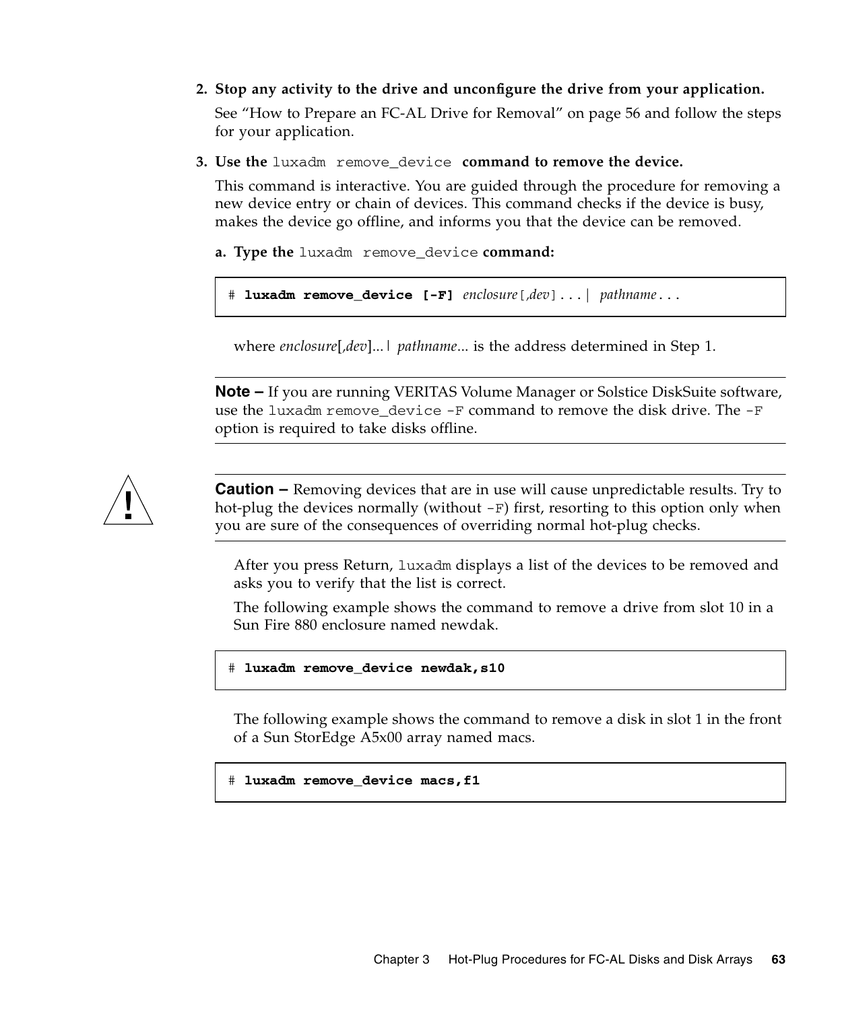**2. Stop any activity to the drive and unconfigure the drive from your application.**

See ["How to Prepare an FC-AL Drive for Removal" on page 56](#page-67-0) and follow the steps for your application.

**3. Use the** luxadm remove\_device **command to remove the device.**

This command is interactive. You are guided through the procedure for removing a new device entry or chain of devices. This command checks if the device is busy, makes the device go offline, and informs you that the device can be removed.

**a. Type the** luxadm remove\_device **command:**

# **luxadm remove\_device [-F]** *enclosure*[*,dev*]...| *pathname*...

where *enclosure*[*,dev*]...| *pathname*... is the address determined in Step 1.

**Note –** If you are running VERITAS Volume Manager or Solstice DiskSuite software, use the luxadm remove\_device -F command to remove the disk drive. The -F option is required to take disks offline.



**Caution** – Removing devices that are in use will cause unpredictable results. Try to hot-plug the devices normally (without  $-F$ ) first, resorting to this option only when you are sure of the consequences of overriding normal hot-plug checks.

After you press Return, luxadm displays a list of the devices to be removed and asks you to verify that the list is correct.

The following example shows the command to remove a drive from slot 10 in a Sun Fire 880 enclosure named newdak.

#### # **luxadm remove\_device newdak,s10**

The following example shows the command to remove a disk in slot 1 in the front of a Sun StorEdge A5x00 array named macs.

# **luxadm remove\_device macs,f1**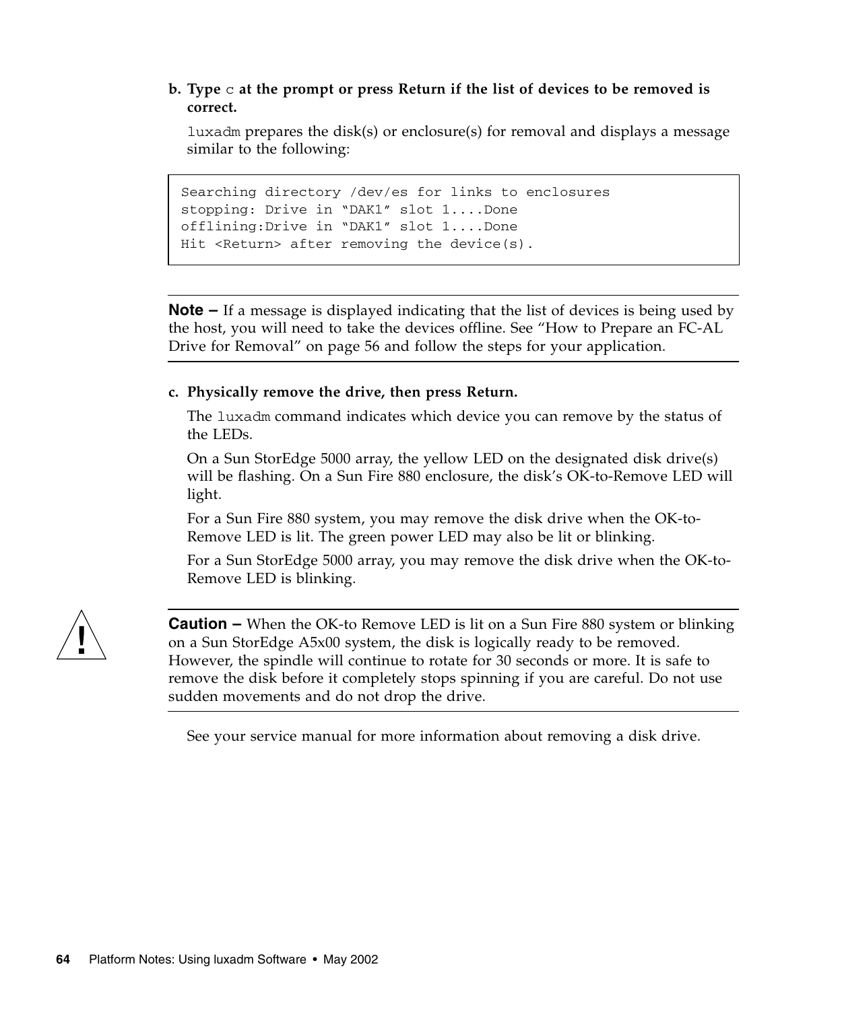### **b. Type** c **at the prompt or press Return if the list of devices to be removed is correct.**

luxadm prepares the disk(s) or enclosure(s) for removal and displays a message similar to the following:

```
Searching directory /dev/es for links to enclosures
stopping: Drive in "DAK1" slot 1....Done
offlining:Drive in "DAK1" slot 1....Done
Hit <Return> after removing the device(s).
```
**Note –** If a message is displayed indicating that the list of devices is being used by the host, you will need to take the devices offline. See ["How to Prepare an FC-AL](#page-67-0) [Drive for Removal" on page 56](#page-67-0) and follow the steps for your application.

#### **c. Physically remove the drive, then press Return.**

The luxadm command indicates which device you can remove by the status of the LEDs.

On a Sun StorEdge 5000 array, the yellow LED on the designated disk drive(s) will be flashing. On a Sun Fire 880 enclosure, the disk's OK-to-Remove LED will light.

For a Sun Fire 880 system, you may remove the disk drive when the OK-to-Remove LED is lit. The green power LED may also be lit or blinking.

For a Sun StorEdge 5000 array, you may remove the disk drive when the OK-to-Remove LED is blinking.



**Caution** – When the OK-to Remove LED is lit on a Sun Fire 880 system or blinking on a Sun StorEdge A5x00 system, the disk is logically ready to be removed. However, the spindle will continue to rotate for 30 seconds or more. It is safe to remove the disk before it completely stops spinning if you are careful. Do not use sudden movements and do not drop the drive.

See your service manual for more information about removing a disk drive.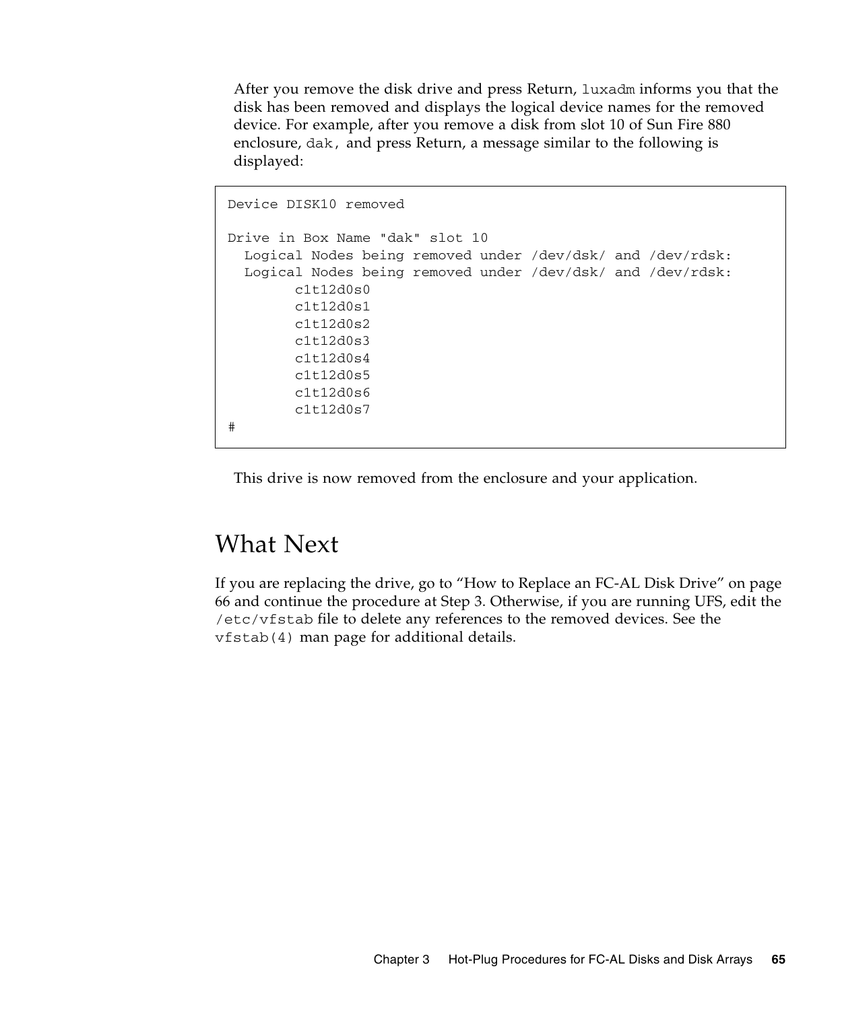After you remove the disk drive and press Return, luxadm informs you that the disk has been removed and displays the logical device names for the removed device. For example, after you remove a disk from slot 10 of Sun Fire 880 enclosure, dak, and press Return, a message similar to the following is displayed:

```
Device DISK10 removed
Drive in Box Name "dak" slot 10
   Logical Nodes being removed under /dev/dsk/ and /dev/rdsk:
   Logical Nodes being removed under /dev/dsk/ and /dev/rdsk:
         c1t12d0s0
         c1t12d0s1
         c1t12d0s2
         c1t12d0s3
         c1t12d0s4
         c1t12d0s5
         c1t12d0s6
         c1t12d0s7
#
```
This drive is now removed from the enclosure and your application.

## What Next

If you are replacing the drive, go to ["How to Replace an FC-AL Disk Drive" on page](#page-77-0) [66](#page-77-0) and continue the procedure at Step 3. Otherwise, if you are running UFS, edit the /etc/vfstab file to delete any references to the removed devices. See the vfstab(4) man page for additional details.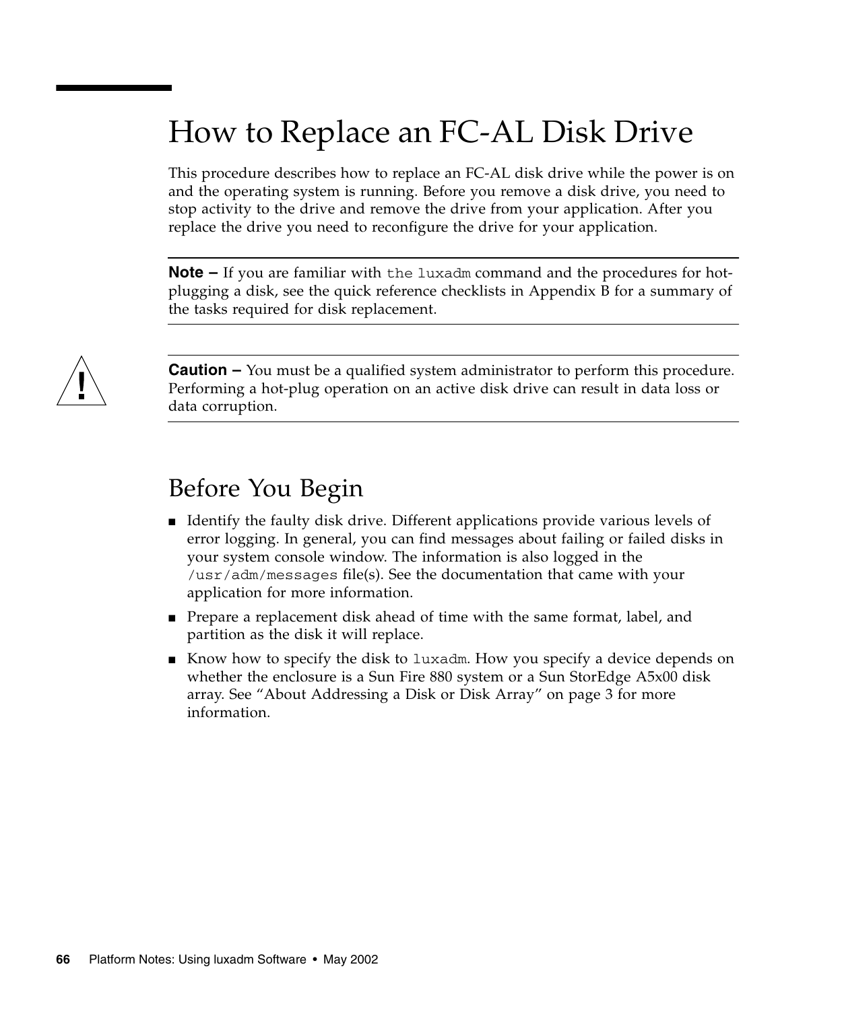# <span id="page-77-1"></span><span id="page-77-0"></span>How to Replace an FC-AL Disk Drive

<span id="page-77-2"></span>This procedure describes how to replace an FC-AL disk drive while the power is on and the operating system is running. Before you remove a disk drive, you need to stop activity to the drive and remove the drive from your application. After you replace the drive you need to reconfigure the drive for your application.

**Note –** If you are familiar with the luxadm command and the procedures for hotplugging a disk, see the quick reference checklists in Appendix B for a summary of the tasks required for disk replacement.



**Caution** – You must be a qualified system administrator to perform this procedure. Performing a hot-plug operation on an active disk drive can result in data loss or data corruption.

# Before You Begin

- Identify the faulty disk drive. Different applications provide various levels of error logging. In general, you can find messages about failing or failed disks in your system console window. The information is also logged in the /usr/adm/messages file(s). See the documentation that came with your application for more information.
- Prepare a replacement disk ahead of time with the same format, label, and partition as the disk it will replace.
- Know how to specify the disk to luxadm. How you specify a device depends on whether the enclosure is a Sun Fire 880 system or a Sun StorEdge A5x00 disk array. See ["About Addressing a Disk or Disk Array" on page 3](#page-14-0) for more information.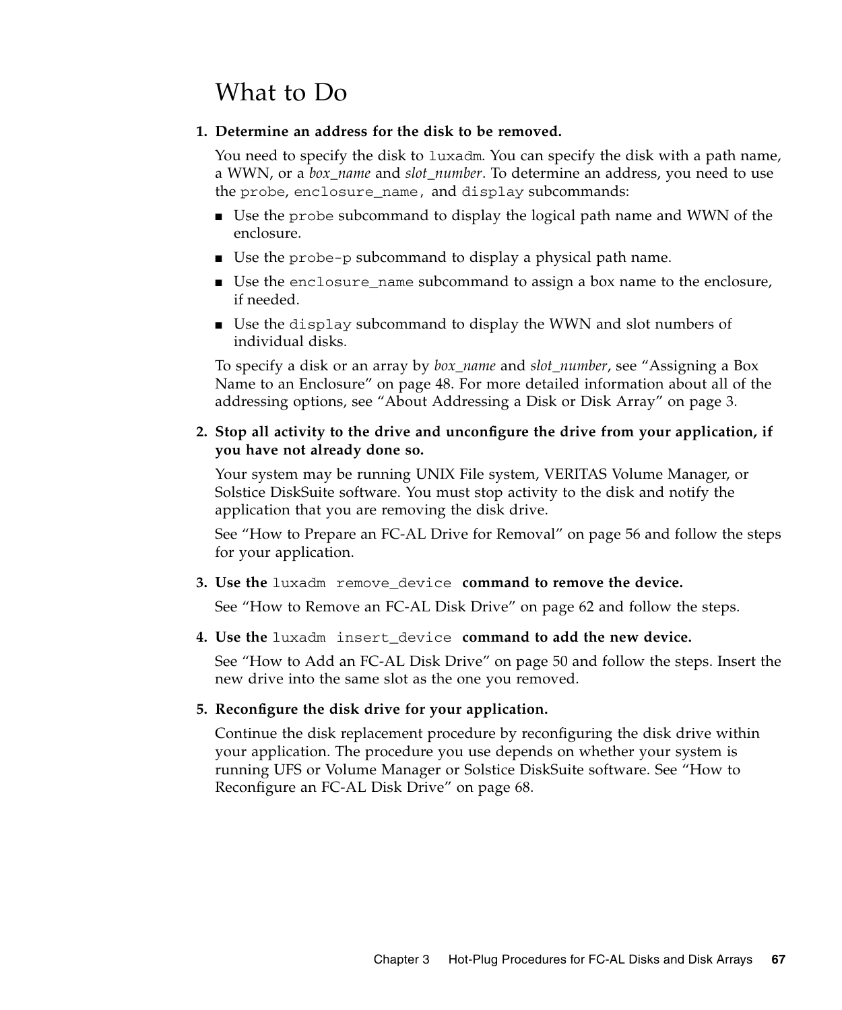## What to Do

#### **1. Determine an address for the disk to be removed.**

You need to specify the disk to luxadm. You can specify the disk with a path name, a WWN, or a *box\_name* and *slot\_number*. To determine an address, you need to use the probe, enclosure\_name, and display subcommands:

- Use the probe subcommand to display the logical path name and WWN of the enclosure.
- Use the probe-p subcommand to display a physical path name.
- Use the enclosure\_name subcommand to assign a box name to the enclosure, if needed.
- Use the display subcommand to display the WWN and slot numbers of individual disks.

To specify a disk or an array by *box\_name* and *slot\_number*, see ["Assigning a Box](#page-59-0) [Name to an Enclosure" on page 48](#page-59-0). For more detailed information about all of the addressing options, see ["About Addressing a Disk or Disk Array" on page 3.](#page-14-0)

#### **2. Stop all activity to the drive and unconfigure the drive from your application, if you have not already done so.**

Your system may be running UNIX File system, VERITAS Volume Manager, or Solstice DiskSuite software. You must stop activity to the disk and notify the application that you are removing the disk drive.

See ["How to Prepare an FC-AL Drive for Removal" on page 56](#page-67-0) and follow the steps for your application.

**3. Use the** luxadm remove\_device **command to remove the device.**

See ["How to Remove an FC-AL Disk Drive" on page 62](#page-73-0) and follow the steps.

**4. Use the** luxadm insert\_device **command to add the new device.**

See ["How to Add an FC-AL Disk Drive" on page 50](#page-61-0) and follow the steps. Insert the new drive into the same slot as the one you removed.

#### **5. Reconfigure the disk drive for your application.**

Continue the disk replacement procedure by reconfiguring the disk drive within your application. The procedure you use depends on whether your system is running UFS or Volume Manager or Solstice DiskSuite software. See ["How to](#page-79-0) [Reconfigure an FC-AL Disk Drive" on page 68](#page-79-0).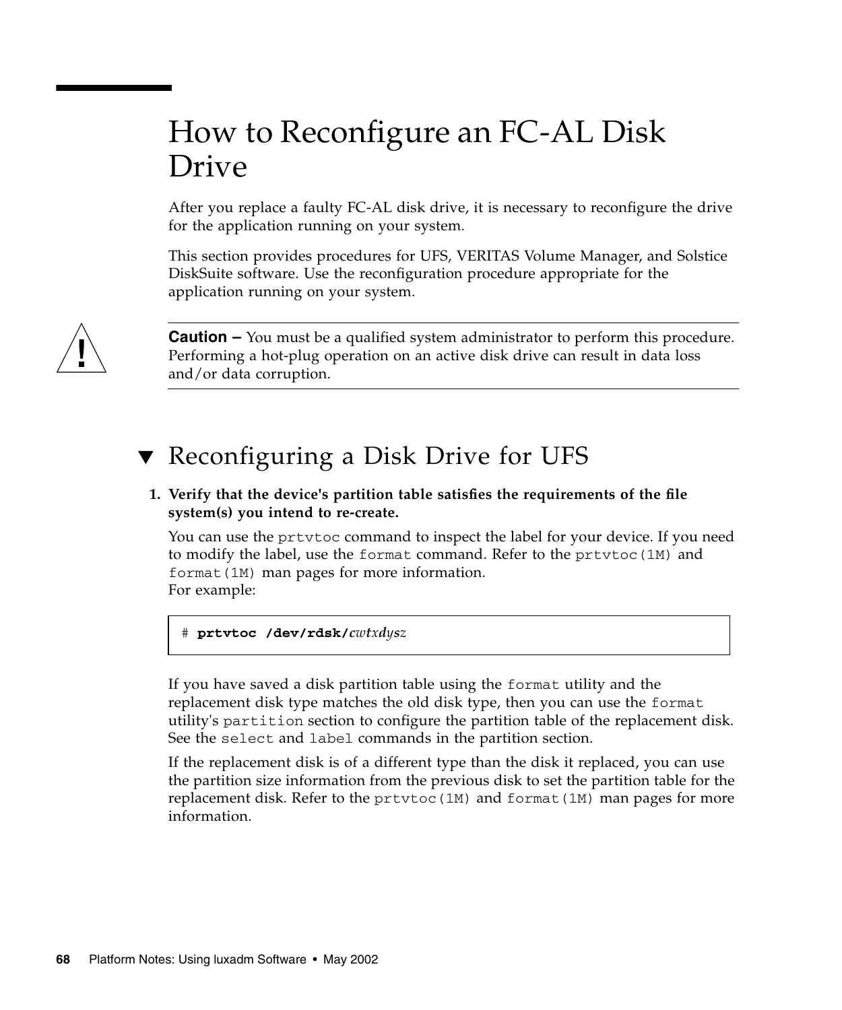# <span id="page-79-1"></span><span id="page-79-0"></span>How to Reconfigure an FC-AL Disk Drive

After you replace a faulty FC-AL disk drive, it is necessary to reconfigure the drive for the application running on your system.

This section provides procedures for UFS, VERITAS Volume Manager, and Solstice DiskSuite software. Use the reconfiguration procedure appropriate for the application running on your system.



<span id="page-79-2"></span>**Caution** – You must be a qualified system administrator to perform this procedure. Performing a hot-plug operation on an active disk drive can result in data loss and/or data corruption.

# ▼ Reconfiguring a Disk Drive for UFS

### **1. Verify that the device's partition table satisfies the requirements of the file system(s) you intend to re-create.**

You can use the prtvtoc command to inspect the label for your device. If you need to modify the label, use the format command. Refer to the prtvtoc(1M) and format(1M) man pages for more information. For example:

# **prtvtoc /dev/rdsk/***cwtxdysz*

If you have saved a disk partition table using the format utility and the replacement disk type matches the old disk type, then you can use the format utility's partition section to configure the partition table of the replacement disk. See the select and label commands in the partition section.

If the replacement disk is of a different type than the disk it replaced, you can use the partition size information from the previous disk to set the partition table for the replacement disk. Refer to the  $prtvtoc(1M)$  and format(1M) man pages for more information.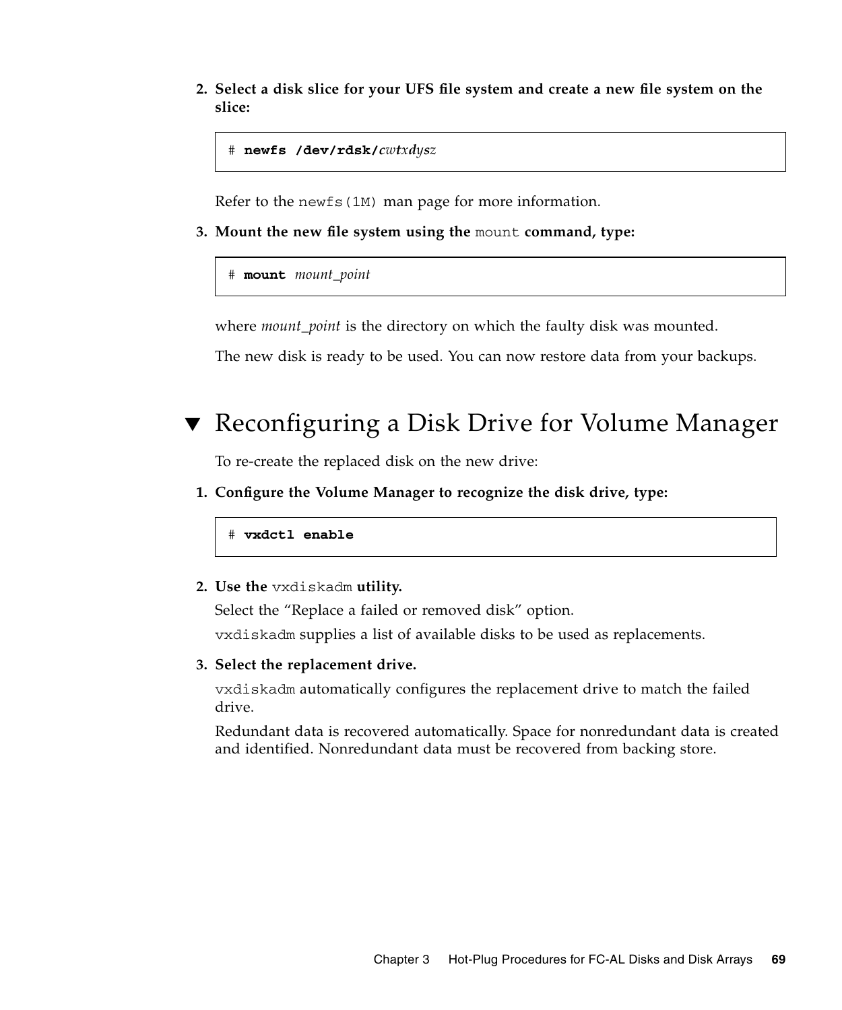**2. Select a disk slice for your UFS file system and create a new file system on the slice:**

```
# newfs /dev/rdsk/cwtxdysz
```
Refer to the newfs(1M) man page for more information.

**3. Mount the new file system using the** mount **command, type:**

```
# mount mount_point
```
where *mount\_point* is the directory on which the faulty disk was mounted.

The new disk is ready to be used. You can now restore data from your backups.

## ▼ Reconfiguring a Disk Drive for Volume Manager

To re-create the replaced disk on the new drive:

**1. Configure the Volume Manager to recognize the disk drive, type:**

# **vxdctl enable**

**2. Use the** vxdiskadm **utility.**

Select the "Replace a failed or removed disk" option.

vxdiskadm supplies a list of available disks to be used as replacements.

#### **3. Select the replacement drive.**

vxdiskadm automatically configures the replacement drive to match the failed drive.

Redundant data is recovered automatically. Space for nonredundant data is created and identified. Nonredundant data must be recovered from backing store.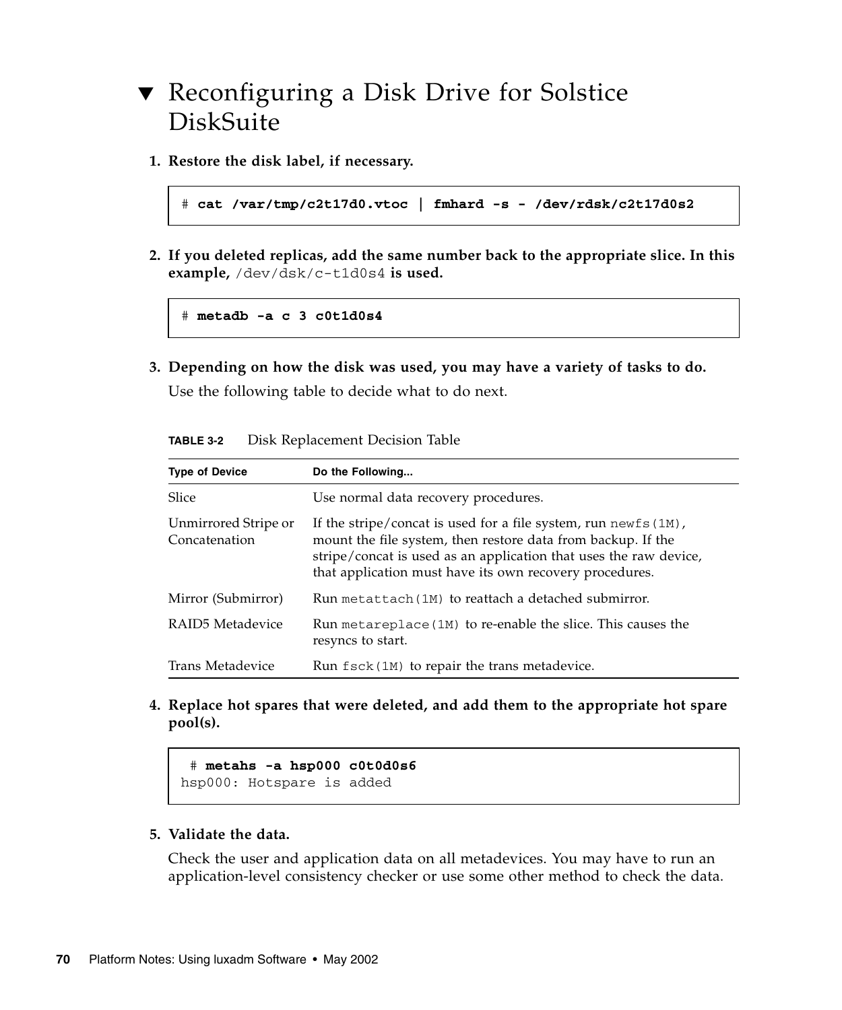## <span id="page-81-0"></span>▼ Reconfiguring a Disk Drive for Solstice DiskSuite

**1. Restore the disk label, if necessary.**

# **cat /var/tmp/c2t17d0.vtoc | fmhard -s - /dev/rdsk/c2t17d0s2**

**2. If you deleted replicas, add the same number back to the appropriate slice. In this example,** /dev/dsk/c-t1d0s4 **is used.**

# **metadb -a c 3 c0t1d0s4**

**3. Depending on how the disk was used, you may have a variety of tasks to do.** Use the following table to decide what to do next.

| TABLE 3-2 |  |  | Disk Replacement Decision Table |  |
|-----------|--|--|---------------------------------|--|
|-----------|--|--|---------------------------------|--|

| <b>Type of Device</b>                 | Do the Following                                                                                                                                                                                                                                                       |
|---------------------------------------|------------------------------------------------------------------------------------------------------------------------------------------------------------------------------------------------------------------------------------------------------------------------|
| Slice                                 | Use normal data recovery procedures.                                                                                                                                                                                                                                   |
| Unmirrored Stripe or<br>Concatenation | If the stripe/concat is used for a file system, run new f $\leq$ (1M),<br>mount the file system, then restore data from backup. If the<br>stripe/concat is used as an application that uses the raw device,<br>that application must have its own recovery procedures. |
| Mirror (Submirror)                    | Run metattach (1M) to reattach a detached submirror.                                                                                                                                                                                                                   |
| RAID5 Metadevice                      | Run metareplace (1M) to re-enable the slice. This causes the<br>resyncs to start.                                                                                                                                                                                      |
| Trans Metadevice                      | Run fsck(1M) to repair the trans metadevice.                                                                                                                                                                                                                           |

**4. Replace hot spares that were deleted, and add them to the appropriate hot spare pool(s).**

```
 # metahs -a hsp000 c0t0d0s6
hsp000: Hotspare is added
```
#### **5. Validate the data.**

Check the user and application data on all metadevices. You may have to run an application-level consistency checker or use some other method to check the data.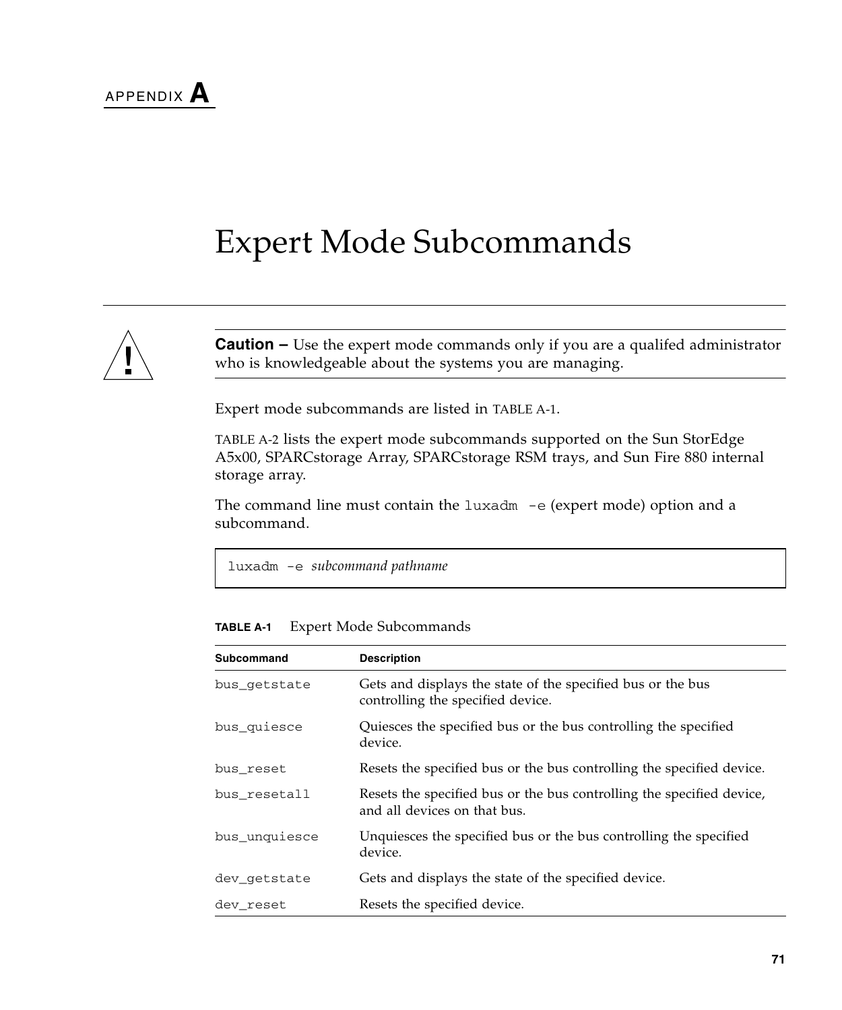# Expert Mode Subcommands



**Caution –** Use the expert mode commands only if you are a qualifed administrator who is knowledgeable about the systems you are managing.

Expert mode subcommands are listed in [TABLE A-1.](#page-82-0)

[TABLE A-2](#page-83-0) lists the expert mode subcommands supported on the Sun StorEdge A5x00, SPARCstorage Array, SPARCstorage RSM trays, and Sun Fire 880 internal storage array.

The command line must contain the luxadm -e (expert mode) option and a subcommand.

luxadm -e *subcommand pathname*

<span id="page-82-7"></span><span id="page-82-6"></span><span id="page-82-5"></span><span id="page-82-4"></span><span id="page-82-3"></span><span id="page-82-2"></span><span id="page-82-1"></span>

| Subcommand    | <b>Description</b>                                                                                    |
|---------------|-------------------------------------------------------------------------------------------------------|
| bus_getstate  | Gets and displays the state of the specified bus or the bus<br>controlling the specified device.      |
| bus_quiesce   | Quiesces the specified bus or the bus controlling the specified<br>device.                            |
| bus_reset     | Resets the specified bus or the bus controlling the specified device.                                 |
| bus resetall  | Resets the specified bus or the bus controlling the specified device,<br>and all devices on that bus. |
| bus_unquiesce | Unquiesces the specified bus or the bus controlling the specified<br>device.                          |
| dev_getstate  | Gets and displays the state of the specified device.                                                  |
| dev reset     | Resets the specified device.                                                                          |

<span id="page-82-0"></span>**TABLE A-1** Expert Mode Subcommands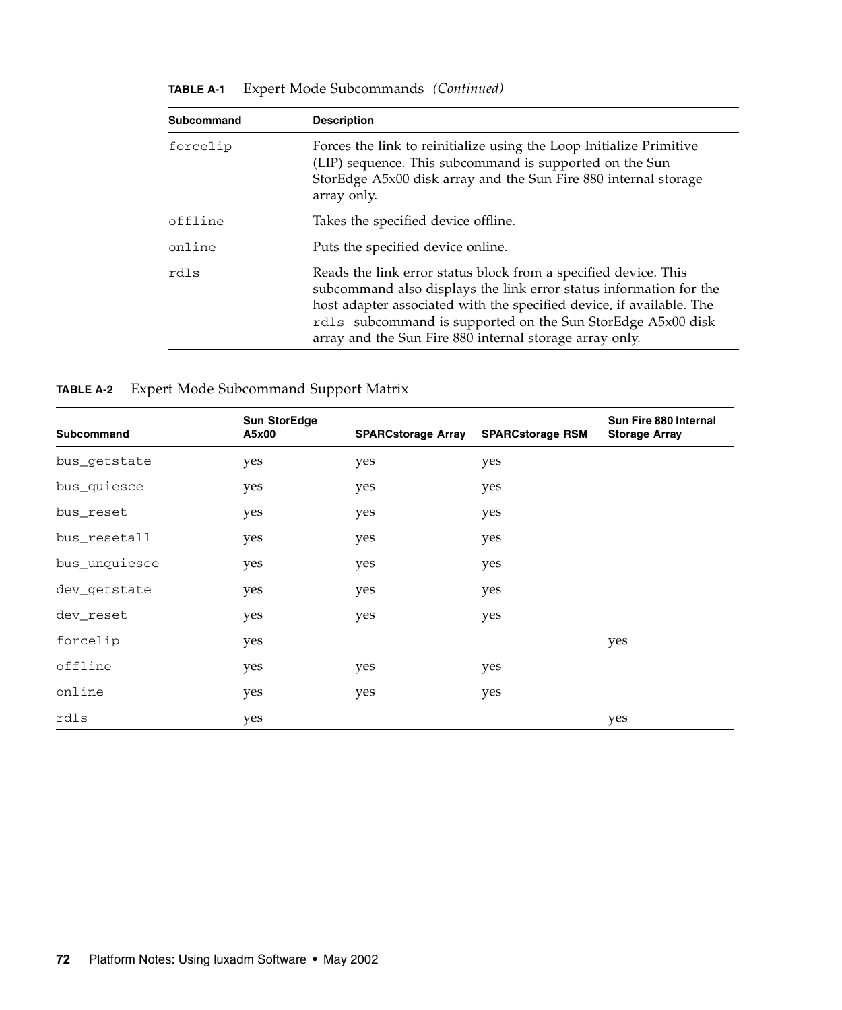<span id="page-83-4"></span><span id="page-83-3"></span><span id="page-83-2"></span><span id="page-83-1"></span>

| Subcommand | <b>Description</b>                                                                                                                                                                                                                                                                                                                      |
|------------|-----------------------------------------------------------------------------------------------------------------------------------------------------------------------------------------------------------------------------------------------------------------------------------------------------------------------------------------|
| forcelip   | Forces the link to reinitialize using the Loop Initialize Primitive<br>(LIP) sequence. This subcommand is supported on the Sun<br>StorEdge A5x00 disk array and the Sun Fire 880 internal storage<br>array only.                                                                                                                        |
| offline    | Takes the specified device offline.                                                                                                                                                                                                                                                                                                     |
| online     | Puts the specified device online.                                                                                                                                                                                                                                                                                                       |
| rdls       | Reads the link error status block from a specified device. This<br>subcommand also displays the link error status information for the<br>host adapter associated with the specified device, if available. The<br>rdls subcommand is supported on the Sun StorEdge A5x00 disk<br>array and the Sun Fire 880 internal storage array only. |

#### **TABLE A-1** Expert Mode Subcommands *(Continued)*

### <span id="page-83-0"></span>**TABLE A-2** Expert Mode Subcommand Support Matrix

| Subcommand    | <b>Sun StorEdge</b><br>A5x00 | <b>SPARCstorage Array</b> | <b>SPARCstorage RSM</b> | Sun Fire 880 Internal<br><b>Storage Array</b> |
|---------------|------------------------------|---------------------------|-------------------------|-----------------------------------------------|
| bus_getstate  | yes                          | yes                       | yes                     |                                               |
| bus_quiesce   | yes                          | yes                       | yes                     |                                               |
| bus_reset     | yes                          | yes                       | yes                     |                                               |
| bus_resetall  | yes                          | yes                       | yes                     |                                               |
| bus_unquiesce | yes                          | yes                       | yes                     |                                               |
| dev_getstate  | yes                          | yes                       | yes                     |                                               |
| dev_reset     | yes                          | yes                       | yes                     |                                               |
| forcelip      | yes                          |                           |                         | yes                                           |
| offline       | yes                          | yes                       | yes                     |                                               |
| online        | yes                          | yes                       | yes                     |                                               |
| rdls          | yes                          |                           |                         | yes                                           |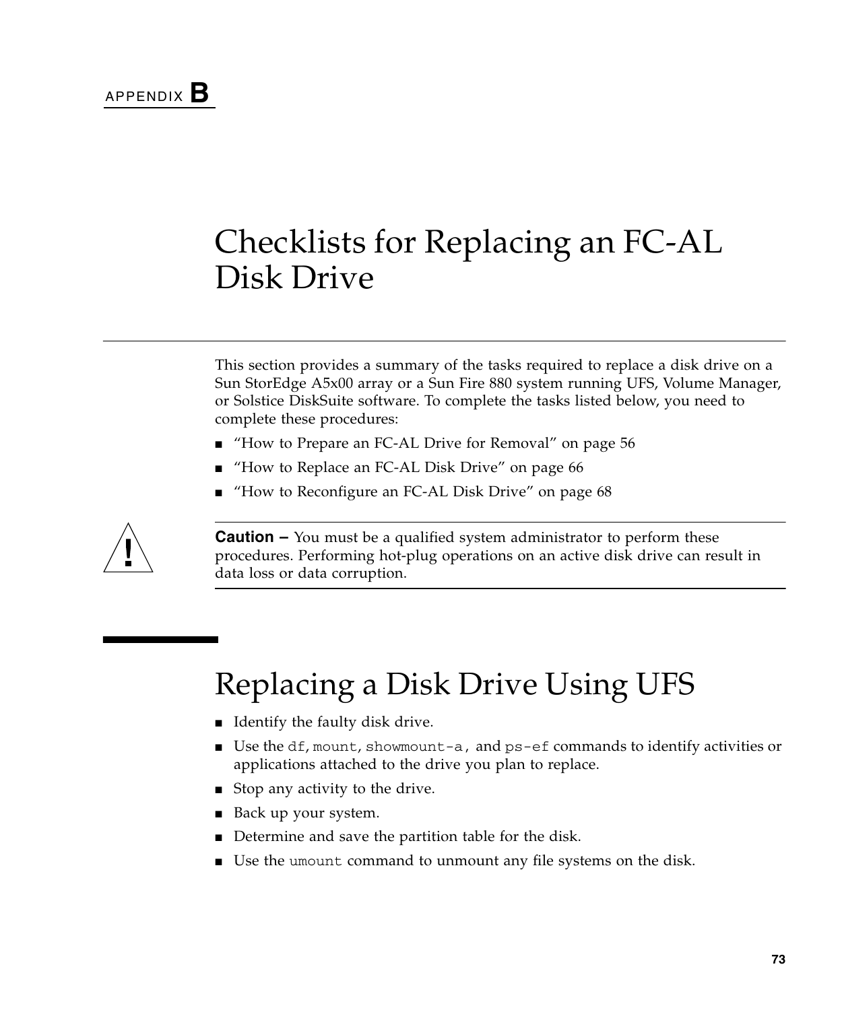# Checklists for Replacing an FC-AL Disk Drive

This section provides a summary of the tasks required to replace a disk drive on a Sun StorEdge A5x00 array or a Sun Fire 880 system running UFS, Volume Manager, or Solstice DiskSuite software. To complete the tasks listed below, you need to complete these procedures:

- ["How to Prepare an FC-AL Drive for Removal" on page 56](#page-67-1)
- ["How to Replace an FC-AL Disk Drive" on page 66](#page-77-1)
- ["How to Reconfigure an FC-AL Disk Drive" on page 68](#page-79-1)



**Caution –** You must be a qualified system administrator to perform these procedures. Performing hot-plug operations on an active disk drive can result in data loss or data corruption.

# Replacing a Disk Drive Using UFS

- Identify the faulty disk drive.
- Use the df, mount, showmount-a, and  $ps-ef$  commands to identify activities or applications attached to the drive you plan to replace.
- Stop any activity to the drive.
- Back up your system.
- Determine and save the partition table for the disk.
- Use the umount command to unmount any file systems on the disk.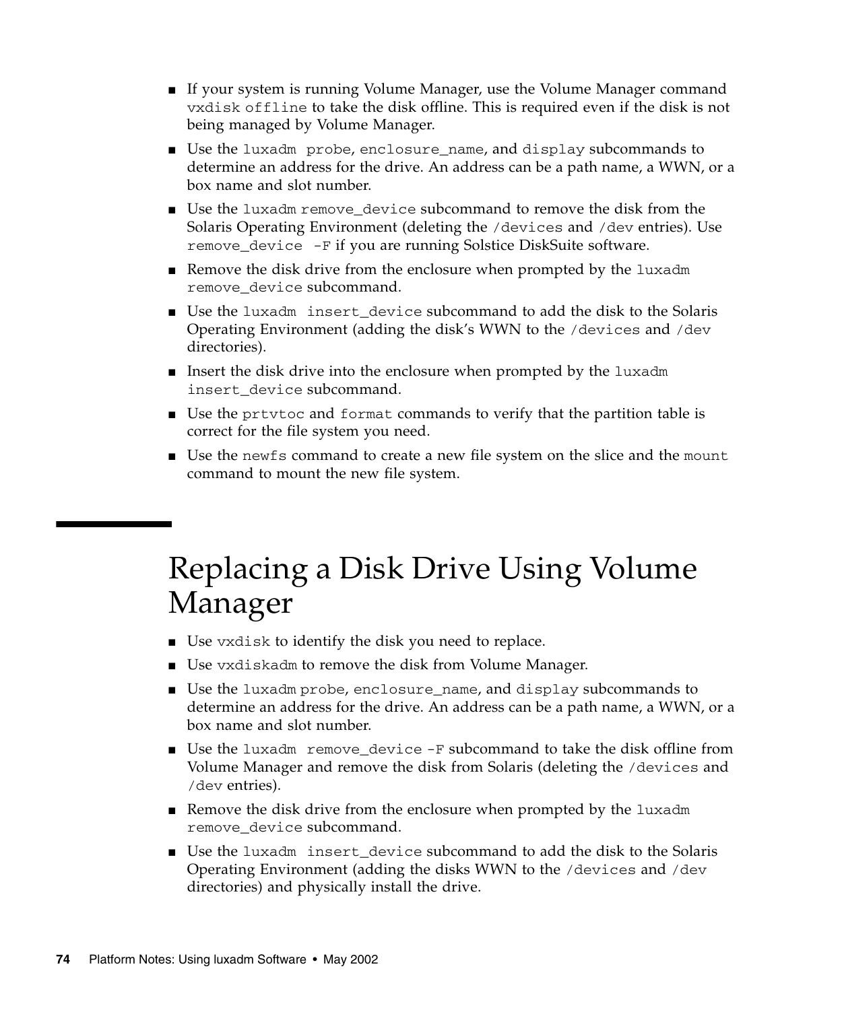- If your system is running Volume Manager, use the Volume Manager command vxdisk offline to take the disk offline. This is required even if the disk is not being managed by Volume Manager.
- Use the luxadm probe, enclosure\_name, and display subcommands to determine an address for the drive. An address can be a path name, a WWN, or a box name and slot number.
- Use the luxadm remove\_device subcommand to remove the disk from the Solaris Operating Environment (deleting the /devices and /dev entries). Use remove device -F if you are running Solstice DiskSuite software.
- Remove the disk drive from the enclosure when prompted by the luxadm remove\_device subcommand.
- Use the luxadm insert device subcommand to add the disk to the Solaris Operating Environment (adding the disk's WWN to the /devices and /dev directories).
- Insert the disk drive into the enclosure when prompted by the luxadm insert\_device subcommand.
- Use the prtvtoc and format commands to verify that the partition table is correct for the file system you need.
- Use the newfs command to create a new file system on the slice and the mount command to mount the new file system.

# Replacing a Disk Drive Using Volume Manager

- Use vxdisk to identify the disk you need to replace.
- Use vxdiskadm to remove the disk from Volume Manager.
- Use the luxadm probe, enclosure name, and display subcommands to determine an address for the drive. An address can be a path name, a WWN, or a box name and slot number.
- Use the luxadm remove device -F subcommand to take the disk offline from Volume Manager and remove the disk from Solaris (deleting the /devices and /dev entries).
- Remove the disk drive from the enclosure when prompted by the luxadm remove\_device subcommand.
- Use the luxadm insert device subcommand to add the disk to the Solaris Operating Environment (adding the disks WWN to the /devices and /dev directories) and physically install the drive.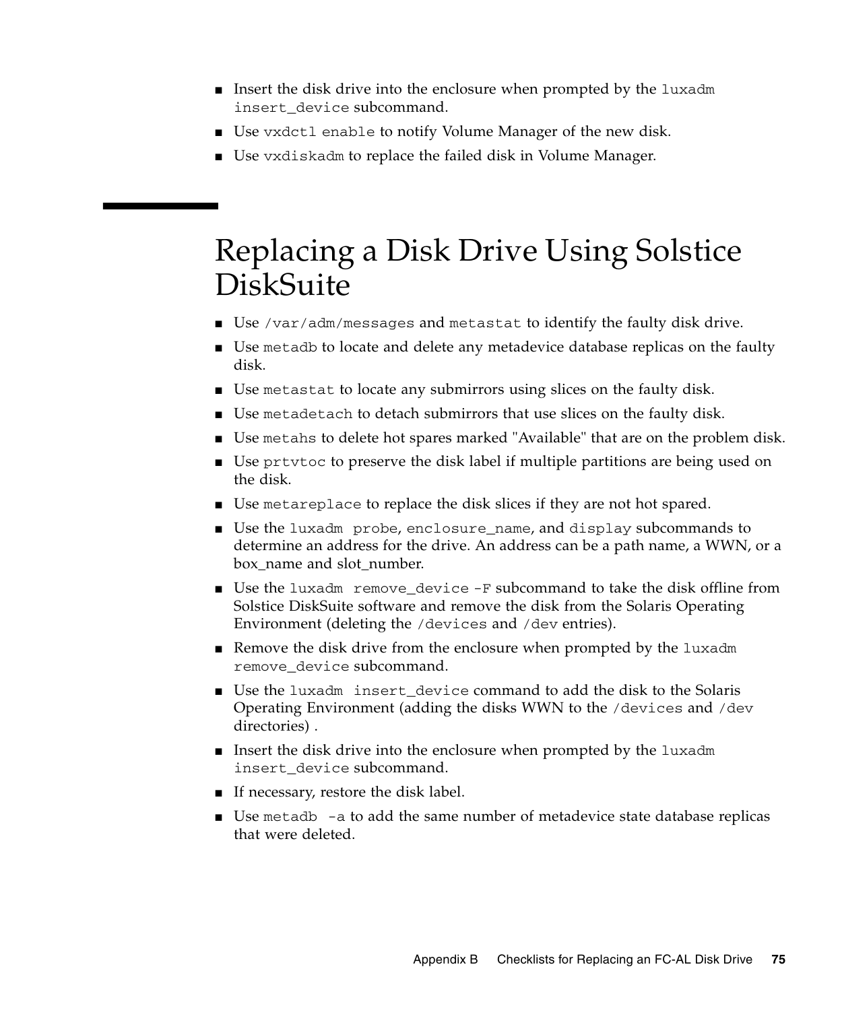- Insert the disk drive into the enclosure when prompted by the luxadm insert\_device subcommand.
- Use vxdctl enable to notify Volume Manager of the new disk.
- Use vxdiskadm to replace the failed disk in Volume Manager.

# Replacing a Disk Drive Using Solstice **DiskSuite**

- Use /var/adm/messages and metastat to identify the faulty disk drive.
- Use metadb to locate and delete any metadevice database replicas on the faulty disk.
- Use metastat to locate any submirrors using slices on the faulty disk.
- Use metadetach to detach submirrors that use slices on the faulty disk.
- Use metahs to delete hot spares marked "Available" that are on the problem disk.
- Use prtvtoc to preserve the disk label if multiple partitions are being used on the disk.
- Use metareplace to replace the disk slices if they are not hot spared.
- Use the luxadm probe, enclosure\_name, and display subcommands to determine an address for the drive. An address can be a path name, a WWN, or a box\_name and slot\_number.
- Use the luxadm remove device -F subcommand to take the disk offline from Solstice DiskSuite software and remove the disk from the Solaris Operating Environment (deleting the /devices and /dev entries).
- Remove the disk drive from the enclosure when prompted by the luxadm remove\_device subcommand.
- Use the luxadm insert device command to add the disk to the Solaris Operating Environment (adding the disks WWN to the /devices and /dev directories) .
- Insert the disk drive into the enclosure when prompted by the luxadm insert\_device subcommand.
- If necessary, restore the disk label.
- Use metadb -a to add the same number of metadevice state database replicas that were deleted.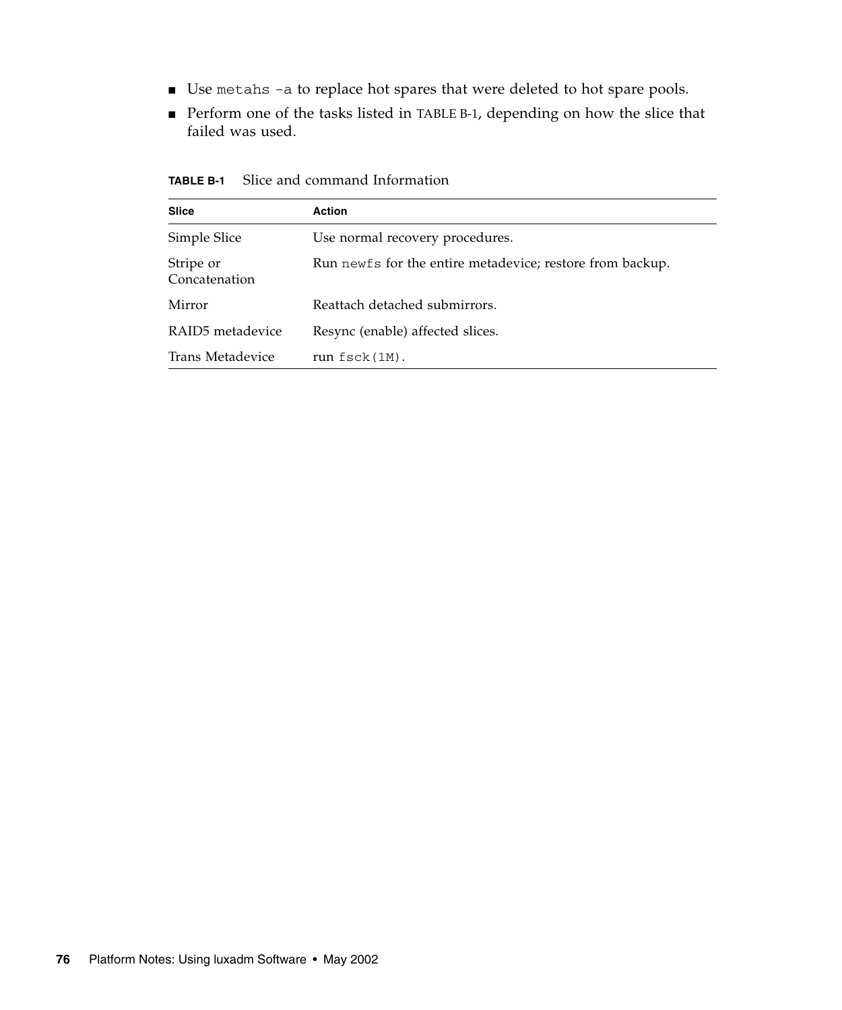- Use metahs -a to replace hot spares that were deleted to hot spare pools.
- <span id="page-87-0"></span>■ Perform one of the tasks listed in [TABLE B-1,](#page-87-0) depending on how the slice that failed was used.

| Slice                      | <b>Action</b>                                             |
|----------------------------|-----------------------------------------------------------|
| Simple Slice               | Use normal recovery procedures.                           |
| Stripe or<br>Concatenation | Run newfs for the entire metadevice; restore from backup. |
| Mirror                     | Reattach detached submirrors.                             |
| RAID5 metadevice           | Resync (enable) affected slices.                          |
| Trans Metadevice           | run fsck(1M).                                             |

**TABLE B-1** Slice and command Information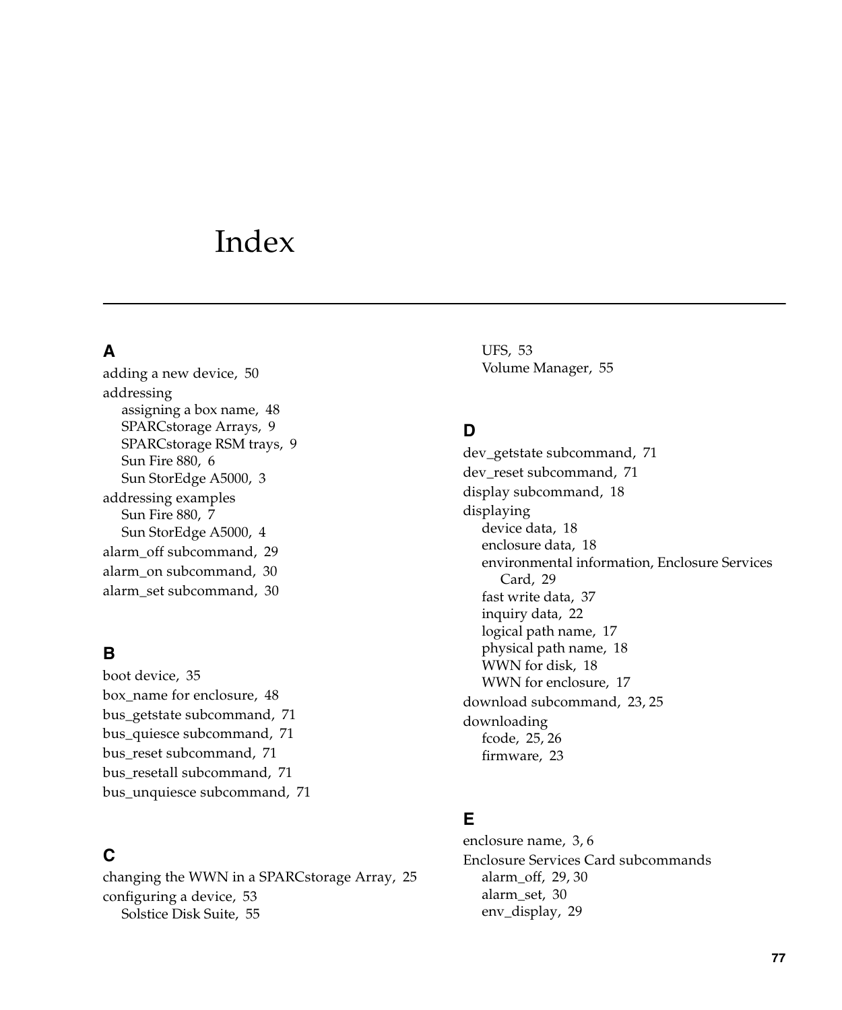# Index

## **A**

[adding a new device, 50](#page-61-1) addressing [assigning a box name, 48](#page-59-1) [SPARCstorage Arrays, 9](#page-20-0) [SPARCstorage RSM trays, 9](#page-20-1) [Sun Fire 880, 6](#page-17-0) [Sun StorEdge A5000, 3](#page-14-1) addressing examples [Sun Fire 880, 7](#page-18-0) [Sun StorEdge A5000, 4](#page-15-0) [alarm\\_off subcommand, 29](#page-40-0) [alarm\\_on subcommand, 30](#page-41-0) [alarm\\_set subcommand, 30](#page-41-1)

### **B**

[boot device, 35](#page-46-0) [box\\_name for enclosure, 48](#page-59-1) [bus\\_getstate subcommand, 71](#page-82-1) [bus\\_quiesce subcommand, 71](#page-82-2) [bus\\_reset subcommand, 71](#page-82-3) [bus\\_resetall subcommand, 71](#page-82-4) [bus\\_unquiesce subcommand, 71](#page-82-5)

### **C**

[changing the WWN in a SPARCstorage Array, 25](#page-36-0) [configuring a device, 53](#page-64-0) [Solstice Disk Suite, 55](#page-66-0)

[UFS, 53](#page-64-1) [Volume Manager, 55](#page-66-1)

### **D**

[dev\\_getstate subcommand, 71](#page-82-6) [dev\\_reset subcommand, 71](#page-82-7) [display subcommand, 18](#page-29-0) displaying [device data, 18](#page-29-0) [enclosure data, 18](#page-29-0) [environmental information, Enclosure Services](#page-40-1) Card, 29 [fast write data, 37](#page-48-0) [inquiry data, 22](#page-33-0) [logical path name, 17](#page-28-0) [physical path name, 18](#page-29-1) [WWN for disk, 18](#page-29-2) [WWN for enclosure, 17](#page-28-0) [download subcommand, 23,](#page-34-0) [25](#page-36-0) downloading [fcode, 25,](#page-36-1) [26](#page-37-0) [firmware, 23](#page-34-0)

### **E**

[enclosure name, 3,](#page-14-2) [6](#page-17-1) Enclosure Services Card subcommands [alarm\\_off, 29,](#page-40-2) [30](#page-41-2) [alarm\\_set, 30](#page-41-3) [env\\_display, 29](#page-40-3)